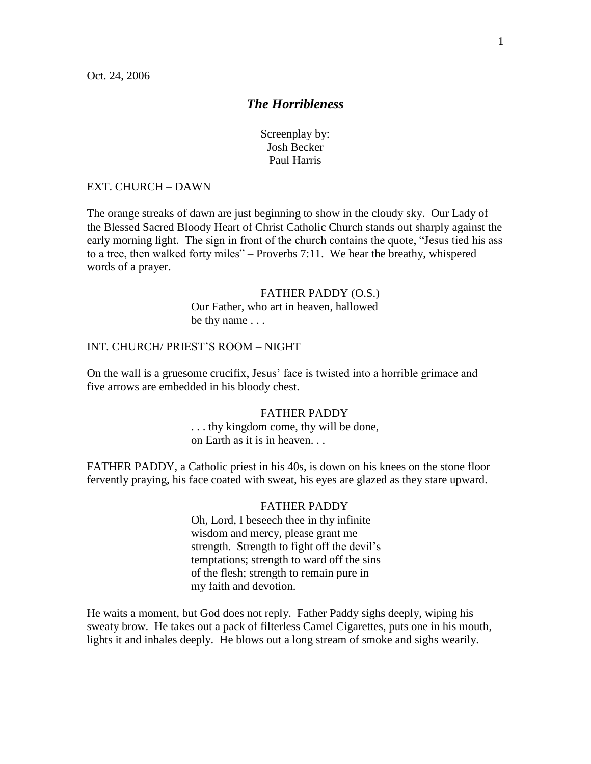# *The Horribleness*

Screenplay by: Josh Becker Paul Harris

# EXT. CHURCH – DAWN

The orange streaks of dawn are just beginning to show in the cloudy sky. Our Lady of the Blessed Sacred Bloody Heart of Christ Catholic Church stands out sharply against the early morning light. The sign in front of the church contains the quote, "Jesus tied his ass to a tree, then walked forty miles" – Proverbs 7:11. We hear the breathy, whispered words of a prayer.

# FATHER PADDY (O.S.) Our Father, who art in heaven, hallowed be thy name . . .

# INT. CHURCH/ PRIEST'S ROOM – NIGHT

On the wall is a gruesome crucifix, Jesus' face is twisted into a horrible grimace and five arrows are embedded in his bloody chest.

# FATHER PADDY

. . . thy kingdom come, thy will be done, on Earth as it is in heaven. . .

FATHER PADDY, a Catholic priest in his 40s, is down on his knees on the stone floor fervently praying, his face coated with sweat, his eyes are glazed as they stare upward.

# FATHER PADDY

Oh, Lord, I beseech thee in thy infinite wisdom and mercy, please grant me strength. Strength to fight off the devil's temptations; strength to ward off the sins of the flesh; strength to remain pure in my faith and devotion.

He waits a moment, but God does not reply. Father Paddy sighs deeply, wiping his sweaty brow. He takes out a pack of filterless Camel Cigarettes, puts one in his mouth, lights it and inhales deeply. He blows out a long stream of smoke and sighs wearily.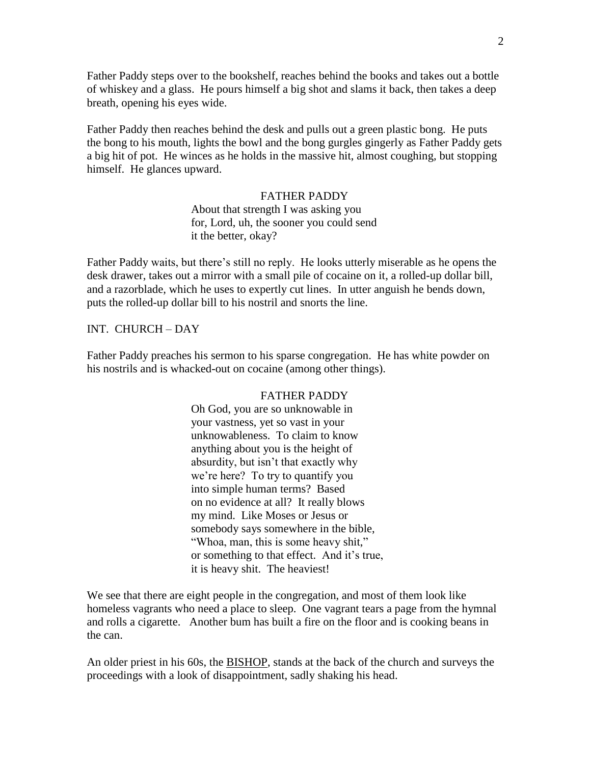Father Paddy steps over to the bookshelf, reaches behind the books and takes out a bottle of whiskey and a glass. He pours himself a big shot and slams it back, then takes a deep breath, opening his eyes wide.

Father Paddy then reaches behind the desk and pulls out a green plastic bong. He puts the bong to his mouth, lights the bowl and the bong gurgles gingerly as Father Paddy gets a big hit of pot. He winces as he holds in the massive hit, almost coughing, but stopping himself. He glances upward.

# FATHER PADDY

About that strength I was asking you for, Lord, uh, the sooner you could send it the better, okay?

Father Paddy waits, but there's still no reply. He looks utterly miserable as he opens the desk drawer, takes out a mirror with a small pile of cocaine on it, a rolled-up dollar bill, and a razorblade, which he uses to expertly cut lines. In utter anguish he bends down, puts the rolled-up dollar bill to his nostril and snorts the line.

# INT. CHURCH – DAY

Father Paddy preaches his sermon to his sparse congregation. He has white powder on his nostrils and is whacked-out on cocaine (among other things).

# FATHER PADDY

Oh God, you are so unknowable in your vastness, yet so vast in your unknowableness. To claim to know anything about you is the height of absurdity, but isn't that exactly why we're here? To try to quantify you into simple human terms? Based on no evidence at all? It really blows my mind. Like Moses or Jesus or somebody says somewhere in the bible, "Whoa, man, this is some heavy shit," or something to that effect. And it's true, it is heavy shit. The heaviest!

We see that there are eight people in the congregation, and most of them look like homeless vagrants who need a place to sleep. One vagrant tears a page from the hymnal and rolls a cigarette. Another bum has built a fire on the floor and is cooking beans in the can.

An older priest in his 60s, the BISHOP, stands at the back of the church and surveys the proceedings with a look of disappointment, sadly shaking his head.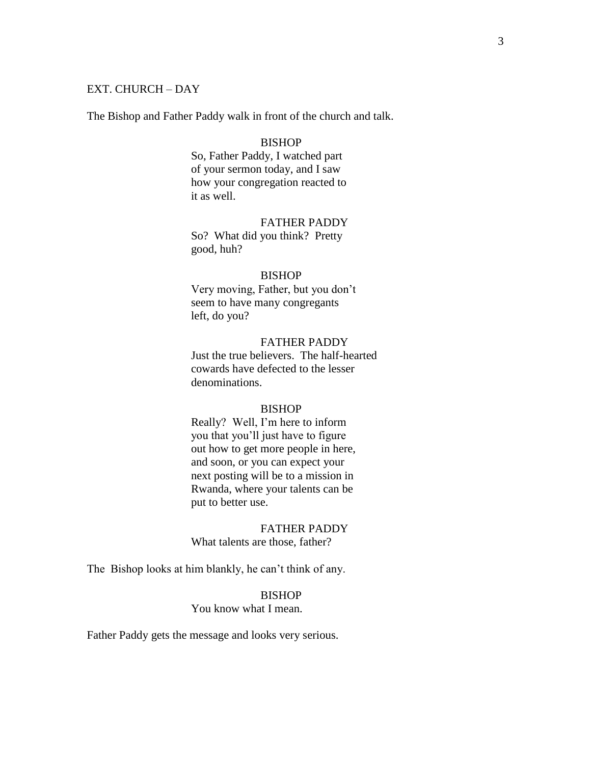# EXT. CHURCH – DAY

The Bishop and Father Paddy walk in front of the church and talk.

#### BISHOP

So, Father Paddy, I watched part of your sermon today, and I saw how your congregation reacted to it as well.

# FATHER PADDY

So? What did you think? Pretty good, huh?

# BISHOP

Very moving, Father, but you don't seem to have many congregants left, do you?

### FATHER PADDY

Just the true believers. The half-hearted cowards have defected to the lesser denominations.

### BISHOP

Really? Well, I'm here to inform you that you'll just have to figure out how to get more people in here, and soon, or you can expect your next posting will be to a mission in Rwanda, where your talents can be put to better use.

#### FATHER PADDY

What talents are those, father?

The Bishop looks at him blankly, he can't think of any.

# BISHOP

You know what I mean.

Father Paddy gets the message and looks very serious.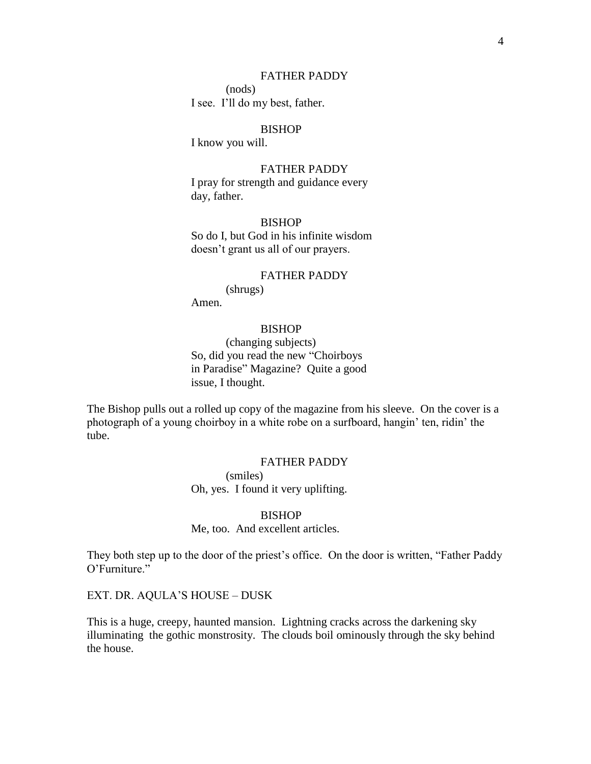# FATHER PADDY

(nods) I see. I'll do my best, father.

# BISHOP

I know you will.

# FATHER PADDY

I pray for strength and guidance every day, father.

# **BISHOP**

So do I, but God in his infinite wisdom doesn't grant us all of our prayers.

#### FATHER PADDY

(shrugs) Amen.

### BISHOP

(changing subjects) So, did you read the new "Choirboys in Paradise" Magazine? Quite a good issue, I thought.

The Bishop pulls out a rolled up copy of the magazine from his sleeve. On the cover is a photograph of a young choirboy in a white robe on a surfboard, hangin' ten, ridin' the tube.

# FATHER PADDY

(smiles) Oh, yes. I found it very uplifting.

# BISHOP

Me, too. And excellent articles.

They both step up to the door of the priest's office. On the door is written, "Father Paddy O'Furniture."

EXT. DR. AQULA'S HOUSE – DUSK

This is a huge, creepy, haunted mansion. Lightning cracks across the darkening sky illuminating the gothic monstrosity. The clouds boil ominously through the sky behind the house.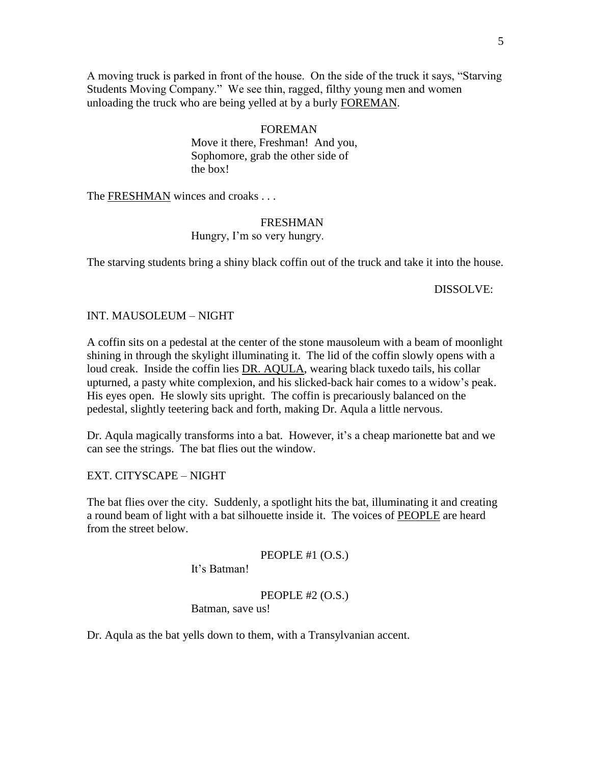A moving truck is parked in front of the house. On the side of the truck it says, "Starving" Students Moving Company." We see thin, ragged, filthy young men and women unloading the truck who are being yelled at by a burly FOREMAN.

# FOREMAN

Move it there, Freshman! And you, Sophomore, grab the other side of the box!

The **FRESHMAN** winces and croaks . . .

# FRESHMAN

Hungry, I'm so very hungry.

The starving students bring a shiny black coffin out of the truck and take it into the house.

### DISSOLVE:

### INT. MAUSOLEUM – NIGHT

A coffin sits on a pedestal at the center of the stone mausoleum with a beam of moonlight shining in through the skylight illuminating it. The lid of the coffin slowly opens with a loud creak. Inside the coffin lies DR. AQULA, wearing black tuxedo tails, his collar upturned, a pasty white complexion, and his slicked-back hair comes to a widow's peak. His eyes open. He slowly sits upright. The coffin is precariously balanced on the pedestal, slightly teetering back and forth, making Dr. Aqula a little nervous.

Dr. Aqula magically transforms into a bat. However, it's a cheap marionette bat and we can see the strings. The bat flies out the window.

EXT. CITYSCAPE – NIGHT

The bat flies over the city. Suddenly, a spotlight hits the bat, illuminating it and creating a round beam of light with a bat silhouette inside it. The voices of PEOPLE are heard from the street below.

PEOPLE #1 (O.S.)

It's Batman!

PEOPLE #2 (O.S.)

Batman, save us!

Dr. Aqula as the bat yells down to them, with a Transylvanian accent.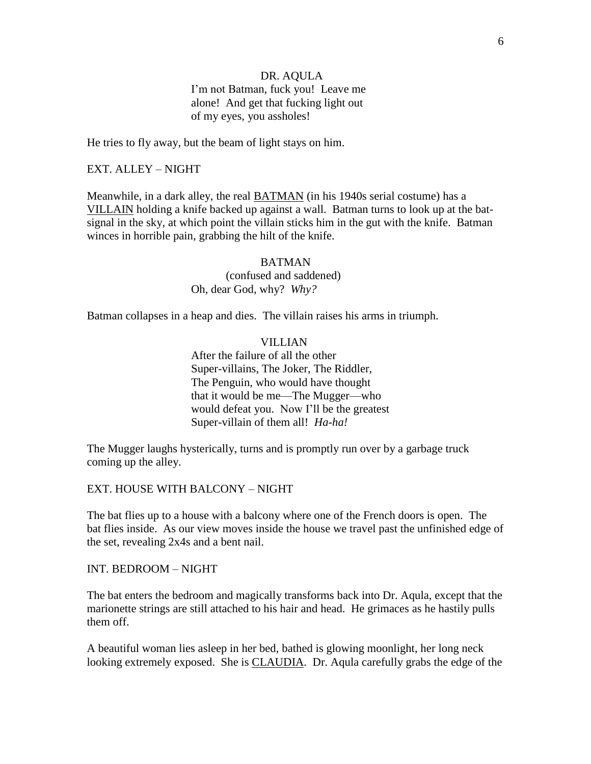# DR. AQULA

I'm not Batman, fuck you! Leave me alone! And get that fucking light out of my eyes, you assholes!

He tries to fly away, but the beam of light stays on him.

### EXT. ALLEY – NIGHT

Meanwhile, in a dark alley, the real BATMAN (in his 1940s serial costume) has a VILLAIN holding a knife backed up against a wall. Batman turns to look up at the batsignal in the sky, at which point the villain sticks him in the gut with the knife. Batman winces in horrible pain, grabbing the hilt of the knife.

> BATMAN (confused and saddened) Oh, dear God, why? *Why?*

Batman collapses in a heap and dies. The villain raises his arms in triumph.

### VILLIAN

After the failure of all the other Super-villains, The Joker, The Riddler, The Penguin, who would have thought that it would be me—The Mugger—who would defeat you. Now I'll be the greatest Super-villain of them all! *Ha-ha!*

The Mugger laughs hysterically, turns and is promptly run over by a garbage truck coming up the alley.

EXT. HOUSE WITH BALCONY – NIGHT

The bat flies up to a house with a balcony where one of the French doors is open. The bat flies inside. As our view moves inside the house we travel past the unfinished edge of the set, revealing 2x4s and a bent nail.

INT. BEDROOM – NIGHT

The bat enters the bedroom and magically transforms back into Dr. Aqula, except that the marionette strings are still attached to his hair and head. He grimaces as he hastily pulls them off.

A beautiful woman lies asleep in her bed, bathed is glowing moonlight, her long neck looking extremely exposed. She is CLAUDIA. Dr. Aqula carefully grabs the edge of the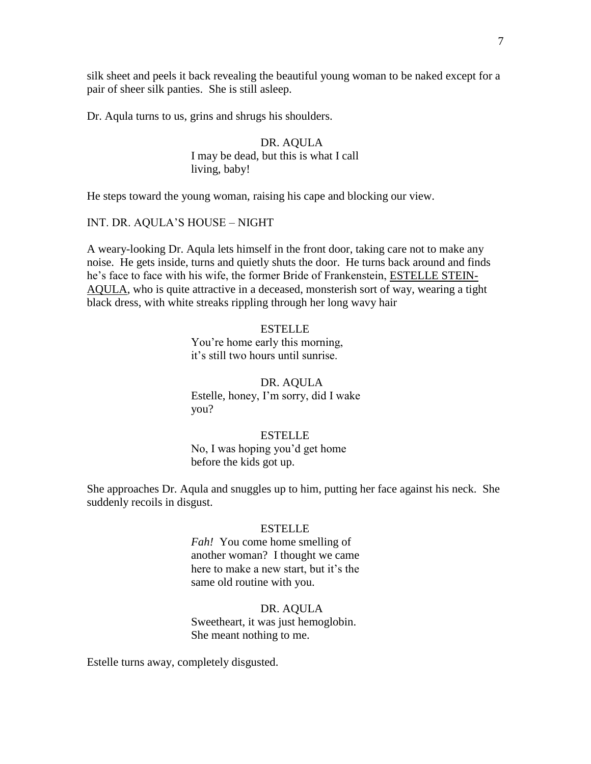silk sheet and peels it back revealing the beautiful young woman to be naked except for a pair of sheer silk panties. She is still asleep.

Dr. Aqula turns to us, grins and shrugs his shoulders.

# DR. AQULA I may be dead, but this is what I call living, baby!

He steps toward the young woman, raising his cape and blocking our view.

# INT. DR. AQULA'S HOUSE – NIGHT

A weary-looking Dr. Aqula lets himself in the front door, taking care not to make any noise. He gets inside, turns and quietly shuts the door. He turns back around and finds he's face to face with his wife, the former Bride of Frankenstein, ESTELLE STEIN-AQULA, who is quite attractive in a deceased, monsterish sort of way, wearing a tight black dress, with white streaks rippling through her long wavy hair

#### **ESTELLE**

You're home early this morning, it's still two hours until sunrise.

DR. AQULA Estelle, honey, I'm sorry, did I wake you?

### **ESTELLE**

No, I was hoping you'd get home before the kids got up.

She approaches Dr. Aqula and snuggles up to him, putting her face against his neck. She suddenly recoils in disgust.

### ESTELLE

*Fah!* You come home smelling of another woman? I thought we came here to make a new start, but it's the same old routine with you.

#### DR. AQULA

Sweetheart, it was just hemoglobin. She meant nothing to me.

Estelle turns away, completely disgusted.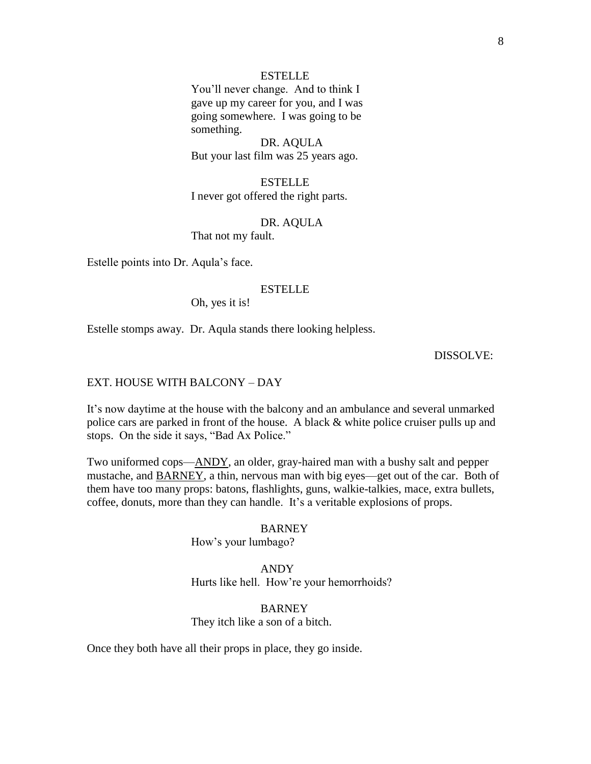# **ESTELLE**

You'll never change. And to think I gave up my career for you, and I was going somewhere. I was going to be something.

DR. AQULA But your last film was 25 years ago.

ESTELLE I never got offered the right parts.

DR. AQULA That not my fault.

Estelle points into Dr. Aqula's face.

## ESTELLE

Oh, yes it is!

Estelle stomps away. Dr. Aqula stands there looking helpless.

# DISSOLVE:

### EXT. HOUSE WITH BALCONY – DAY

It's now daytime at the house with the balcony and an ambulance and several unmarked police cars are parked in front of the house. A black & white police cruiser pulls up and stops. On the side it says, "Bad Ax Police."

Two uniformed cops—ANDY, an older, gray-haired man with a bushy salt and pepper mustache, and BARNEY, a thin, nervous man with big eyes—get out of the car. Both of them have too many props: batons, flashlights, guns, walkie-talkies, mace, extra bullets, coffee, donuts, more than they can handle. It's a veritable explosions of props.

#### BARNEY

How's your lumbago?

ANDY Hurts like hell. How're your hemorrhoids?

BARNEY They itch like a son of a bitch.

Once they both have all their props in place, they go inside.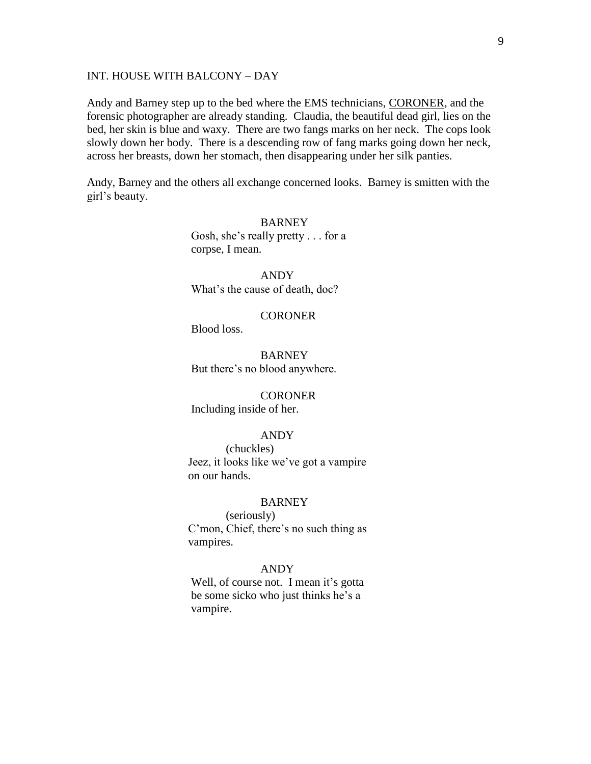# INT. HOUSE WITH BALCONY – DAY

Andy and Barney step up to the bed where the EMS technicians, CORONER, and the forensic photographer are already standing. Claudia, the beautiful dead girl, lies on the bed, her skin is blue and waxy. There are two fangs marks on her neck. The cops look slowly down her body. There is a descending row of fang marks going down her neck, across her breasts, down her stomach, then disappearing under her silk panties.

Andy, Barney and the others all exchange concerned looks. Barney is smitten with the girl's beauty.

> **BARNEY** Gosh, she's really pretty . . . for a corpse, I mean.

ANDY What's the cause of death, doc?

# **CORONER**

Blood loss.

**BARNEY** But there's no blood anywhere.

**CORONER** Including inside of her.

### ANDY

(chuckles) Jeez, it looks like we've got a vampire on our hands.

### **BARNEY**

(seriously) C'mon, Chief, there's no such thing as vampires.

### ANDY

 Well, of course not. I mean it's gotta be some sicko who just thinks he's a vampire.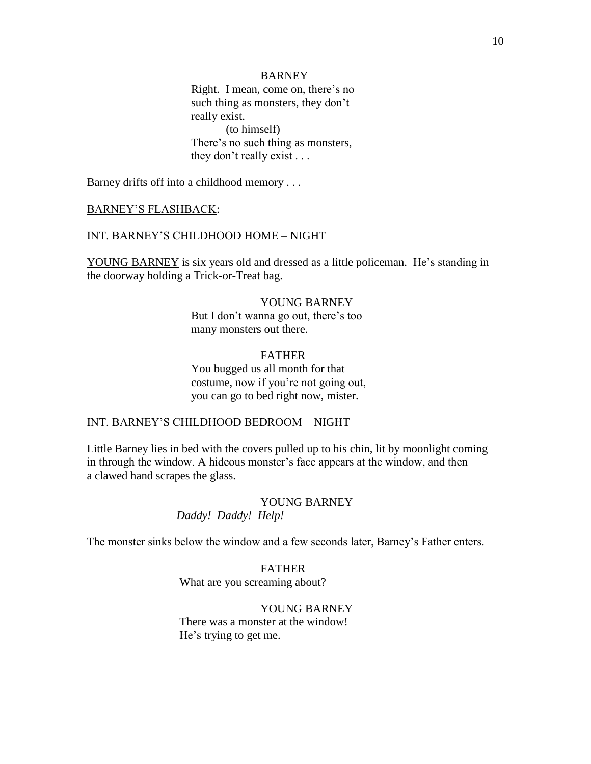### BARNEY

 Right. I mean, come on, there's no such thing as monsters, they don't really exist. (to himself) There's no such thing as monsters, they don't really exist . . .

Barney drifts off into a childhood memory . . .

#### BARNEY'S FLASHBACK:

# INT. BARNEY'S CHILDHOOD HOME – NIGHT

YOUNG BARNEY is six years old and dressed as a little policeman. He's standing in the doorway holding a Trick-or-Treat bag.

# YOUNG BARNEY

 But I don't wanna go out, there's too many monsters out there.

# FATHER You bugged us all month for that costume, now if you're not going out, you can go to bed right now, mister.

### INT. BARNEY'S CHILDHOOD BEDROOM – NIGHT

Little Barney lies in bed with the covers pulled up to his chin, lit by moonlight coming in through the window. A hideous monster's face appears at the window, and then a clawed hand scrapes the glass.

# YOUNG BARNEY *Daddy! Daddy! Help!*

The monster sinks below the window and a few seconds later, Barney's Father enters.

# FATHER What are you screaming about?

# YOUNG BARNEY There was a monster at the window! He's trying to get me.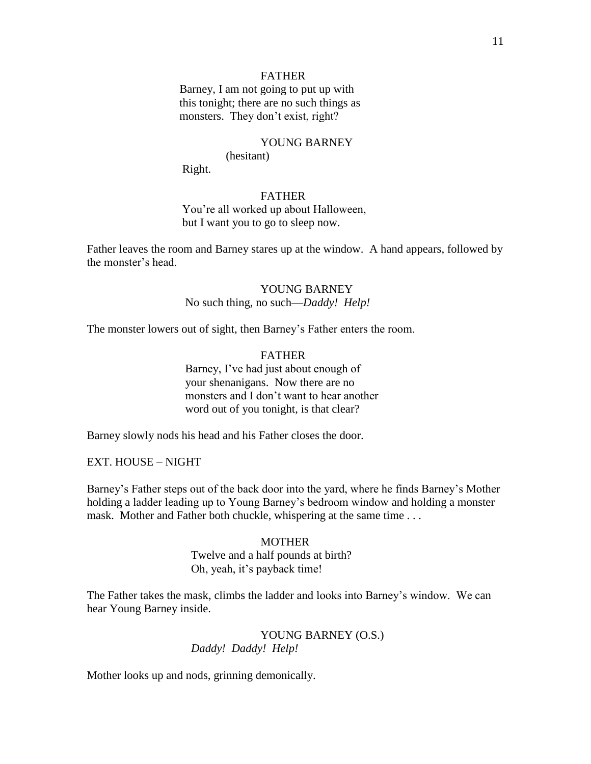# FATHER

 Barney, I am not going to put up with this tonight; there are no such things as monsters. They don't exist, right?

# YOUNG BARNEY

(hesitant)

Right.

# FATHER

 You're all worked up about Halloween, but I want you to go to sleep now.

Father leaves the room and Barney stares up at the window. A hand appears, followed by the monster's head.

# YOUNG BARNEY

No such thing, no such—*Daddy! Help!*

The monster lowers out of sight, then Barney's Father enters the room.

# FATHER Barney, I've had just about enough of your shenanigans. Now there are no monsters and I don't want to hear another word out of you tonight, is that clear?

Barney slowly nods his head and his Father closes the door.

EXT. HOUSE – NIGHT

Barney's Father steps out of the back door into the yard, where he finds Barney's Mother holding a ladder leading up to Young Barney's bedroom window and holding a monster mask. Mother and Father both chuckle, whispering at the same time . . .

#### **MOTHER**

 Twelve and a half pounds at birth? Oh, yeah, it's payback time!

The Father takes the mask, climbs the ladder and looks into Barney's window. We can hear Young Barney inside.

# YOUNG BARNEY (O.S.) *Daddy! Daddy! Help!*

Mother looks up and nods, grinning demonically.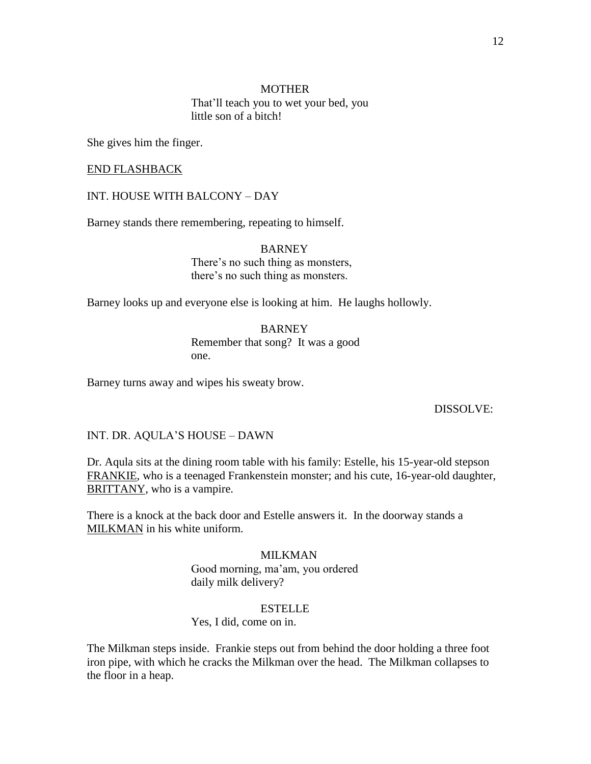# **MOTHER** That'll teach you to wet your bed, you little son of a bitch!

She gives him the finger.

# END FLASHBACK

## INT. HOUSE WITH BALCONY – DAY

Barney stands there remembering, repeating to himself.

BARNEY There's no such thing as monsters, there's no such thing as monsters.

Barney looks up and everyone else is looking at him. He laughs hollowly.

**BARNEY** Remember that song? It was a good one.

Barney turns away and wipes his sweaty brow.

# DISSOLVE:

INT. DR. AQULA'S HOUSE – DAWN

Dr. Aqula sits at the dining room table with his family: Estelle, his 15-year-old stepson FRANKIE, who is a teenaged Frankenstein monster; and his cute, 16-year-old daughter, BRITTANY, who is a vampire.

There is a knock at the back door and Estelle answers it. In the doorway stands a MILKMAN in his white uniform.

#### MILKMAN

Good morning, ma'am, you ordered daily milk delivery?

#### ESTELLE

### Yes, I did, come on in.

The Milkman steps inside. Frankie steps out from behind the door holding a three foot iron pipe, with which he cracks the Milkman over the head. The Milkman collapses to the floor in a heap.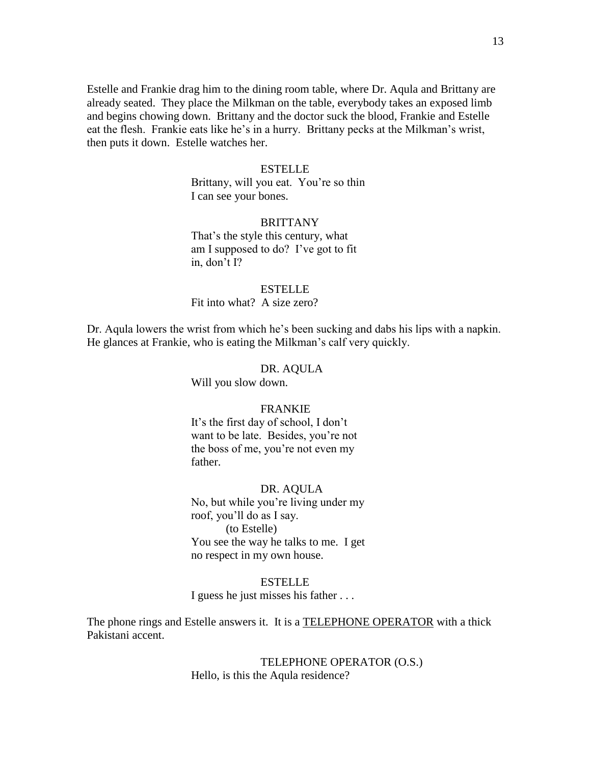Estelle and Frankie drag him to the dining room table, where Dr. Aqula and Brittany are already seated. They place the Milkman on the table, everybody takes an exposed limb and begins chowing down. Brittany and the doctor suck the blood, Frankie and Estelle eat the flesh. Frankie eats like he's in a hurry. Brittany pecks at the Milkman's wrist, then puts it down. Estelle watches her.

#### ESTELLE

Brittany, will you eat. You're so thin I can see your bones.

# **BRITTANY**

That's the style this century, what am I supposed to do? I've got to fit in, don't I?

### ESTELLE

Fit into what? A size zero?

Dr. Aqula lowers the wrist from which he's been sucking and dabs his lips with a napkin. He glances at Frankie, who is eating the Milkman's calf very quickly.

#### DR. AQULA

Will you slow down.

### FRANKIE

It's the first day of school, I don't want to be late. Besides, you're not the boss of me, you're not even my father.

DR. AQULA

No, but while you're living under my roof, you'll do as I say. (to Estelle) You see the way he talks to me. I get no respect in my own house.

#### ESTELLE

I guess he just misses his father . . .

The phone rings and Estelle answers it. It is a **TELEPHONE OPERATOR** with a thick Pakistani accent.

> TELEPHONE OPERATOR (O.S.) Hello, is this the Aqula residence?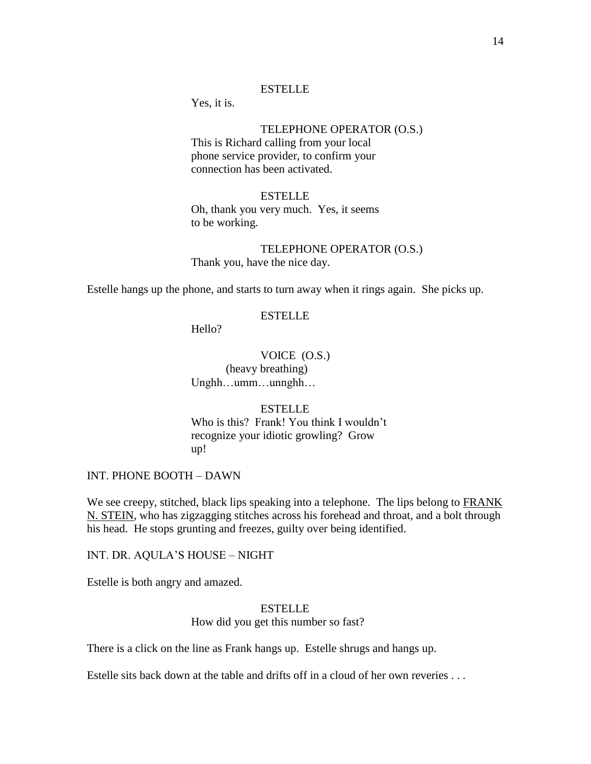### ESTELLE

Yes, it is.

# TELEPHONE OPERATOR (O.S.)

This is Richard calling from your local phone service provider, to confirm your connection has been activated.

# ESTELLE

Oh, thank you very much. Yes, it seems to be working.

TELEPHONE OPERATOR (O.S.) Thank you, have the nice day.

Estelle hangs up the phone, and starts to turn away when it rings again. She picks up.

#### ESTELLE

Hello?

VOICE (O.S.) (heavy breathing) Unghh…umm…unnghh…

# **ESTELLE**

Who is this? Frank! You think I wouldn't recognize your idiotic growling? Grow up!

INT. PHONE BOOTH – DAWN

We see creepy, stitched, black lips speaking into a telephone. The lips belong to FRANK N. STEIN, who has zigzagging stitches across his forehead and throat, and a bolt through his head. He stops grunting and freezes, guilty over being identified.

INT. DR. AQULA'S HOUSE – NIGHT

Estelle is both angry and amazed.

# ESTELLE How did you get this number so fast?

There is a click on the line as Frank hangs up. Estelle shrugs and hangs up.

Estelle sits back down at the table and drifts off in a cloud of her own reveries . . .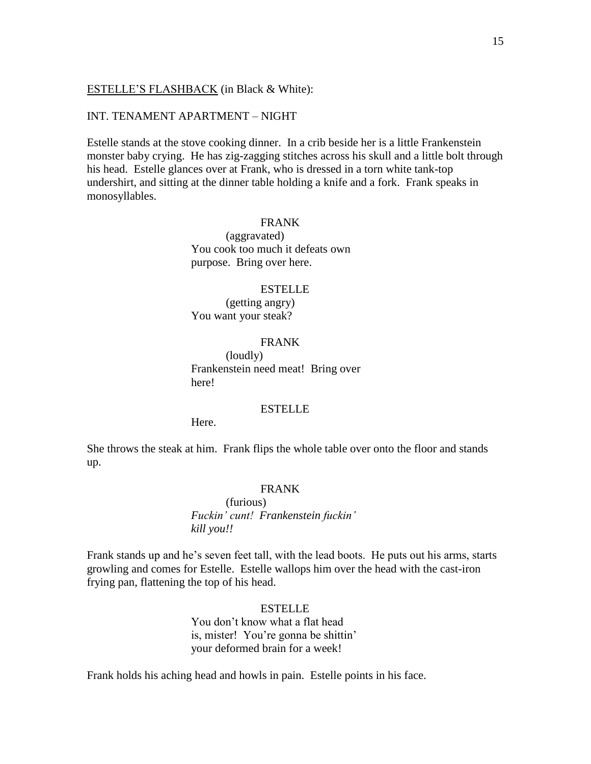# ESTELLE'S FLASHBACK (in Black & White):

# INT. TENAMENT APARTMENT – NIGHT

Estelle stands at the stove cooking dinner. In a crib beside her is a little Frankenstein monster baby crying. He has zig-zagging stitches across his skull and a little bolt through his head. Estelle glances over at Frank, who is dressed in a torn white tank-top undershirt, and sitting at the dinner table holding a knife and a fork. Frank speaks in monosyllables.

# FRANK

(aggravated) You cook too much it defeats own purpose. Bring over here.

### ESTELLE

(getting angry) You want your steak?

### FRANK

(loudly) Frankenstein need meat! Bring over here!

# ESTELLE

Here.

She throws the steak at him. Frank flips the whole table over onto the floor and stands up.

# FRANK

(furious) *Fuckin" cunt! Frankenstein fuckin" kill you!!*

Frank stands up and he's seven feet tall, with the lead boots. He puts out his arms, starts growling and comes for Estelle. Estelle wallops him over the head with the cast-iron frying pan, flattening the top of his head.

#### ESTELLE

You don't know what a flat head is, mister! You're gonna be shittin' your deformed brain for a week!

Frank holds his aching head and howls in pain. Estelle points in his face.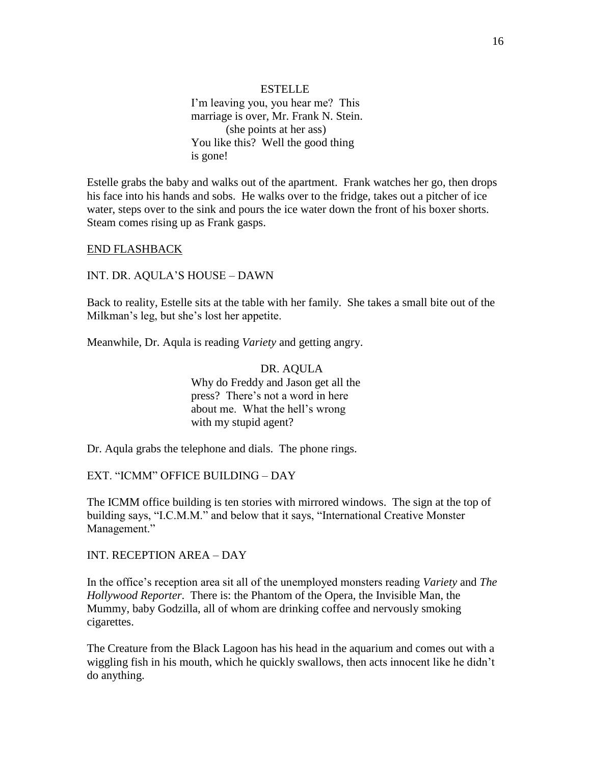**ESTELLE** I'm leaving you, you hear me? This marriage is over, Mr. Frank N. Stein. (she points at her ass) You like this? Well the good thing is gone!

Estelle grabs the baby and walks out of the apartment. Frank watches her go, then drops his face into his hands and sobs. He walks over to the fridge, takes out a pitcher of ice water, steps over to the sink and pours the ice water down the front of his boxer shorts. Steam comes rising up as Frank gasps.

### END FLASHBACK

INT. DR. AQULA'S HOUSE – DAWN

Back to reality, Estelle sits at the table with her family. She takes a small bite out of the Milkman's leg, but she's lost her appetite.

Meanwhile, Dr. Aqula is reading *Variety* and getting angry.

DR. AQULA Why do Freddy and Jason get all the press? There's not a word in here about me. What the hell's wrong with my stupid agent?

Dr. Aqula grabs the telephone and dials. The phone rings.

EXT. "ICMM" OFFICE BUILDING - DAY

The ICMM office building is ten stories with mirrored windows. The sign at the top of building says, "I.C.M.M." and below that it says, "International Creative Monster Management."

INT. RECEPTION AREA – DAY

In the office's reception area sit all of the unemployed monsters reading *Variety* and *The Hollywood Reporter*. There is: the Phantom of the Opera, the Invisible Man, the Mummy, baby Godzilla, all of whom are drinking coffee and nervously smoking cigarettes.

The Creature from the Black Lagoon has his head in the aquarium and comes out with a wiggling fish in his mouth, which he quickly swallows, then acts innocent like he didn't do anything.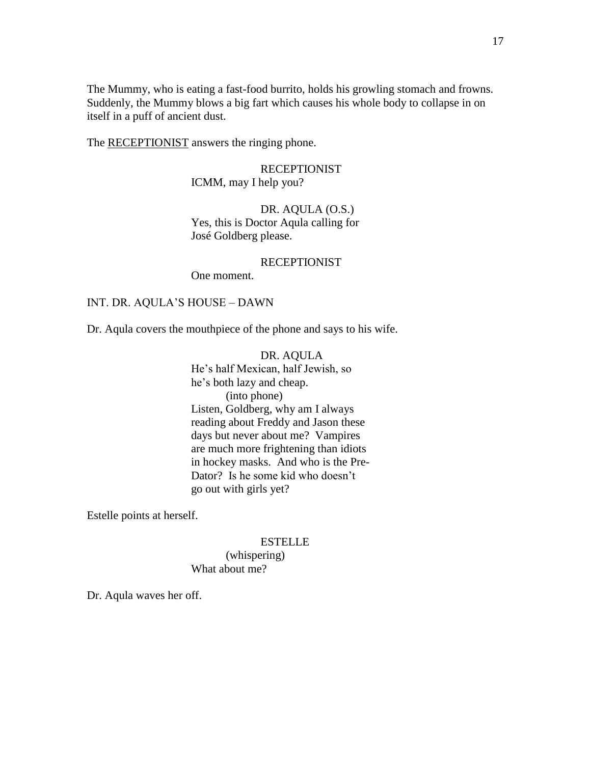The Mummy, who is eating a fast-food burrito, holds his growling stomach and frowns. Suddenly, the Mummy blows a big fart which causes his whole body to collapse in on itself in a puff of ancient dust.

The RECEPTIONIST answers the ringing phone.

# RECEPTIONIST ICMM, may I help you?

# DR. AQULA (O.S.) Yes, this is Doctor Aqula calling for José Goldberg please.

#### RECEPTIONIST

One moment.

# INT. DR. AQULA'S HOUSE – DAWN

Dr. Aqula covers the mouthpiece of the phone and says to his wife.

DR. AQULA He's half Mexican, half Jewish, so he's both lazy and cheap. (into phone) Listen, Goldberg, why am I always reading about Freddy and Jason these days but never about me? Vampires are much more frightening than idiots in hockey masks. And who is the Pre-Dator? Is he some kid who doesn't go out with girls yet?

Estelle points at herself.

### ESTELLE

(whispering) What about me?

Dr. Aqula waves her off.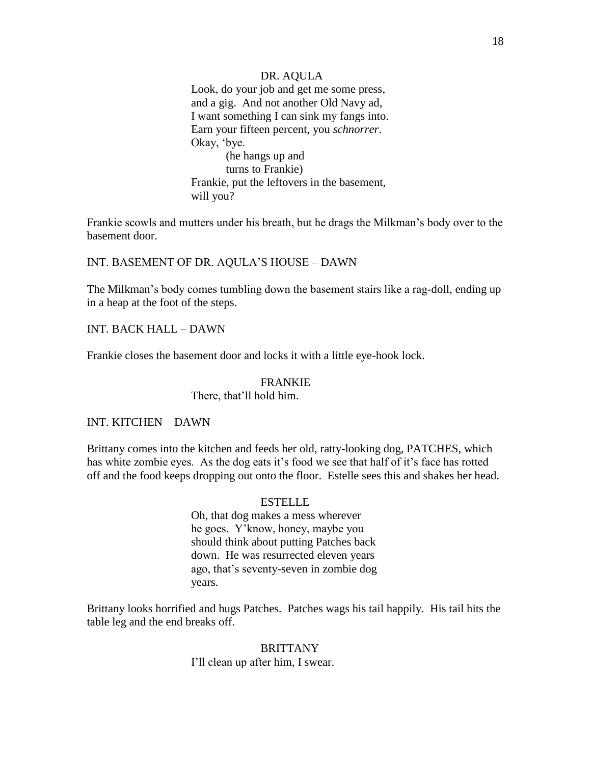### DR. AQULA

Look, do your job and get me some press, and a gig. And not another Old Navy ad, I want something I can sink my fangs into. Earn your fifteen percent, you *schnorrer*. Okay, 'bye. (he hangs up and turns to Frankie) Frankie, put the leftovers in the basement, will you?

Frankie scowls and mutters under his breath, but he drags the Milkman's body over to the basement door.

INT. BASEMENT OF DR. AQULA'S HOUSE – DAWN

The Milkman's body comes tumbling down the basement stairs like a rag-doll, ending up in a heap at the foot of the steps.

INT. BACK HALL – DAWN

Frankie closes the basement door and locks it with a little eye-hook lock.

# FRANKIE

There, that'll hold him.

# INT. KITCHEN – DAWN

Brittany comes into the kitchen and feeds her old, ratty-looking dog, PATCHES, which has white zombie eyes. As the dog eats it's food we see that half of it's face has rotted off and the food keeps dropping out onto the floor. Estelle sees this and shakes her head.

#### **ESTELLE**

Oh, that dog makes a mess wherever he goes. Y'know, honey, maybe you should think about putting Patches back down. He was resurrected eleven years ago, that's seventy-seven in zombie dog years.

Brittany looks horrified and hugs Patches. Patches wags his tail happily. His tail hits the table leg and the end breaks off.

> **BRITTANY** I'll clean up after him, I swear.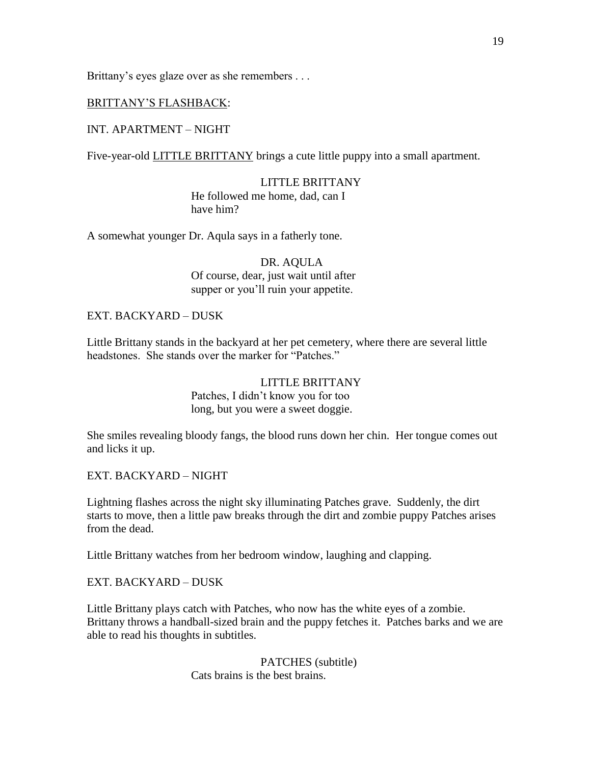Brittany's eyes glaze over as she remembers . . .

# BRITTANY'S FLASHBACK:

# INT. APARTMENT – NIGHT

Five-year-old **LITTLE BRITTANY** brings a cute little puppy into a small apartment.

LITTLE BRITTANY He followed me home, dad, can I have him?

A somewhat younger Dr. Aqula says in a fatherly tone.

DR. AQULA Of course, dear, just wait until after supper or you'll ruin your appetite.

# EXT. BACKYARD – DUSK

Little Brittany stands in the backyard at her pet cemetery, where there are several little headstones. She stands over the marker for "Patches."

> LITTLE BRITTANY Patches, I didn't know you for too long, but you were a sweet doggie.

She smiles revealing bloody fangs, the blood runs down her chin. Her tongue comes out and licks it up.

EXT. BACKYARD – NIGHT

Lightning flashes across the night sky illuminating Patches grave. Suddenly, the dirt starts to move, then a little paw breaks through the dirt and zombie puppy Patches arises from the dead.

Little Brittany watches from her bedroom window, laughing and clapping.

EXT. BACKYARD – DUSK

Little Brittany plays catch with Patches, who now has the white eyes of a zombie. Brittany throws a handball-sized brain and the puppy fetches it. Patches barks and we are able to read his thoughts in subtitles.

> PATCHES (subtitle) Cats brains is the best brains.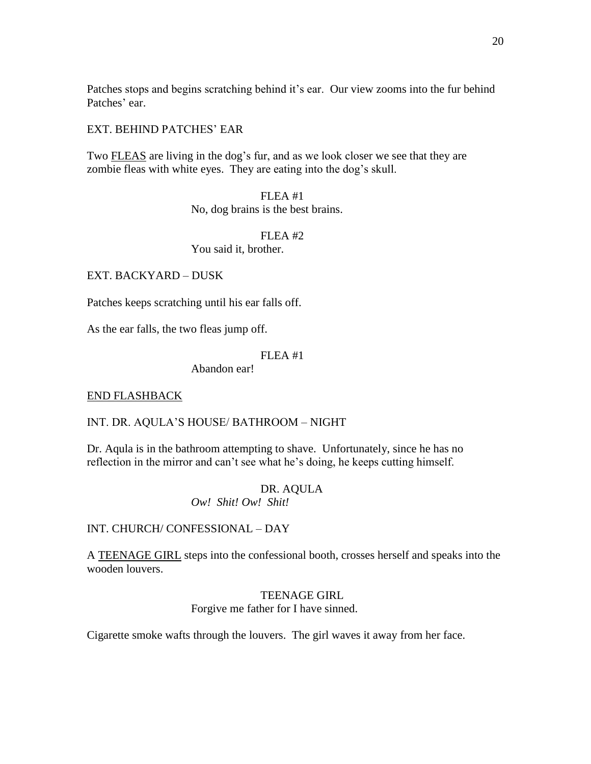Patches stops and begins scratching behind it's ear. Our view zooms into the fur behind Patches' ear.

# EXT. BEHIND PATCHES' EAR

Two FLEAS are living in the dog's fur, and as we look closer we see that they are zombie fleas with white eyes. They are eating into the dog's skull.

> FLEA #1 No, dog brains is the best brains.

 $FLRA$ #2 You said it, brother.

EXT. BACKYARD – DUSK

Patches keeps scratching until his ear falls off.

As the ear falls, the two fleas jump off.

# FLEA #1

Abandon ear!

# END FLASHBACK

# INT. DR. AQULA'S HOUSE/ BATHROOM – NIGHT

Dr. Aqula is in the bathroom attempting to shave. Unfortunately, since he has no reflection in the mirror and can't see what he's doing, he keeps cutting himself.

# DR. AQULA

*Ow! Shit! Ow! Shit!*

INT. CHURCH/ CONFESSIONAL – DAY

A TEENAGE GIRL steps into the confessional booth, crosses herself and speaks into the wooden louvers.

# TEENAGE GIRL Forgive me father for I have sinned.

Cigarette smoke wafts through the louvers. The girl waves it away from her face.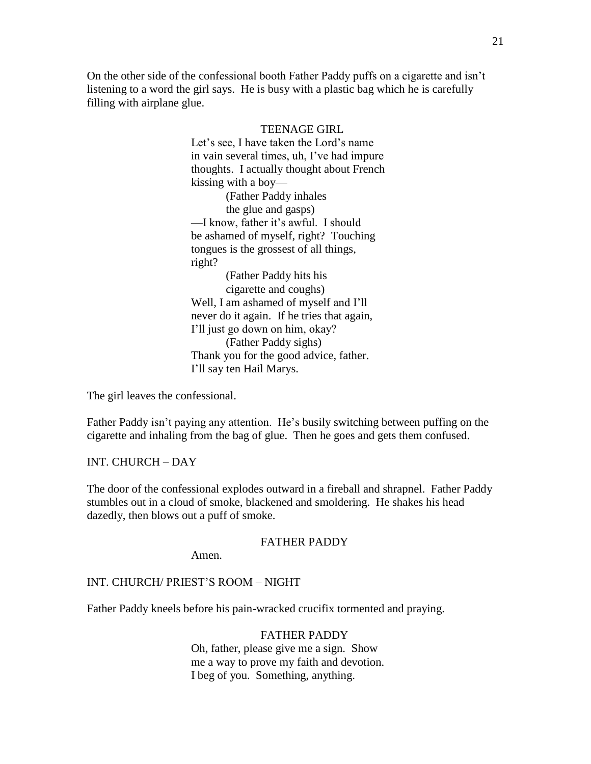On the other side of the confessional booth Father Paddy puffs on a cigarette and isn't listening to a word the girl says. He is busy with a plastic bag which he is carefully filling with airplane glue.

# TEENAGE GIRL Let's see, I have taken the Lord's name in vain several times, uh, I've had impure thoughts. I actually thought about French kissing with a boy— (Father Paddy inhales the glue and gasps) —I know, father it's awful. I should be ashamed of myself, right? Touching tongues is the grossest of all things, right? (Father Paddy hits his cigarette and coughs) Well, I am ashamed of myself and I'll never do it again. If he tries that again, I'll just go down on him, okay? (Father Paddy sighs) Thank you for the good advice, father. I'll say ten Hail Marys.

The girl leaves the confessional.

Father Paddy isn't paying any attention. He's busily switching between puffing on the cigarette and inhaling from the bag of glue. Then he goes and gets them confused.

# INT. CHURCH – DAY

The door of the confessional explodes outward in a fireball and shrapnel. Father Paddy stumbles out in a cloud of smoke, blackened and smoldering. He shakes his head dazedly, then blows out a puff of smoke.

# FATHER PADDY

Amen.

#### INT. CHURCH/ PRIEST'S ROOM – NIGHT

Father Paddy kneels before his pain-wracked crucifix tormented and praying.

#### FATHER PADDY

Oh, father, please give me a sign. Show me a way to prove my faith and devotion. I beg of you. Something, anything.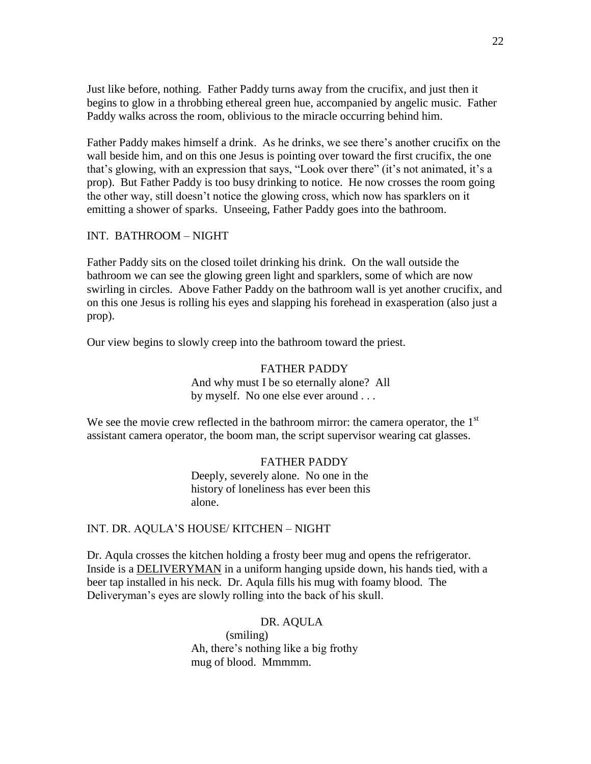Just like before, nothing. Father Paddy turns away from the crucifix, and just then it begins to glow in a throbbing ethereal green hue, accompanied by angelic music. Father Paddy walks across the room, oblivious to the miracle occurring behind him.

Father Paddy makes himself a drink. As he drinks, we see there's another crucifix on the wall beside him, and on this one Jesus is pointing over toward the first crucifix, the one that's glowing, with an expression that says, "Look over there" (it's not animated, it's a prop). But Father Paddy is too busy drinking to notice. He now crosses the room going the other way, still doesn't notice the glowing cross, which now has sparklers on it emitting a shower of sparks. Unseeing, Father Paddy goes into the bathroom.

# INT. BATHROOM – NIGHT

Father Paddy sits on the closed toilet drinking his drink. On the wall outside the bathroom we can see the glowing green light and sparklers, some of which are now swirling in circles. Above Father Paddy on the bathroom wall is yet another crucifix, and on this one Jesus is rolling his eyes and slapping his forehead in exasperation (also just a prop).

Our view begins to slowly creep into the bathroom toward the priest.

# FATHER PADDY And why must I be so eternally alone? All by myself. No one else ever around . . .

We see the movie crew reflected in the bathroom mirror: the camera operator, the  $1<sup>st</sup>$ assistant camera operator, the boom man, the script supervisor wearing cat glasses.

#### FATHER PADDY

Deeply, severely alone. No one in the history of loneliness has ever been this alone.

# INT. DR. AQULA'S HOUSE/ KITCHEN – NIGHT

Dr. Aqula crosses the kitchen holding a frosty beer mug and opens the refrigerator. Inside is a DELIVERYMAN in a uniform hanging upside down, his hands tied, with a beer tap installed in his neck. Dr. Aqula fills his mug with foamy blood. The Deliveryman's eyes are slowly rolling into the back of his skull.

# DR. AQULA

(smiling) Ah, there's nothing like a big frothy mug of blood. Mmmmm.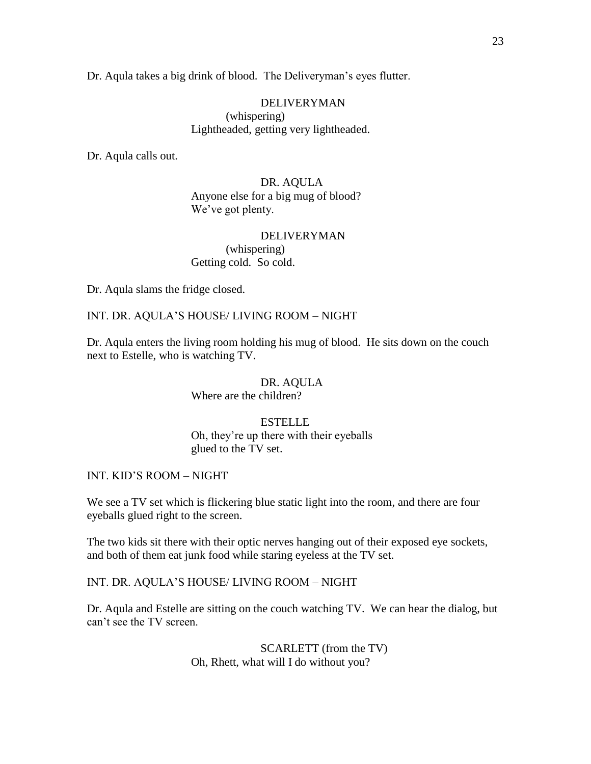Dr. Aqula takes a big drink of blood. The Deliveryman's eyes flutter.

# DELIVERYMAN (whispering) Lightheaded, getting very lightheaded.

Dr. Aqula calls out.

DR. AQULA Anyone else for a big mug of blood? We've got plenty.

# DELIVERYMAN (whispering) Getting cold. So cold.

Dr. Aqula slams the fridge closed.

# INT. DR. AQULA'S HOUSE/ LIVING ROOM – NIGHT

Dr. Aqula enters the living room holding his mug of blood. He sits down on the couch next to Estelle, who is watching TV.

#### DR. AQULA

Where are the children?

### ESTELLE

Oh, they're up there with their eyeballs glued to the TV set.

INT. KID'S ROOM – NIGHT

We see a TV set which is flickering blue static light into the room, and there are four eyeballs glued right to the screen.

The two kids sit there with their optic nerves hanging out of their exposed eye sockets, and both of them eat junk food while staring eyeless at the TV set.

# INT. DR. AQULA'S HOUSE/ LIVING ROOM – NIGHT

Dr. Aqula and Estelle are sitting on the couch watching TV. We can hear the dialog, but can't see the TV screen.

> SCARLETT (from the TV) Oh, Rhett, what will I do without you?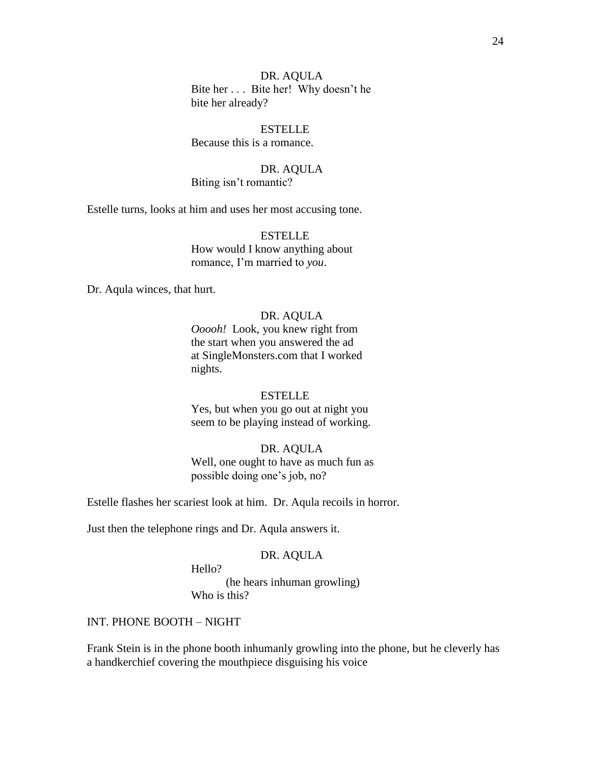24

DR. AQULA Bite her . . . Bite her! Why doesn't he bite her already?

ESTELLE Because this is a romance.

DR. AQULA

Biting isn't romantic?

Estelle turns, looks at him and uses her most accusing tone.

**ESTELLE** How would I know anything about romance, I'm married to *you*.

Dr. Aqula winces, that hurt.

# DR. AQULA

*Ooooh!* Look, you knew right from the start when you answered the ad at SingleMonsters.com that I worked nights.

#### ESTELLE

Yes, but when you go out at night you seem to be playing instead of working.

### DR. AQULA

Well, one ought to have as much fun as possible doing one's job, no?

Estelle flashes her scariest look at him. Dr. Aqula recoils in horror.

Just then the telephone rings and Dr. Aqula answers it.

#### DR. AQULA

Hello?

(he hears inhuman growling) Who is this?

# INT. PHONE BOOTH – NIGHT

Frank Stein is in the phone booth inhumanly growling into the phone, but he cleverly has a handkerchief covering the mouthpiece disguising his voice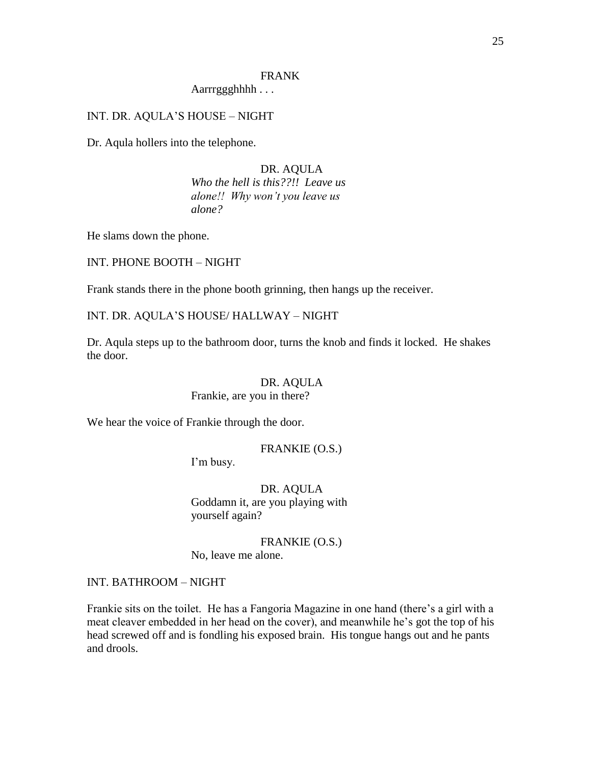# FRANK

# Aarrrggghhhh . . .

# INT. DR. AQULA'S HOUSE – NIGHT

Dr. Aqula hollers into the telephone.

# DR. AQULA

*Who the hell is this??!! Leave us alone!! Why won"t you leave us alone?*

He slams down the phone.

INT. PHONE BOOTH – NIGHT

Frank stands there in the phone booth grinning, then hangs up the receiver.

#### INT. DR. AQULA'S HOUSE/ HALLWAY – NIGHT

Dr. Aqula steps up to the bathroom door, turns the knob and finds it locked. He shakes the door.

# DR. AQULA Frankie, are you in there?

We hear the voice of Frankie through the door.

# FRANKIE (O.S.)

I'm busy.

DR. AQULA Goddamn it, are you playing with yourself again?

FRANKIE (O.S.) No, leave me alone.

# INT. BATHROOM – NIGHT

Frankie sits on the toilet. He has a Fangoria Magazine in one hand (there's a girl with a meat cleaver embedded in her head on the cover), and meanwhile he's got the top of his head screwed off and is fondling his exposed brain. His tongue hangs out and he pants and drools.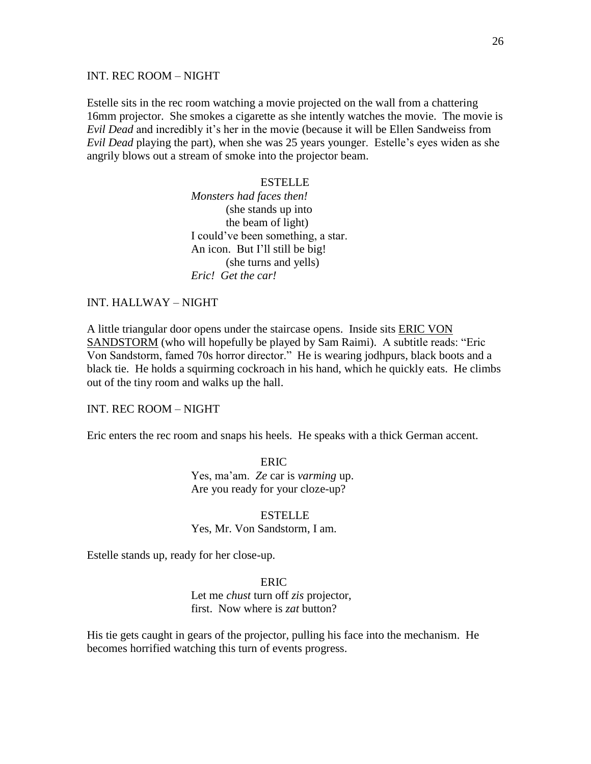### INT. REC ROOM – NIGHT

Estelle sits in the rec room watching a movie projected on the wall from a chattering 16mm projector. She smokes a cigarette as she intently watches the movie. The movie is *Evil Dead* and incredibly it's her in the movie (because it will be Ellen Sandweiss from *Evil Dead* playing the part), when she was 25 years younger. Estelle's eyes widen as she angrily blows out a stream of smoke into the projector beam.

# **ESTELLE**

*Monsters had faces then!* (she stands up into the beam of light) I could've been something, a star. An icon. But I'll still be big! (she turns and yells) *Eric! Get the car!*

# INT. HALLWAY – NIGHT

A little triangular door opens under the staircase opens. Inside sits ERIC VON SANDSTORM (who will hopefully be played by Sam Raimi). A subtitle reads: "Eric Von Sandstorm, famed 70s horror director." He is wearing jodhpurs, black boots and a black tie. He holds a squirming cockroach in his hand, which he quickly eats. He climbs out of the tiny room and walks up the hall.

# INT. REC ROOM – NIGHT

Eric enters the rec room and snaps his heels. He speaks with a thick German accent.

ERIC Yes, ma'am. *Ze* car is *varming* up. Are you ready for your cloze-up?

ESTELLE Yes, Mr. Von Sandstorm, I am.

Estelle stands up, ready for her close-up.

#### ERIC

Let me *chust* turn off *zis* projector, first. Now where is *zat* button?

His tie gets caught in gears of the projector, pulling his face into the mechanism. He becomes horrified watching this turn of events progress.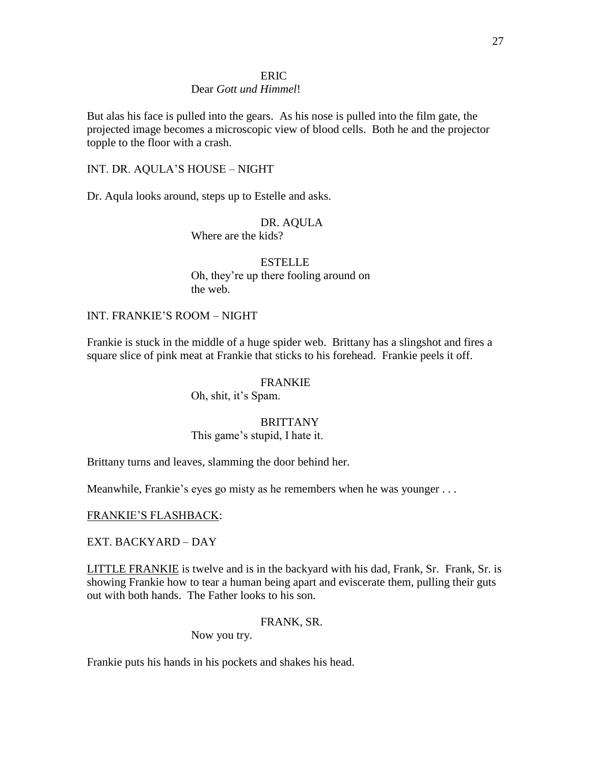### ERIC

# Dear *Gott und Himmel*!

But alas his face is pulled into the gears. As his nose is pulled into the film gate, the projected image becomes a microscopic view of blood cells. Both he and the projector topple to the floor with a crash.

# INT. DR. AQULA'S HOUSE – NIGHT

Dr. Aqula looks around, steps up to Estelle and asks.

DR. AQULA Where are the kids?

**ESTELLE** Oh, they're up there fooling around on the web.

# INT. FRANKIE'S ROOM – NIGHT

Frankie is stuck in the middle of a huge spider web. Brittany has a slingshot and fires a square slice of pink meat at Frankie that sticks to his forehead. Frankie peels it off.

#### FRANKIE

Oh, shit, it's Spam.

#### **BRITTANY**

This game's stupid, I hate it.

Brittany turns and leaves, slamming the door behind her.

Meanwhile, Frankie's eyes go misty as he remembers when he was younger . . .

### FRANKIE'S FLASHBACK:

#### EXT. BACKYARD – DAY

LITTLE FRANKIE is twelve and is in the backyard with his dad, Frank, Sr. Frank, Sr. is showing Frankie how to tear a human being apart and eviscerate them, pulling their guts out with both hands. The Father looks to his son.

# FRANK, SR.

Now you try.

Frankie puts his hands in his pockets and shakes his head.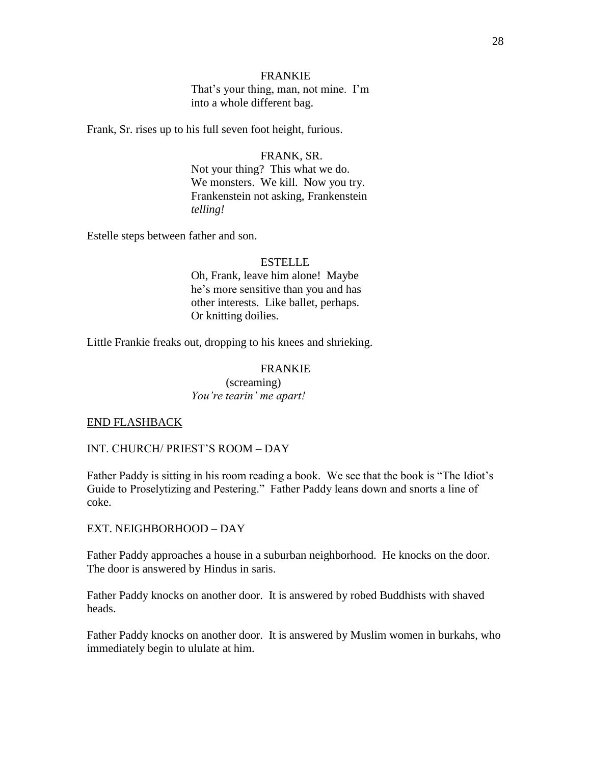## FRANKIE

That's your thing, man, not mine. I'm into a whole different bag.

Frank, Sr. rises up to his full seven foot height, furious.

#### FRANK, SR.

Not your thing? This what we do. We monsters. We kill. Now you try. Frankenstein not asking, Frankenstein *telling!*

Estelle steps between father and son.

#### **ESTELLE**

Oh, Frank, leave him alone! Maybe he's more sensitive than you and has other interests. Like ballet, perhaps. Or knitting doilies.

Little Frankie freaks out, dropping to his knees and shrieking.

### FRANKIE

(screaming) *You"re tearin" me apart!*

#### END FLASHBACK

INT. CHURCH/ PRIEST'S ROOM – DAY

Father Paddy is sitting in his room reading a book. We see that the book is "The Idiot's Guide to Proselytizing and Pestering." Father Paddy leans down and snorts a line of coke.

EXT. NEIGHBORHOOD – DAY

Father Paddy approaches a house in a suburban neighborhood. He knocks on the door. The door is answered by Hindus in saris.

Father Paddy knocks on another door. It is answered by robed Buddhists with shaved heads.

Father Paddy knocks on another door. It is answered by Muslim women in burkahs, who immediately begin to ululate at him.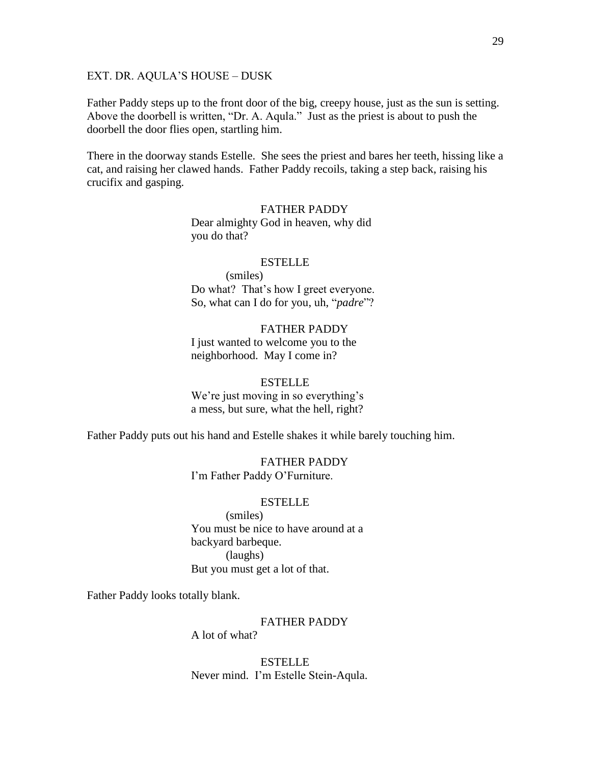### EXT. DR. AQULA'S HOUSE – DUSK

Father Paddy steps up to the front door of the big, creepy house, just as the sun is setting. Above the doorbell is written, "Dr. A. Aqula." Just as the priest is about to push the doorbell the door flies open, startling him.

There in the doorway stands Estelle. She sees the priest and bares her teeth, hissing like a cat, and raising her clawed hands. Father Paddy recoils, taking a step back, raising his crucifix and gasping.

# FATHER PADDY Dear almighty God in heaven, why did you do that?

#### ESTELLE

(smiles) Do what? That's how I greet everyone. So, what can I do for you, uh, "*padre*"?

FATHER PADDY I just wanted to welcome you to the neighborhood. May I come in?

#### ESTELLE

We're just moving in so everything's a mess, but sure, what the hell, right?

Father Paddy puts out his hand and Estelle shakes it while barely touching him.

FATHER PADDY I'm Father Paddy O'Furniture.

#### **ESTELLE**

(smiles) You must be nice to have around at a backyard barbeque. (laughs) But you must get a lot of that.

Father Paddy looks totally blank.

### FATHER PADDY

A lot of what?

ESTELLE Never mind. I'm Estelle Stein-Aqula.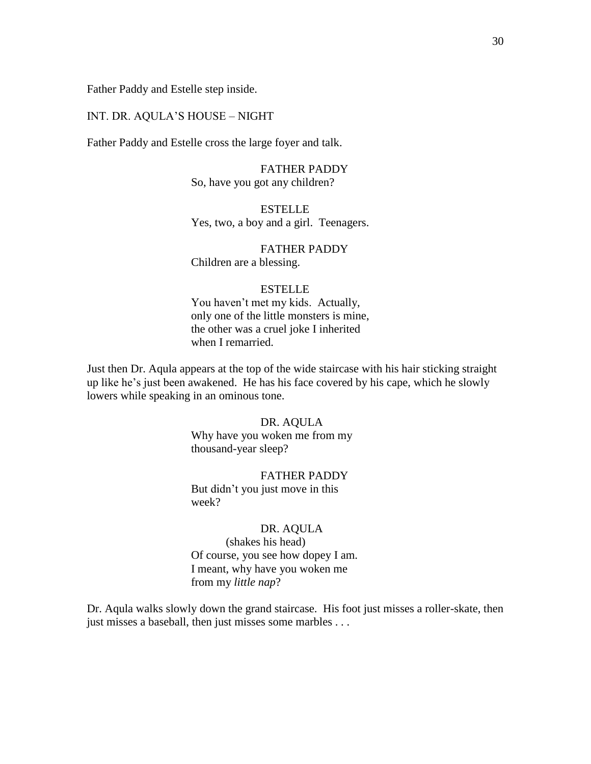Father Paddy and Estelle step inside.

# INT. DR. AQULA'S HOUSE – NIGHT

Father Paddy and Estelle cross the large foyer and talk.

FATHER PADDY So, have you got any children?

**ESTELLE** Yes, two, a boy and a girl. Teenagers.

FATHER PADDY Children are a blessing.

# ESTELLE

You haven't met my kids. Actually, only one of the little monsters is mine, the other was a cruel joke I inherited when I remarried.

Just then Dr. Aqula appears at the top of the wide staircase with his hair sticking straight up like he's just been awakened. He has his face covered by his cape, which he slowly lowers while speaking in an ominous tone.

#### DR. AQULA

Why have you woken me from my thousand-year sleep?

#### FATHER PADDY

But didn't you just move in this week?

### DR. AQULA

(shakes his head) Of course, you see how dopey I am. I meant, why have you woken me from my *little nap*?

Dr. Aqula walks slowly down the grand staircase. His foot just misses a roller-skate, then just misses a baseball, then just misses some marbles . . .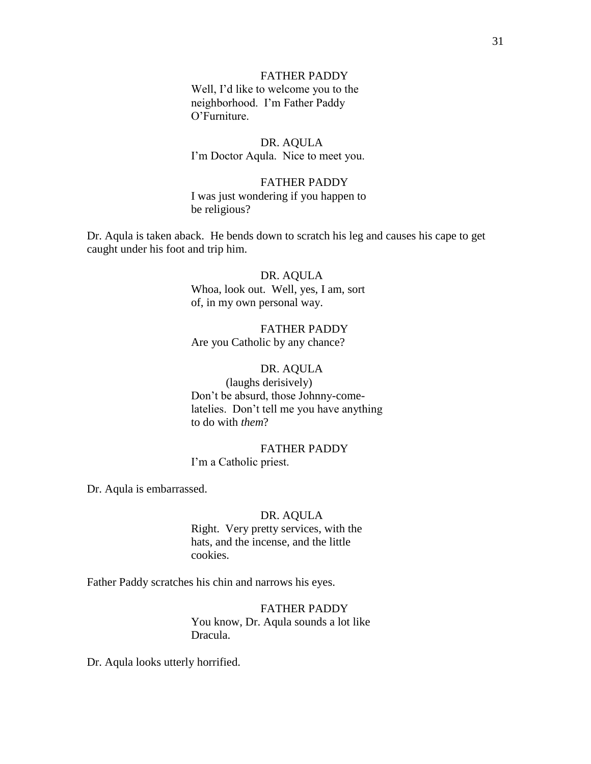# FATHER PADDY

Well, I'd like to welcome you to the neighborhood. I'm Father Paddy O'Furniture.

# DR. AQULA

I'm Doctor Aqula. Nice to meet you.

# FATHER PADDY

I was just wondering if you happen to be religious?

Dr. Aqula is taken aback. He bends down to scratch his leg and causes his cape to get caught under his foot and trip him.

# DR. AQULA Whoa, look out. Well, yes, I am, sort of, in my own personal way.

# FATHER PADDY Are you Catholic by any chance?

# DR. AQULA

(laughs derisively) Don't be absurd, those Johnny-comelatelies. Don't tell me you have anything to do with *them*?

# FATHER PADDY I'm a Catholic priest.

Dr. Aqula is embarrassed.

# DR. AQULA

Right. Very pretty services, with the hats, and the incense, and the little cookies.

Father Paddy scratches his chin and narrows his eyes.

FATHER PADDY You know, Dr. Aqula sounds a lot like Dracula.

Dr. Aqula looks utterly horrified.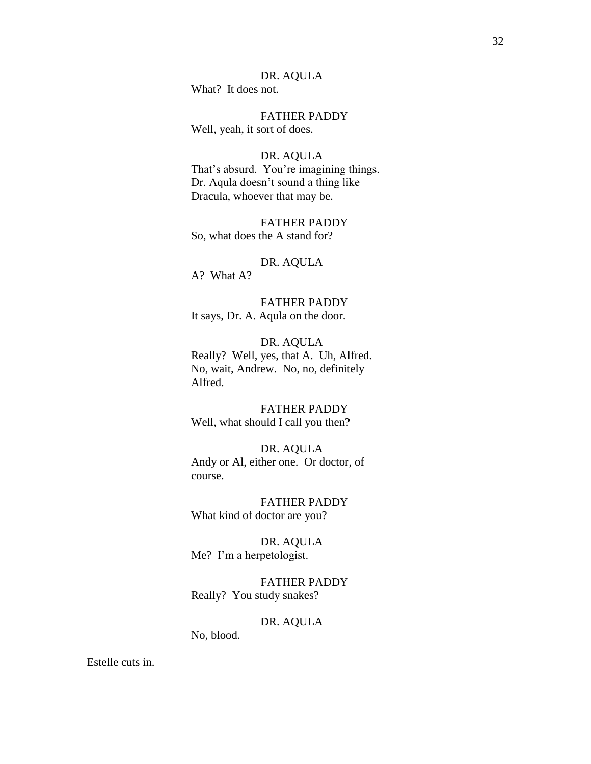# DR. AQULA

What? It does not.

FATHER PADDY Well, yeah, it sort of does.

#### DR. AQULA

That's absurd. You're imagining things. Dr. Aqula doesn't sound a thing like Dracula, whoever that may be.

FATHER PADDY So, what does the A stand for?

### DR. AQULA

A? What A?

FATHER PADDY It says, Dr. A. Aqula on the door.

# DR. AQULA

Really? Well, yes, that A. Uh, Alfred. No, wait, Andrew. No, no, definitely Alfred.

FATHER PADDY Well, what should I call you then?

# DR. AQULA

Andy or Al, either one. Or doctor, of course.

FATHER PADDY What kind of doctor are you?

DR. AQULA Me? I'm a herpetologist.

FATHER PADDY Really? You study snakes?

# DR. AQULA

No, blood.

Estelle cuts in.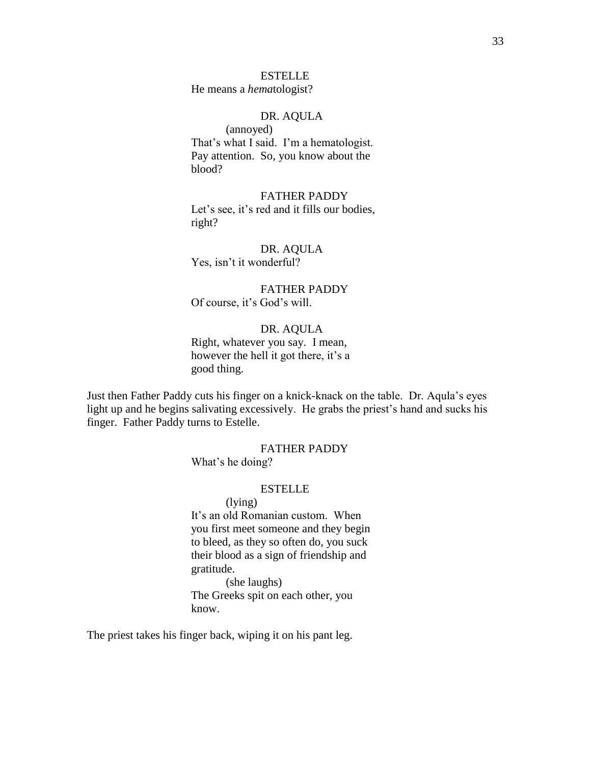### **ESTELLE**

He means a *hema*tologist?

# DR. AQULA

(annoyed) That's what I said. I'm a hematologist. Pay attention. So, you know about the blood?

FATHER PADDY Let's see, it's red and it fills our bodies, right?

DR. AQULA Yes, isn't it wonderful?

FATHER PADDY Of course, it's God's will.

DR. AQULA

Right, whatever you say. I mean, however the hell it got there, it's a good thing.

Just then Father Paddy cuts his finger on a knick-knack on the table. Dr. Aqula's eyes light up and he begins salivating excessively. He grabs the priest's hand and sucks his finger. Father Paddy turns to Estelle.

# FATHER PADDY

What's he doing?

# ESTELLE

(lying) It's an old Romanian custom. When you first meet someone and they begin to bleed, as they so often do, you suck their blood as a sign of friendship and gratitude.

(she laughs) The Greeks spit on each other, you know.

The priest takes his finger back, wiping it on his pant leg.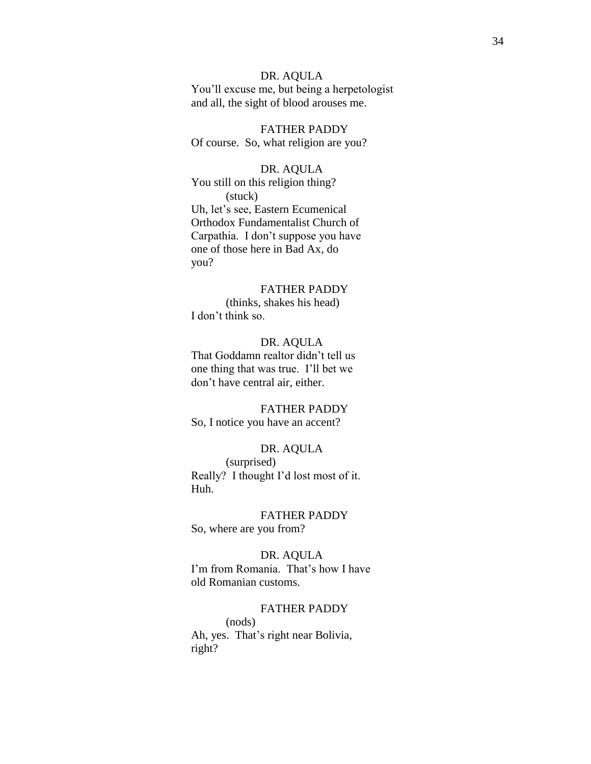# DR. AQULA

You'll excuse me, but being a herpetologist and all, the sight of blood arouses me.

FATHER PADDY Of course. So, what religion are you?

# DR. AQULA

You still on this religion thing? (stuck) Uh, let's see, Eastern Ecumenical Orthodox Fundamentalist Church of Carpathia. I don't suppose you have one of those here in Bad Ax, do you?

# FATHER PADDY

(thinks, shakes his head) I don't think so.

# DR. AQULA

That Goddamn realtor didn't tell us one thing that was true. I'll bet we don't have central air, either.

FATHER PADDY So, I notice you have an accent?

### DR. AQULA

(surprised) Really? I thought I'd lost most of it. Huh.

FATHER PADDY So, where are you from?

DR. AQULA I'm from Romania. That's how I have old Romanian customs.

#### FATHER PADDY

(nods) Ah, yes. That's right near Bolivia, right?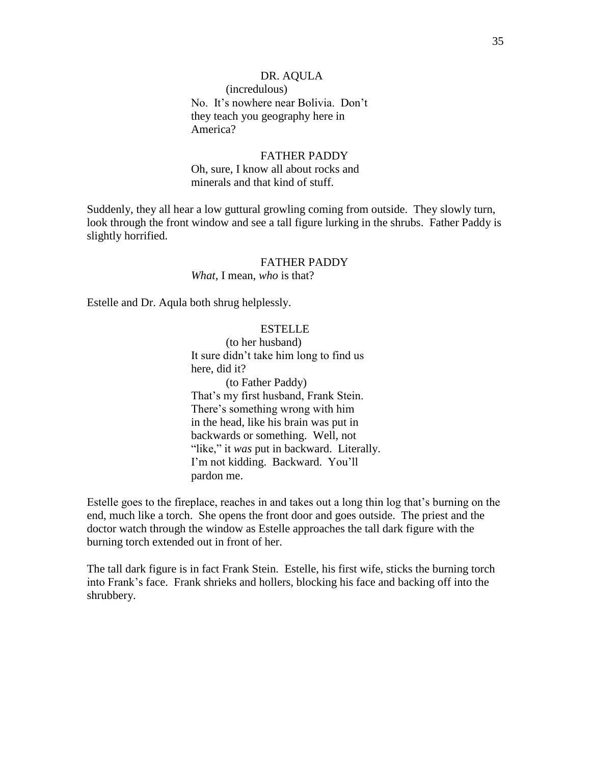# DR. AQULA (incredulous) No. It's nowhere near Bolivia. Don't they teach you geography here in America?

# FATHER PADDY Oh, sure, I know all about rocks and minerals and that kind of stuff.

Suddenly, they all hear a low guttural growling coming from outside. They slowly turn, look through the front window and see a tall figure lurking in the shrubs. Father Paddy is slightly horrified.

# FATHER PADDY

*What*, I mean, *who* is that?

Estelle and Dr. Aqula both shrug helplessly.

# **ESTELLE**

(to her husband) It sure didn't take him long to find us here, did it? (to Father Paddy) That's my first husband, Frank Stein. There's something wrong with him in the head, like his brain was put in backwards or something. Well, not "like," it *was* put in backward. Literally. I'm not kidding. Backward. You'll pardon me.

Estelle goes to the fireplace, reaches in and takes out a long thin log that's burning on the end, much like a torch. She opens the front door and goes outside. The priest and the doctor watch through the window as Estelle approaches the tall dark figure with the burning torch extended out in front of her.

The tall dark figure is in fact Frank Stein. Estelle, his first wife, sticks the burning torch into Frank's face. Frank shrieks and hollers, blocking his face and backing off into the shrubbery.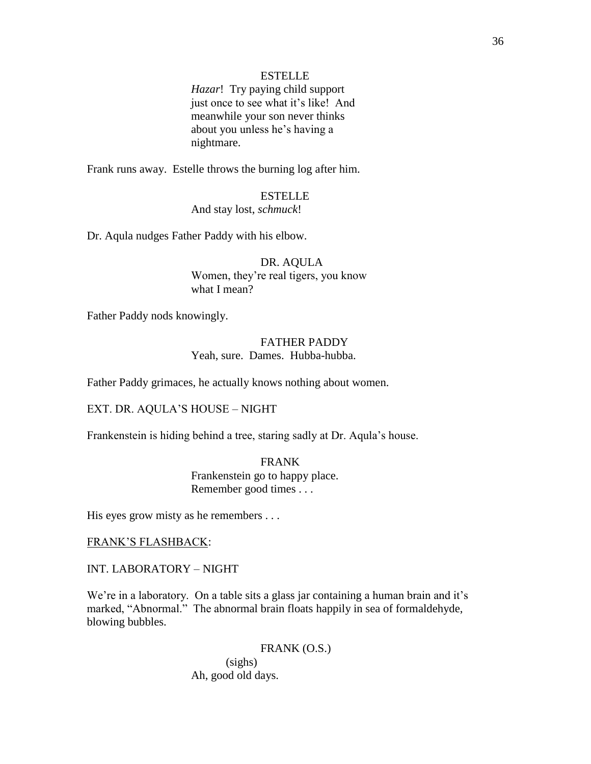# ESTELLE

*Hazar*! Try paying child support just once to see what it's like! And meanwhile your son never thinks about you unless he's having a nightmare.

Frank runs away. Estelle throws the burning log after him.

# ESTELLE

# And stay lost, *schmuck*!

Dr. Aqula nudges Father Paddy with his elbow.

# DR. AQULA Women, they're real tigers, you know what I mean?

Father Paddy nods knowingly.

# FATHER PADDY Yeah, sure. Dames. Hubba-hubba.

Father Paddy grimaces, he actually knows nothing about women.

EXT. DR. AQULA'S HOUSE – NIGHT

Frankenstein is hiding behind a tree, staring sadly at Dr. Aqula's house.

FRANK Frankenstein go to happy place. Remember good times . . .

His eyes grow misty as he remembers . . .

#### FRANK'S FLASHBACK:

INT. LABORATORY – NIGHT

We're in a laboratory. On a table sits a glass jar containing a human brain and it's marked, "Abnormal." The abnormal brain floats happily in sea of formaldehyde, blowing bubbles.

> FRANK (O.S.) (sighs) Ah, good old days.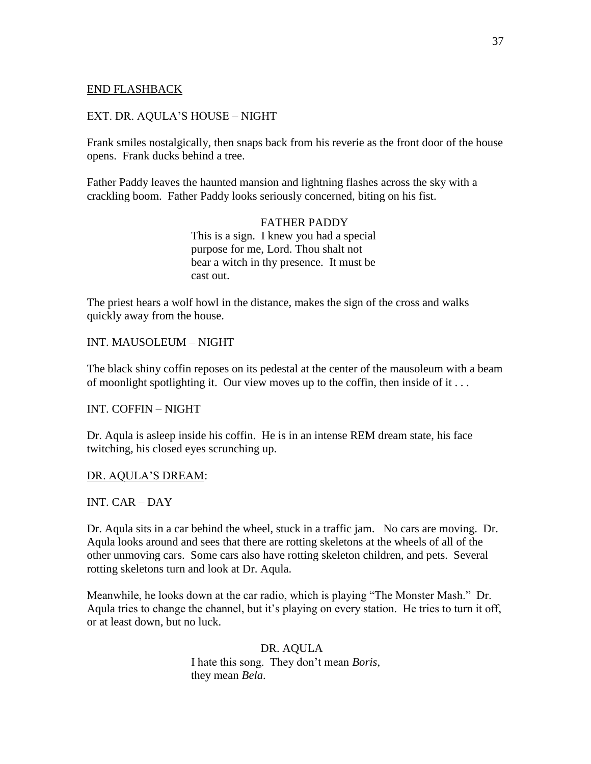# END FLASHBACK

# EXT. DR. AQULA'S HOUSE – NIGHT

Frank smiles nostalgically, then snaps back from his reverie as the front door of the house opens. Frank ducks behind a tree.

Father Paddy leaves the haunted mansion and lightning flashes across the sky with a crackling boom. Father Paddy looks seriously concerned, biting on his fist.

> FATHER PADDY This is a sign. I knew you had a special purpose for me, Lord. Thou shalt not bear a witch in thy presence. It must be cast out.

The priest hears a wolf howl in the distance, makes the sign of the cross and walks quickly away from the house.

INT. MAUSOLEUM – NIGHT

The black shiny coffin reposes on its pedestal at the center of the mausoleum with a beam of moonlight spotlighting it. Our view moves up to the coffin, then inside of it . . .

INT. COFFIN – NIGHT

Dr. Aqula is asleep inside his coffin. He is in an intense REM dream state, his face twitching, his closed eyes scrunching up.

DR. AQULA'S DREAM:

INT. CAR – DAY

Dr. Aqula sits in a car behind the wheel, stuck in a traffic jam. No cars are moving. Dr. Aqula looks around and sees that there are rotting skeletons at the wheels of all of the other unmoving cars. Some cars also have rotting skeleton children, and pets. Several rotting skeletons turn and look at Dr. Aqula.

Meanwhile, he looks down at the car radio, which is playing "The Monster Mash." Dr. Aqula tries to change the channel, but it's playing on every station. He tries to turn it off, or at least down, but no luck.

> DR. AQULA I hate this song. They don't mean *Boris*, they mean *Bela*.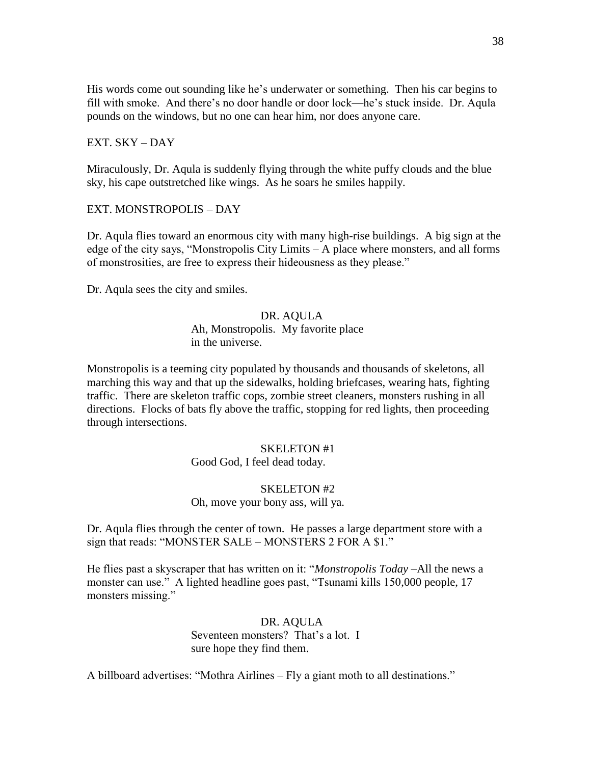His words come out sounding like he's underwater or something. Then his car begins to fill with smoke. And there's no door handle or door lock—he's stuck inside. Dr. Aqula pounds on the windows, but no one can hear him, nor does anyone care.

### EXT. SKY – DAY

Miraculously, Dr. Aqula is suddenly flying through the white puffy clouds and the blue sky, his cape outstretched like wings. As he soars he smiles happily.

### EXT. MONSTROPOLIS – DAY

Dr. Aqula flies toward an enormous city with many high-rise buildings. A big sign at the edge of the city says, "Monstropolis City Limits  $- A$  place where monsters, and all forms of monstrosities, are free to express their hideousness as they please."

Dr. Aqula sees the city and smiles.

#### DR. AQULA

# Ah, Monstropolis. My favorite place in the universe.

Monstropolis is a teeming city populated by thousands and thousands of skeletons, all marching this way and that up the sidewalks, holding briefcases, wearing hats, fighting traffic. There are skeleton traffic cops, zombie street cleaners, monsters rushing in all directions. Flocks of bats fly above the traffic, stopping for red lights, then proceeding through intersections.

### SKELETON #1

Good God, I feel dead today.

#### SKELETON #2

### Oh, move your bony ass, will ya.

Dr. Aqula flies through the center of town. He passes a large department store with a sign that reads: "MONSTER SALE – MONSTERS 2 FOR A \$1."

He flies past a skyscraper that has written on it: "*Monstropolis Today* –All the news a monster can use." A lighted headline goes past, "Tsunami kills 150,000 people, 17 monsters missing."

> DR. AQULA Seventeen monsters? That's a lot. I sure hope they find them.

A billboard advertises: "Mothra Airlines – Fly a giant moth to all destinations."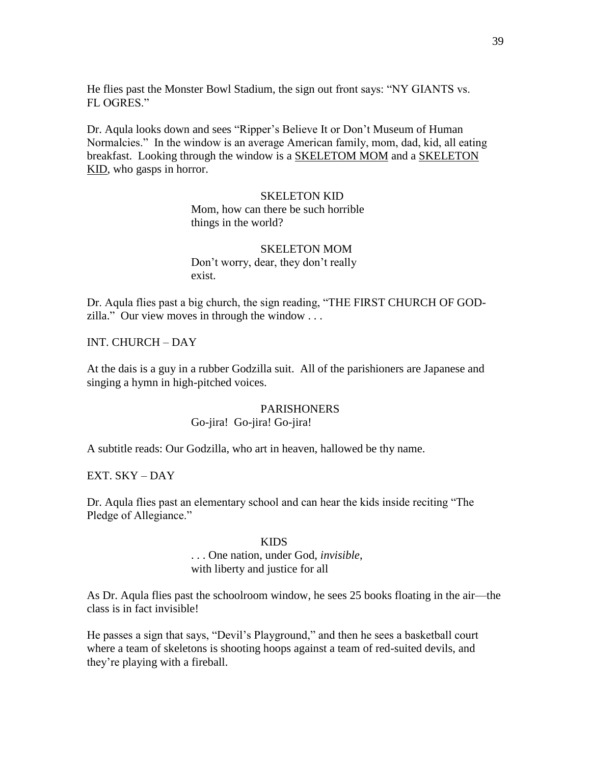He flies past the Monster Bowl Stadium, the sign out front says: "NY GIANTS vs. FL OGRES."

Dr. Aqula looks down and sees "Ripper's Believe It or Don't Museum of Human Normalcies." In the window is an average American family, mom, dad, kid, all eating breakfast. Looking through the window is a SKELETOM MOM and a SKELETON KID, who gasps in horror.

#### SKELETON KID

Mom, how can there be such horrible things in the world?

SKELETON MOM Don't worry, dear, they don't really exist.

Dr. Aqula flies past a big church, the sign reading, "THE FIRST CHURCH OF GODzilla." Our view moves in through the window  $\dots$ 

INT. CHURCH – DAY

At the dais is a guy in a rubber Godzilla suit. All of the parishioners are Japanese and singing a hymn in high-pitched voices.

# PARISHONERS

# Go-jira! Go-jira! Go-jira!

A subtitle reads: Our Godzilla, who art in heaven, hallowed be thy name.

EXT. SKY – DAY

Dr. Aqula flies past an elementary school and can hear the kids inside reciting "The Pledge of Allegiance."

#### KIDS

# . . . One nation, under God, *invisible*, with liberty and justice for all

As Dr. Aqula flies past the schoolroom window, he sees 25 books floating in the air—the class is in fact invisible!

He passes a sign that says, "Devil's Playground," and then he sees a basketball court where a team of skeletons is shooting hoops against a team of red-suited devils, and they're playing with a fireball.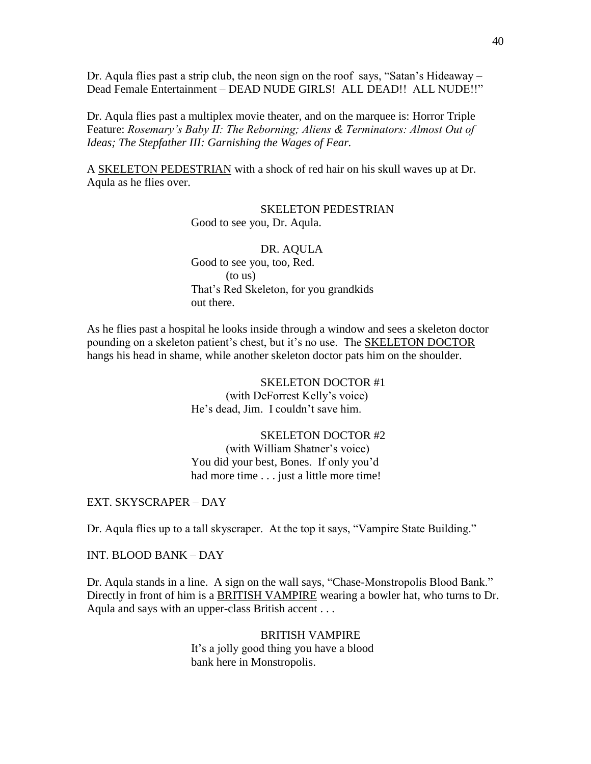Dr. Aqula flies past a strip club, the neon sign on the roof says, "Satan's Hideaway – Dead Female Entertainment - DEAD NUDE GIRLS! ALL DEAD!! ALL NUDE!!"

Dr. Aqula flies past a multiplex movie theater, and on the marquee is: Horror Triple Feature: *Rosemary's Baby II: The Reborning; Aliens & Terminators: Almost Out of Ideas; The Stepfather III: Garnishing the Wages of Fear.*

A SKELETON PEDESTRIAN with a shock of red hair on his skull waves up at Dr. Aqula as he flies over.

#### SKELETON PEDESTRIAN

Good to see you, Dr. Aqula.

# DR. AQULA

Good to see you, too, Red. (to us) That's Red Skeleton, for you grandkids out there.

As he flies past a hospital he looks inside through a window and sees a skeleton doctor pounding on a skeleton patient's chest, but it's no use. The SKELETON DOCTOR hangs his head in shame, while another skeleton doctor pats him on the shoulder.

> SKELETON DOCTOR #1 (with DeForrest Kelly's voice) He's dead, Jim. I couldn't save him.

# SKELETON DOCTOR #2

(with William Shatner's voice) You did your best, Bones. If only you'd had more time . . . just a little more time!

#### EXT. SKYSCRAPER – DAY

Dr. Aqula flies up to a tall skyscraper. At the top it says, "Vampire State Building."

INT. BLOOD BANK – DAY

Dr. Aqula stands in a line. A sign on the wall says, "Chase-Monstropolis Blood Bank." Directly in front of him is a BRITISH VAMPIRE wearing a bowler hat, who turns to Dr. Aqula and says with an upper-class British accent . . .

#### BRITISH VAMPIRE

It's a jolly good thing you have a blood bank here in Monstropolis.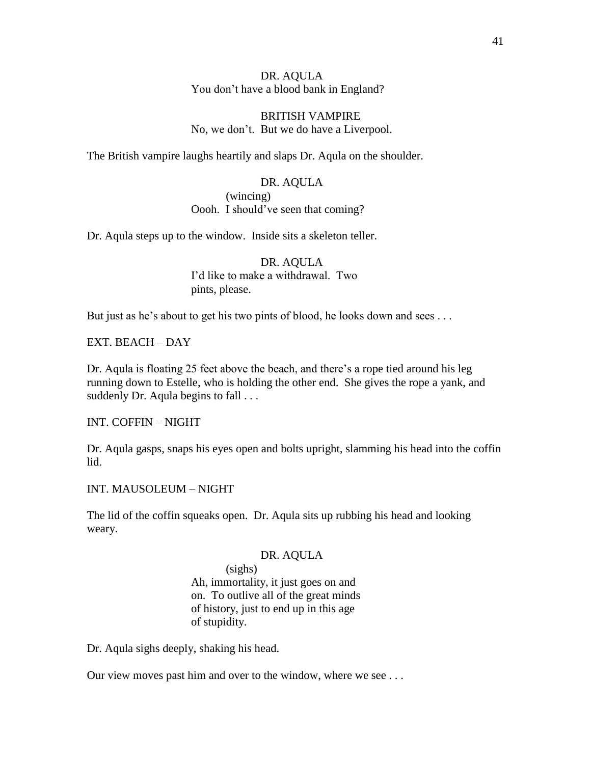DR. AQULA You don't have a blood bank in England?

BRITISH VAMPIRE No, we don't. But we do have a Liverpool.

The British vampire laughs heartily and slaps Dr. Aqula on the shoulder.

DR. AQULA (wincing) Oooh. I should've seen that coming?

Dr. Aqula steps up to the window. Inside sits a skeleton teller.

DR. AQULA I'd like to make a withdrawal. Two pints, please.

But just as he's about to get his two pints of blood, he looks down and sees . . .

EXT. BEACH – DAY

Dr. Aqula is floating 25 feet above the beach, and there's a rope tied around his leg running down to Estelle, who is holding the other end. She gives the rope a yank, and suddenly Dr. Aqula begins to fall . . .

INT. COFFIN – NIGHT

Dr. Aqula gasps, snaps his eyes open and bolts upright, slamming his head into the coffin lid.

INT. MAUSOLEUM – NIGHT

The lid of the coffin squeaks open. Dr. Aqula sits up rubbing his head and looking weary.

### DR. AQULA

(sighs) Ah, immortality, it just goes on and on. To outlive all of the great minds of history, just to end up in this age of stupidity.

Dr. Aqula sighs deeply, shaking his head.

Our view moves past him and over to the window, where we see . . .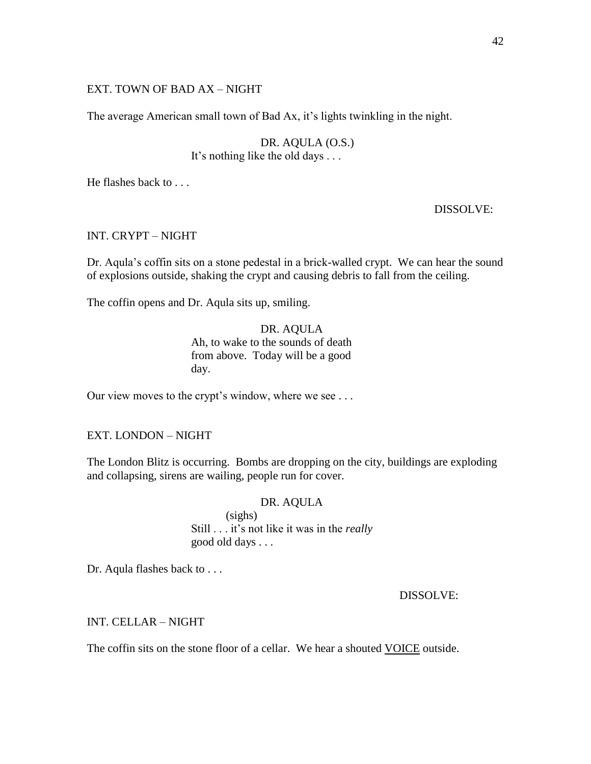# EXT. TOWN OF BAD AX – NIGHT

The average American small town of Bad Ax, it's lights twinkling in the night.

DR. AQULA (O.S.) It's nothing like the old days . . .

He flashes back to . . .

DISSOLVE:

# INT. CRYPT – NIGHT

Dr. Aqula's coffin sits on a stone pedestal in a brick-walled crypt. We can hear the sound of explosions outside, shaking the crypt and causing debris to fall from the ceiling.

The coffin opens and Dr. Aqula sits up, smiling.

DR. AQULA Ah, to wake to the sounds of death from above. Today will be a good day.

Our view moves to the crypt's window, where we see . . .

EXT. LONDON – NIGHT

The London Blitz is occurring. Bombs are dropping on the city, buildings are exploding and collapsing, sirens are wailing, people run for cover.

#### DR. AQULA

(sighs) Still . . . it's not like it was in the *really* good old days . . .

Dr. Aqula flashes back to . . .

DISSOLVE:

INT. CELLAR – NIGHT

The coffin sits on the stone floor of a cellar. We hear a shouted VOICE outside.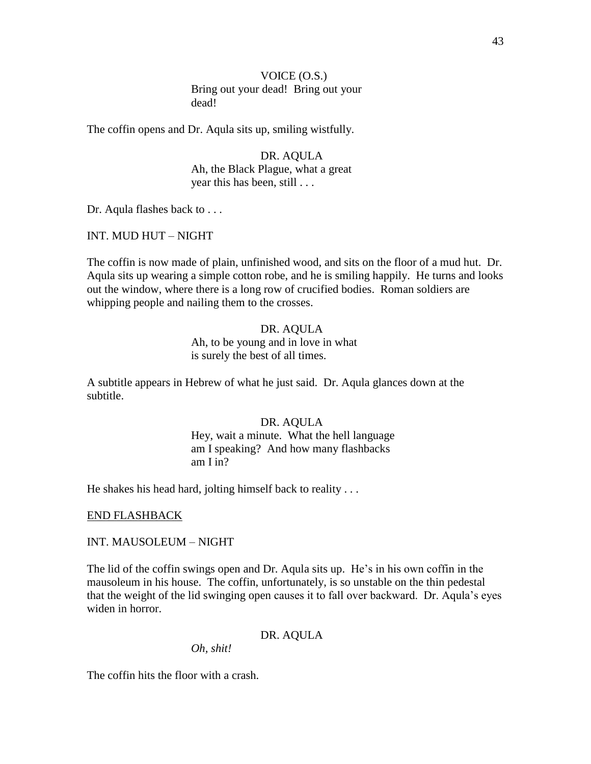VOICE (O.S.) Bring out your dead! Bring out your dead!

The coffin opens and Dr. Aqula sits up, smiling wistfully.

DR. AQULA Ah, the Black Plague, what a great year this has been, still . . .

Dr. Aqula flashes back to . . .

INT. MUD HUT – NIGHT

The coffin is now made of plain, unfinished wood, and sits on the floor of a mud hut. Dr. Aqula sits up wearing a simple cotton robe, and he is smiling happily. He turns and looks out the window, where there is a long row of crucified bodies. Roman soldiers are whipping people and nailing them to the crosses.

#### DR. AQULA

Ah, to be young and in love in what is surely the best of all times.

A subtitle appears in Hebrew of what he just said. Dr. Aqula glances down at the subtitle.

### DR. AQULA

Hey, wait a minute. What the hell language am I speaking? And how many flashbacks am I in?

He shakes his head hard, jolting himself back to reality . . .

#### END FLASHBACK

#### INT. MAUSOLEUM – NIGHT

The lid of the coffin swings open and Dr. Aqula sits up. He's in his own coffin in the mausoleum in his house. The coffin, unfortunately, is so unstable on the thin pedestal that the weight of the lid swinging open causes it to fall over backward. Dr. Aqula's eyes widen in horror.

#### DR. AQULA

*Oh, shit!*

The coffin hits the floor with a crash.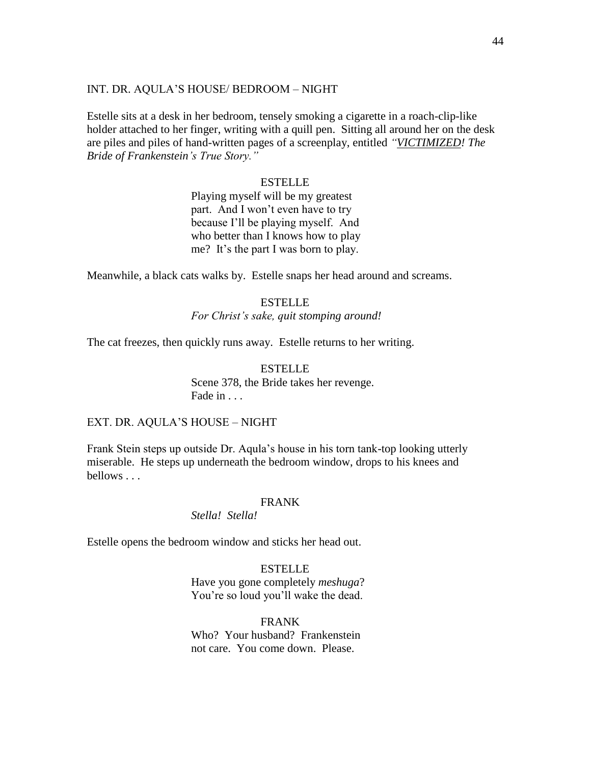### INT. DR. AQULA'S HOUSE/ BEDROOM – NIGHT

Estelle sits at a desk in her bedroom, tensely smoking a cigarette in a roach-clip-like holder attached to her finger, writing with a quill pen. Sitting all around her on the desk are piles and piles of hand-written pages of a screenplay, entitled *"VICTIMIZED! The Bride of Frankenstein"s True Story."*

# ESTELLE

Playing myself will be my greatest part. And I won't even have to try because I'll be playing myself. And who better than I knows how to play me? It's the part I was born to play.

Meanwhile, a black cats walks by. Estelle snaps her head around and screams.

### **ESTELLE**

*For Christ"s sake, quit stomping around!*

The cat freezes, then quickly runs away. Estelle returns to her writing.

**ESTELLE** Scene 378, the Bride takes her revenge. Fade in . . .

### EXT. DR. AQULA'S HOUSE – NIGHT

Frank Stein steps up outside Dr. Aqula's house in his torn tank-top looking utterly miserable. He steps up underneath the bedroom window, drops to his knees and bellows . . .

#### FRANK

# *Stella! Stella!*

Estelle opens the bedroom window and sticks her head out.

# **ESTELLE**

Have you gone completely *meshuga*? You're so loud you'll wake the dead.

### FRANK

Who? Your husband? Frankenstein not care. You come down. Please.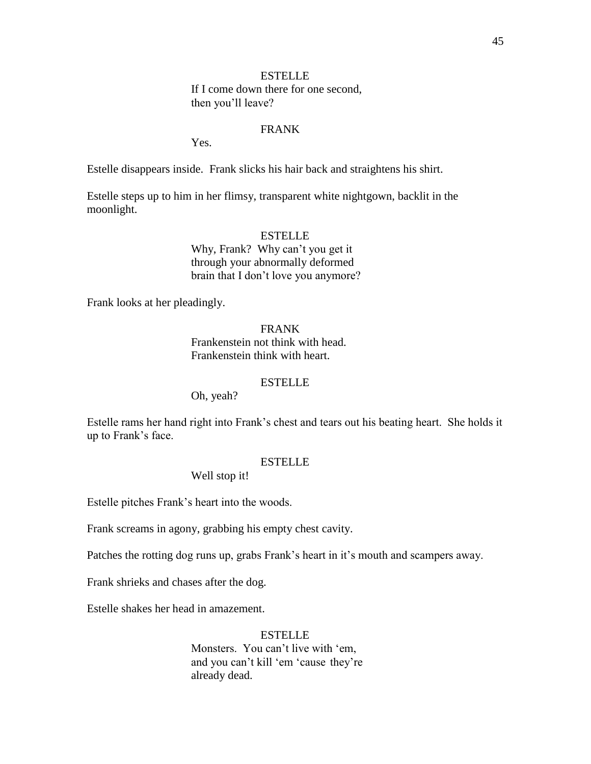# **ESTELLE**

If I come down there for one second, then you'll leave?

# FRANK

Yes.

Estelle disappears inside. Frank slicks his hair back and straightens his shirt.

Estelle steps up to him in her flimsy, transparent white nightgown, backlit in the moonlight.

# **ESTELLE**

Why, Frank? Why can't you get it through your abnormally deformed brain that I don't love you anymore?

Frank looks at her pleadingly.

FRANK Frankenstein not think with head. Frankenstein think with heart.

# **ESTELLE**

Oh, yeah?

Estelle rams her hand right into Frank's chest and tears out his beating heart. She holds it up to Frank's face.

# ESTELLE

Well stop it!

Estelle pitches Frank's heart into the woods.

Frank screams in agony, grabbing his empty chest cavity.

Patches the rotting dog runs up, grabs Frank's heart in it's mouth and scampers away.

Frank shrieks and chases after the dog.

Estelle shakes her head in amazement.

#### **ESTELLE**

Monsters. You can't live with 'em, and you can't kill 'em 'cause they're already dead.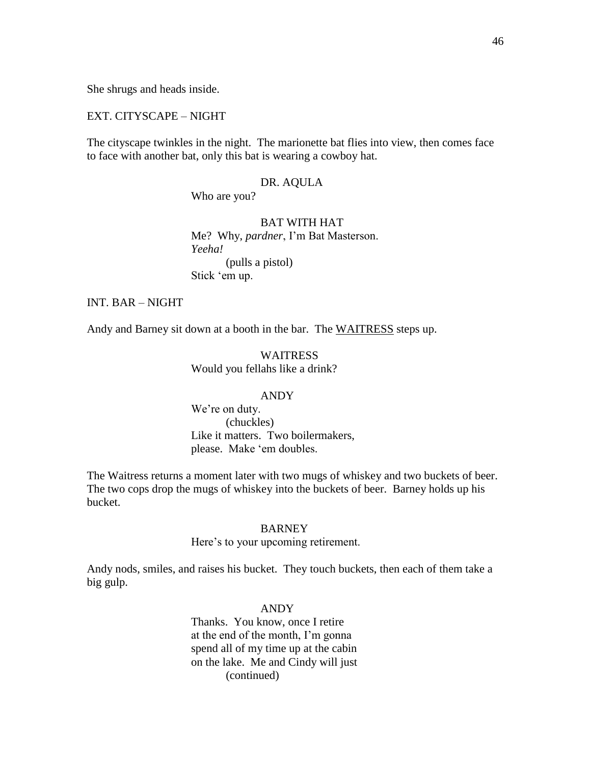She shrugs and heads inside.

#### EXT. CITYSCAPE – NIGHT

The cityscape twinkles in the night. The marionette bat flies into view, then comes face to face with another bat, only this bat is wearing a cowboy hat.

#### DR. AQULA

Who are you?

# BAT WITH HAT

Me? Why, *pardner*, I'm Bat Masterson. *Yeeha!*  (pulls a pistol) Stick 'em up.

# INT. BAR – NIGHT

Andy and Barney sit down at a booth in the bar. The WAITRESS steps up.

WAITRESS Would you fellahs like a drink?

#### ANDY

We're on duty. (chuckles) Like it matters. Two boilermakers, please. Make 'em doubles.

The Waitress returns a moment later with two mugs of whiskey and two buckets of beer. The two cops drop the mugs of whiskey into the buckets of beer. Barney holds up his bucket.

### BARNEY

#### Here's to your upcoming retirement.

Andy nods, smiles, and raises his bucket. They touch buckets, then each of them take a big gulp.

### ANDY

Thanks. You know, once I retire at the end of the month, I'm gonna spend all of my time up at the cabin on the lake. Me and Cindy will just (continued)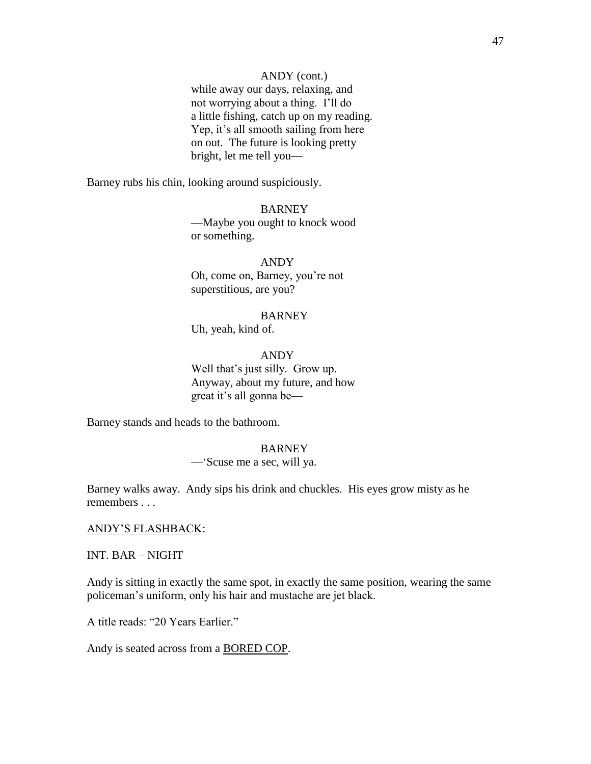### ANDY (cont.)

while away our days, relaxing, and not worrying about a thing. I'll do a little fishing, catch up on my reading. Yep, it's all smooth sailing from here on out. The future is looking pretty bright, let me tell you—

Barney rubs his chin, looking around suspiciously.

**BARNEY** —Maybe you ought to knock wood or something.

ANDY Oh, come on, Barney, you're not superstitious, are you?

#### BARNEY

Uh, yeah, kind of.

ANDY Well that's just silly. Grow up. Anyway, about my future, and how great it's all gonna be—

Barney stands and heads to the bathroom.

### BARNEY

—‗Scuse me a sec, will ya.

Barney walks away. Andy sips his drink and chuckles. His eyes grow misty as he remembers . . .

### ANDY'S FLASHBACK:

INT. BAR – NIGHT

Andy is sitting in exactly the same spot, in exactly the same position, wearing the same policeman's uniform, only his hair and mustache are jet black.

A title reads: "20 Years Earlier."

Andy is seated across from a BORED COP.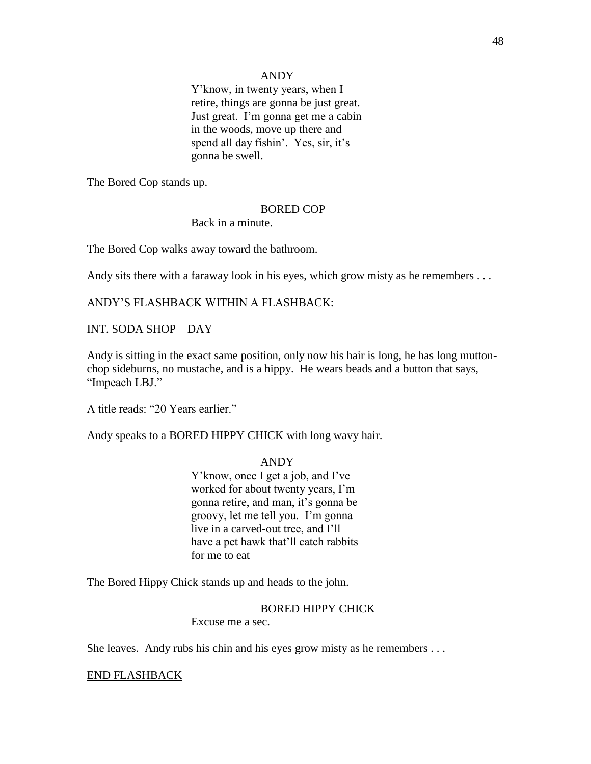### ANDY

Y'know, in twenty years, when I retire, things are gonna be just great. Just great. I'm gonna get me a cabin in the woods, move up there and spend all day fishin'. Yes, sir, it's gonna be swell.

The Bored Cop stands up.

#### BORED COP

Back in a minute.

The Bored Cop walks away toward the bathroom.

Andy sits there with a faraway look in his eyes, which grow misty as he remembers ...

# ANDY'S FLASHBACK WITHIN A FLASHBACK:

# INT. SODA SHOP – DAY

Andy is sitting in the exact same position, only now his hair is long, he has long muttonchop sideburns, no mustache, and is a hippy. He wears beads and a button that says, "Impeach LBJ."

A title reads: "20 Years earlier."

Andy speaks to a BORED HIPPY CHICK with long wavy hair.

# ANDY

Y'know, once I get a job, and I've worked for about twenty years, I'm gonna retire, and man, it's gonna be groovy, let me tell you. I'm gonna live in a carved-out tree, and I'll have a pet hawk that'll catch rabbits for me to eat—

The Bored Hippy Chick stands up and heads to the john.

BORED HIPPY CHICK

Excuse me a sec.

She leaves. Andy rubs his chin and his eyes grow misty as he remembers . . .

# END FLASHBACK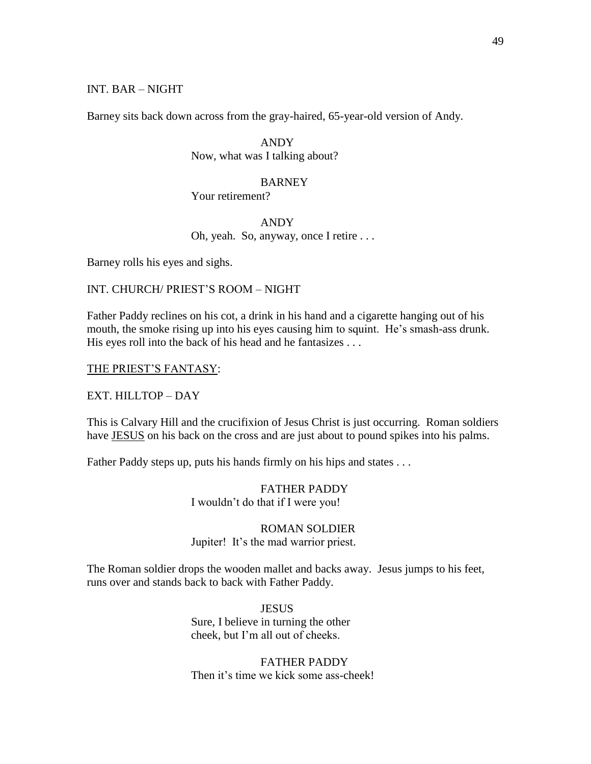# INT. BAR – NIGHT

Barney sits back down across from the gray-haired, 65-year-old version of Andy.

ANDY Now, what was I talking about?

BARNEY Your retirement?

ANDY Oh, yeah. So, anyway, once I retire . . .

Barney rolls his eyes and sighs.

## INT. CHURCH/ PRIEST'S ROOM – NIGHT

Father Paddy reclines on his cot, a drink in his hand and a cigarette hanging out of his mouth, the smoke rising up into his eyes causing him to squint. He's smash-ass drunk. His eyes roll into the back of his head and he fantasizes . . .

### THE PRIEST'S FANTASY:

#### EXT. HILLTOP – DAY

This is Calvary Hill and the crucifixion of Jesus Christ is just occurring. Roman soldiers have JESUS on his back on the cross and are just about to pound spikes into his palms.

Father Paddy steps up, puts his hands firmly on his hips and states ...

FATHER PADDY I wouldn't do that if I were you!

# ROMAN SOLDIER Jupiter! It's the mad warrior priest.

The Roman soldier drops the wooden mallet and backs away. Jesus jumps to his feet, runs over and stands back to back with Father Paddy.

> JESUS Sure, I believe in turning the other cheek, but I'm all out of cheeks.

FATHER PADDY Then it's time we kick some ass-cheek!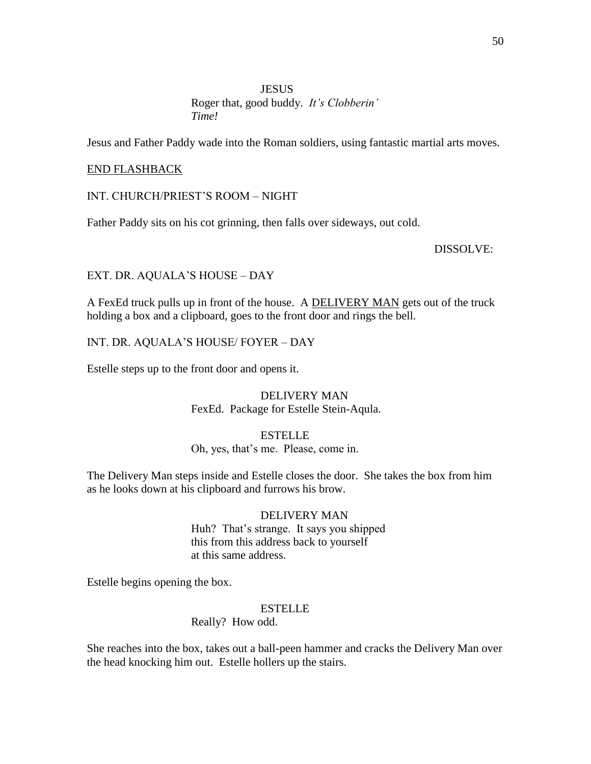# **JESUS** Roger that, good buddy. *It"s Clobberin" Time!*

Jesus and Father Paddy wade into the Roman soldiers, using fantastic martial arts moves.

### END FLASHBACK

### INT. CHURCH/PRIEST'S ROOM – NIGHT

Father Paddy sits on his cot grinning, then falls over sideways, out cold.

#### DISSOLVE:

# EXT. DR. AQUALA'S HOUSE – DAY

A FexEd truck pulls up in front of the house. A DELIVERY MAN gets out of the truck holding a box and a clipboard, goes to the front door and rings the bell.

### INT. DR. AQUALA'S HOUSE/ FOYER – DAY

Estelle steps up to the front door and opens it.

# DELIVERY MAN

FexEd. Package for Estelle Stein-Aqula.

# **ESTELLE**

### Oh, yes, that's me. Please, come in.

The Delivery Man steps inside and Estelle closes the door. She takes the box from him as he looks down at his clipboard and furrows his brow.

# DELIVERY MAN

Huh? That's strange. It says you shipped this from this address back to yourself at this same address.

Estelle begins opening the box.

#### ESTELLE

Really? How odd.

She reaches into the box, takes out a ball-peen hammer and cracks the Delivery Man over the head knocking him out. Estelle hollers up the stairs.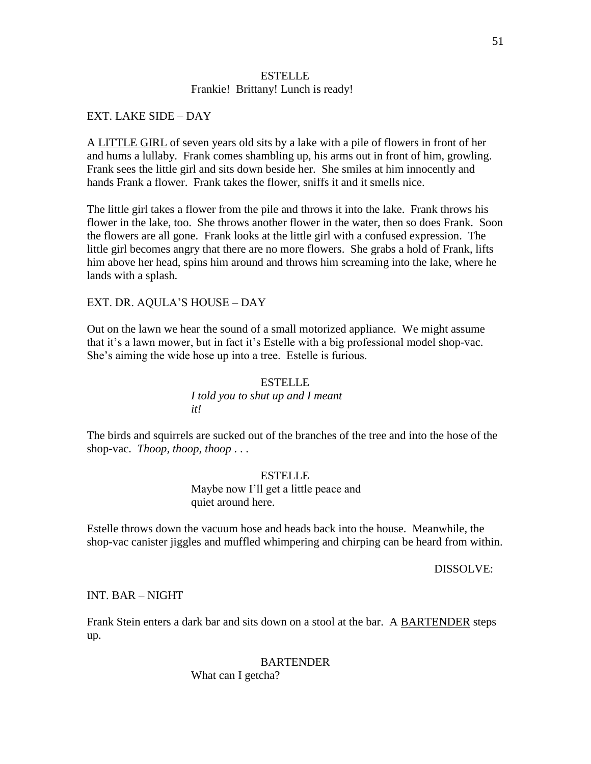# **ESTELLE** Frankie! Brittany! Lunch is ready!

# EXT. LAKE SIDE – DAY

A LITTLE GIRL of seven years old sits by a lake with a pile of flowers in front of her and hums a lullaby. Frank comes shambling up, his arms out in front of him, growling. Frank sees the little girl and sits down beside her. She smiles at him innocently and hands Frank a flower. Frank takes the flower, sniffs it and it smells nice.

The little girl takes a flower from the pile and throws it into the lake. Frank throws his flower in the lake, too. She throws another flower in the water, then so does Frank. Soon the flowers are all gone. Frank looks at the little girl with a confused expression. The little girl becomes angry that there are no more flowers. She grabs a hold of Frank, lifts him above her head, spins him around and throws him screaming into the lake, where he lands with a splash.

EXT. DR. AQULA'S HOUSE – DAY

Out on the lawn we hear the sound of a small motorized appliance. We might assume that it's a lawn mower, but in fact it's Estelle with a big professional model shop-vac. She's aiming the wide hose up into a tree. Estelle is furious.

# ESTELLE *I told you to shut up and I meant it!*

The birds and squirrels are sucked out of the branches of the tree and into the hose of the shop-vac. *Thoop, thoop, thoop* . . .

# **ESTELLE** Maybe now I'll get a little peace and quiet around here.

Estelle throws down the vacuum hose and heads back into the house. Meanwhile, the shop-vac canister jiggles and muffled whimpering and chirping can be heard from within.

DISSOLVE:

# INT. BAR – NIGHT

Frank Stein enters a dark bar and sits down on a stool at the bar. A BARTENDER steps up.

# BARTENDER

What can I getcha?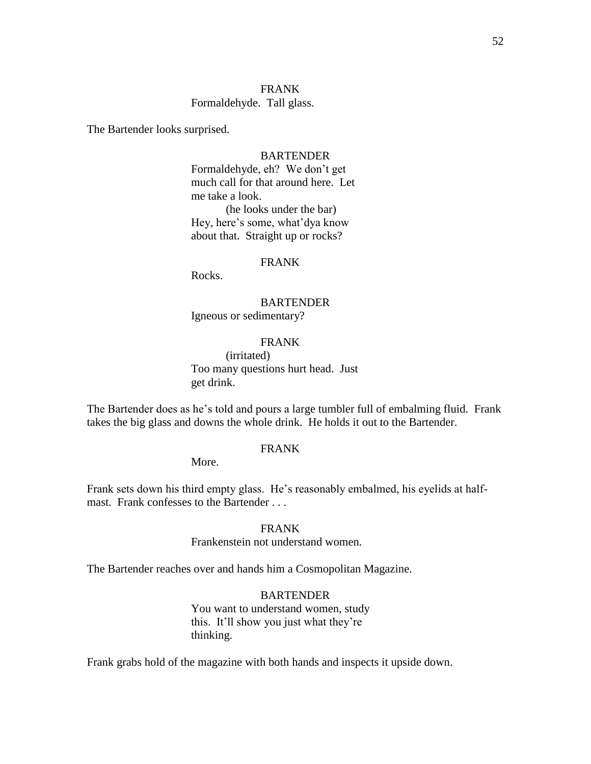# FRANK Formaldehyde. Tall glass.

The Bartender looks surprised.

### **BARTENDER**

Formaldehyde, eh? We don't get much call for that around here. Let me take a look. (he looks under the bar) Hey, here's some, what'dya know about that. Straight up or rocks?

#### FRANK

Rocks.

BARTENDER Igneous or sedimentary?

# FRANK

(irritated) Too many questions hurt head. Just get drink.

The Bartender does as he's told and pours a large tumbler full of embalming fluid. Frank takes the big glass and downs the whole drink. He holds it out to the Bartender.

# FRANK

More.

Frank sets down his third empty glass. He's reasonably embalmed, his eyelids at halfmast. Frank confesses to the Bartender . . .

# FRANK

# Frankenstein not understand women.

The Bartender reaches over and hands him a Cosmopolitan Magazine.

# BARTENDER

You want to understand women, study this. It'll show you just what they're thinking.

Frank grabs hold of the magazine with both hands and inspects it upside down.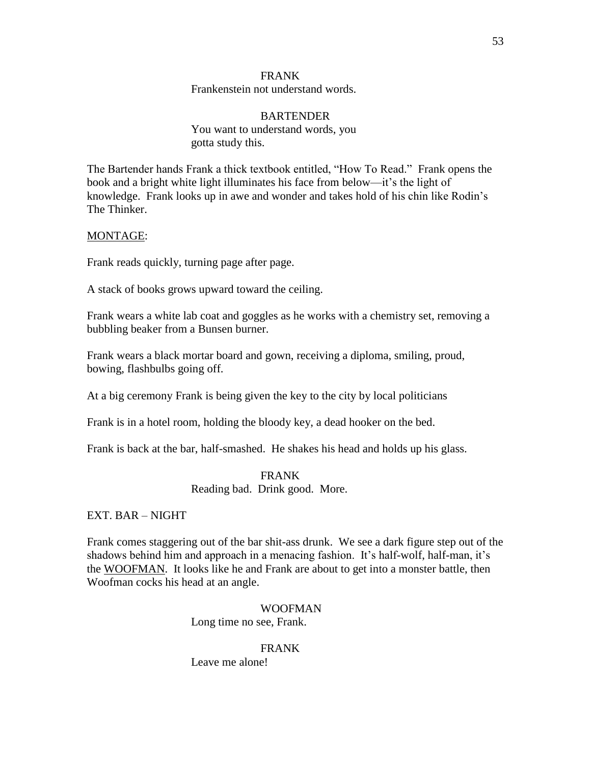# FRANK

### Frankenstein not understand words.

# BARTENDER You want to understand words, you gotta study this.

The Bartender hands Frank a thick textbook entitled, "How To Read." Frank opens the book and a bright white light illuminates his face from below—it's the light of knowledge. Frank looks up in awe and wonder and takes hold of his chin like Rodin's The Thinker.

# MONTAGE:

Frank reads quickly, turning page after page.

A stack of books grows upward toward the ceiling.

Frank wears a white lab coat and goggles as he works with a chemistry set, removing a bubbling beaker from a Bunsen burner.

Frank wears a black mortar board and gown, receiving a diploma, smiling, proud, bowing, flashbulbs going off.

At a big ceremony Frank is being given the key to the city by local politicians

Frank is in a hotel room, holding the bloody key, a dead hooker on the bed.

Frank is back at the bar, half-smashed. He shakes his head and holds up his glass.

# FRANK

Reading bad. Drink good. More.

# EXT. BAR – NIGHT

Frank comes staggering out of the bar shit-ass drunk. We see a dark figure step out of the shadows behind him and approach in a menacing fashion. It's half-wolf, half-man, it's the WOOFMAN. It looks like he and Frank are about to get into a monster battle, then Woofman cocks his head at an angle.

# WOOFMAN Long time no see, Frank.

# FRANK

Leave me alone!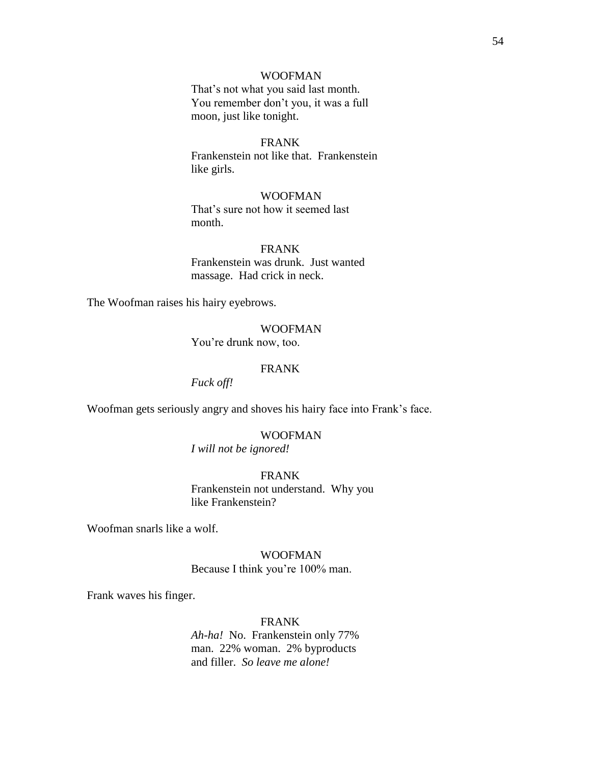# WOOFMAN

That's not what you said last month. You remember don't you, it was a full moon, just like tonight.

### FRANK

Frankenstein not like that. Frankenstein like girls.

# WOOFMAN

That's sure not how it seemed last month.

#### FRANK

Frankenstein was drunk. Just wanted massage. Had crick in neck.

The Woofman raises his hairy eyebrows.

# WOOFMAN

You're drunk now, too.

# FRANK

*Fuck off!*

Woofman gets seriously angry and shoves his hairy face into Frank's face.

# WOOFMAN

*I will not be ignored!*

FRANK Frankenstein not understand. Why you like Frankenstein?

Woofman snarls like a wolf.

# WOOFMAN Because I think you're 100% man.

Frank waves his finger.

# FRANK

*Ah-ha!* No. Frankenstein only 77% man. 22% woman. 2% byproducts and filler. *So leave me alone!*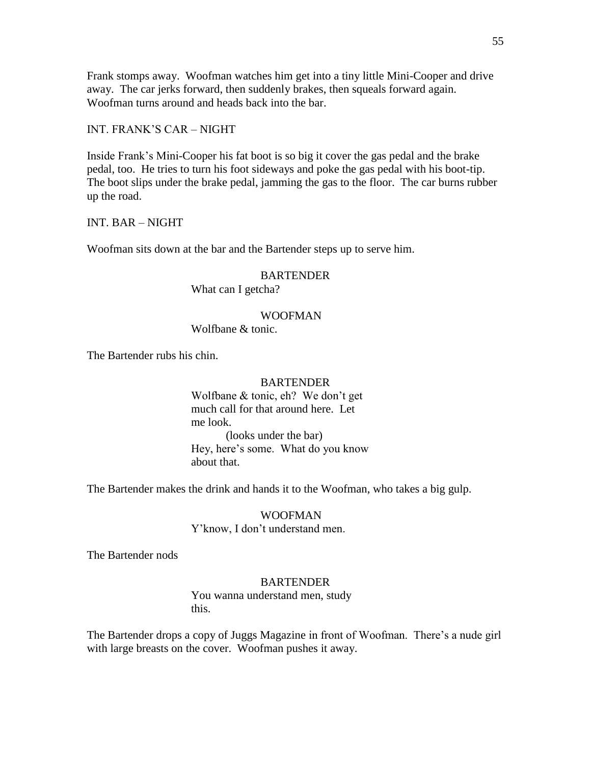Frank stomps away. Woofman watches him get into a tiny little Mini-Cooper and drive away. The car jerks forward, then suddenly brakes, then squeals forward again. Woofman turns around and heads back into the bar.

INT. FRANK'S CAR – NIGHT

Inside Frank's Mini-Cooper his fat boot is so big it cover the gas pedal and the brake pedal, too. He tries to turn his foot sideways and poke the gas pedal with his boot-tip. The boot slips under the brake pedal, jamming the gas to the floor. The car burns rubber up the road.

INT. BAR – NIGHT

Woofman sits down at the bar and the Bartender steps up to serve him.

# BARTENDER

What can I getcha?

### WOOFMAN

Wolfbane & tonic.

The Bartender rubs his chin.

#### BARTENDER

Wolfbane & tonic, eh? We don't get much call for that around here. Let me look. (looks under the bar) Hey, here's some. What do you know about that.

The Bartender makes the drink and hands it to the Woofman, who takes a big gulp.

WOOFMAN Y'know, I don't understand men.

The Bartender nods

# BARTENDER

You wanna understand men, study this.

The Bartender drops a copy of Juggs Magazine in front of Woofman. There's a nude girl with large breasts on the cover. Woofman pushes it away.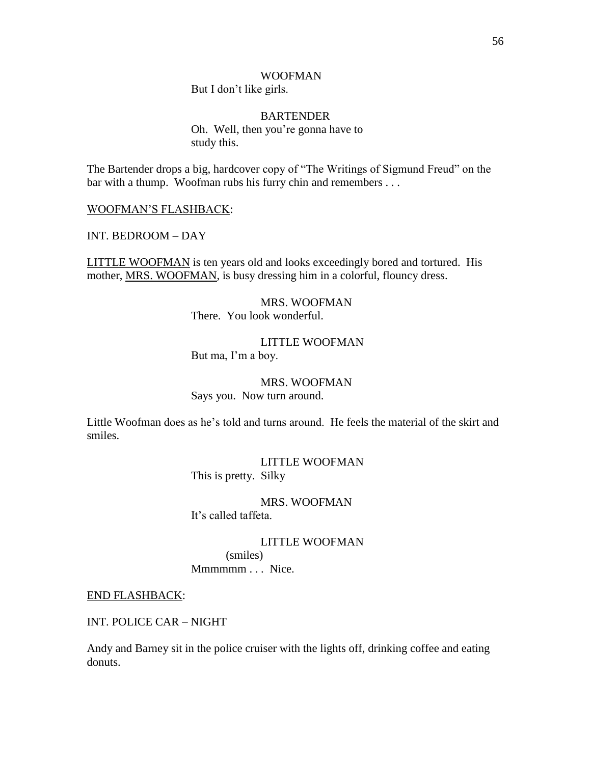# WOOFMAN

But I don't like girls.

BARTENDER Oh. Well, then you're gonna have to study this.

The Bartender drops a big, hardcover copy of "The Writings of Sigmund Freud" on the bar with a thump. Woofman rubs his furry chin and remembers . . .

WOOFMAN'S FLASHBACK:

INT. BEDROOM – DAY

LITTLE WOOFMAN is ten years old and looks exceedingly bored and tortured. His mother, MRS. WOOFMAN, is busy dressing him in a colorful, flouncy dress.

> MRS. WOOFMAN There. You look wonderful.

LITTLE WOOFMAN But ma, I'm a boy.

MRS. WOOFMAN Says you. Now turn around.

Little Woofman does as he's told and turns around. He feels the material of the skirt and smiles.

> LITTLE WOOFMAN This is pretty. Silky

MRS. WOOFMAN It's called taffeta.

> LITTLE WOOFMAN (smiles)

Mmmmm . . . Nice.

END FLASHBACK:

INT. POLICE CAR – NIGHT

Andy and Barney sit in the police cruiser with the lights off, drinking coffee and eating donuts.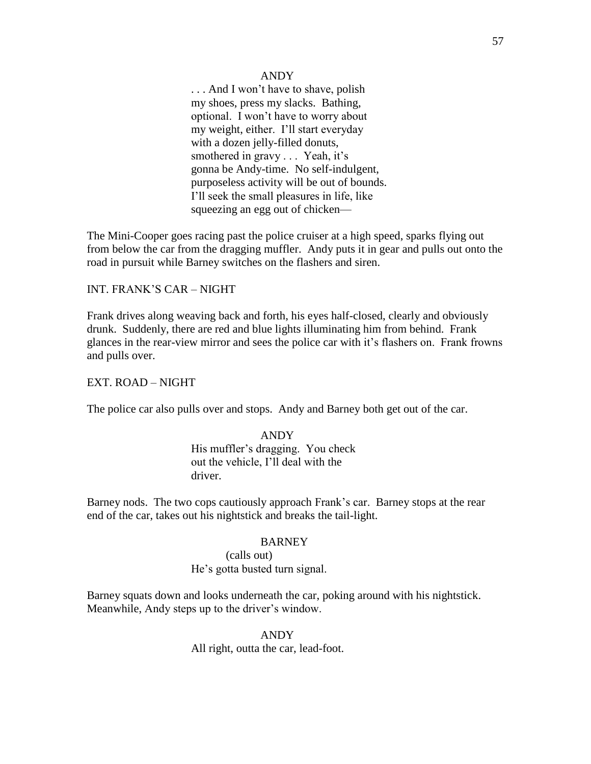### ANDY

... And I won't have to shave, polish my shoes, press my slacks. Bathing, optional. I won't have to worry about my weight, either. I'll start everyday with a dozen jelly-filled donuts, smothered in gravy . . . Yeah, it's gonna be Andy-time. No self-indulgent, purposeless activity will be out of bounds. I'll seek the small pleasures in life, like squeezing an egg out of chicken—

The Mini-Cooper goes racing past the police cruiser at a high speed, sparks flying out from below the car from the dragging muffler. Andy puts it in gear and pulls out onto the road in pursuit while Barney switches on the flashers and siren.

### INT. FRANK'S CAR – NIGHT

Frank drives along weaving back and forth, his eyes half-closed, clearly and obviously drunk. Suddenly, there are red and blue lights illuminating him from behind. Frank glances in the rear-view mirror and sees the police car with it's flashers on. Frank frowns and pulls over.

### EXT. ROAD – NIGHT

The police car also pulls over and stops. Andy and Barney both get out of the car.

# ANDY His muffler's dragging. You check out the vehicle, I'll deal with the driver.

Barney nods. The two cops cautiously approach Frank's car. Barney stops at the rear end of the car, takes out his nightstick and breaks the tail-light.

#### BARNEY

(calls out) He's gotta busted turn signal.

Barney squats down and looks underneath the car, poking around with his nightstick. Meanwhile, Andy steps up to the driver's window.

#### ANDY

All right, outta the car, lead-foot.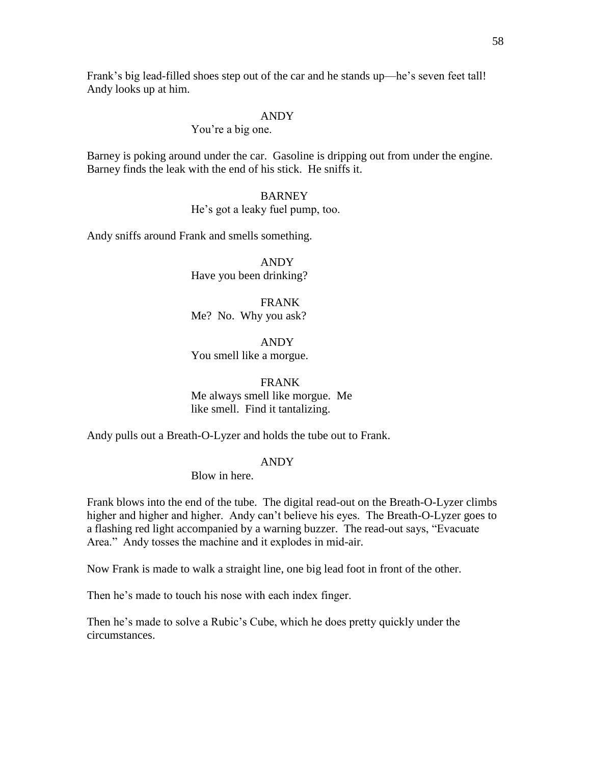Frank's big lead-filled shoes step out of the car and he stands up—he's seven feet tall! Andy looks up at him.

### ANDY

### You're a big one.

Barney is poking around under the car. Gasoline is dripping out from under the engine. Barney finds the leak with the end of his stick. He sniffs it.

#### BARNEY

# He's got a leaky fuel pump, too.

Andy sniffs around Frank and smells something.

ANDY Have you been drinking?

FRANK Me? No. Why you ask?

ANDY You smell like a morgue.

# FRANK

Me always smell like morgue. Me like smell. Find it tantalizing.

Andy pulls out a Breath-O-Lyzer and holds the tube out to Frank.

### ANDY

Blow in here.

Frank blows into the end of the tube. The digital read-out on the Breath-O-Lyzer climbs higher and higher and higher. Andy can't believe his eyes. The Breath-O-Lyzer goes to a flashing red light accompanied by a warning buzzer. The read-out says, "Evacuate Area." Andy tosses the machine and it explodes in mid-air.

Now Frank is made to walk a straight line, one big lead foot in front of the other.

Then he's made to touch his nose with each index finger.

Then he's made to solve a Rubic's Cube, which he does pretty quickly under the circumstances.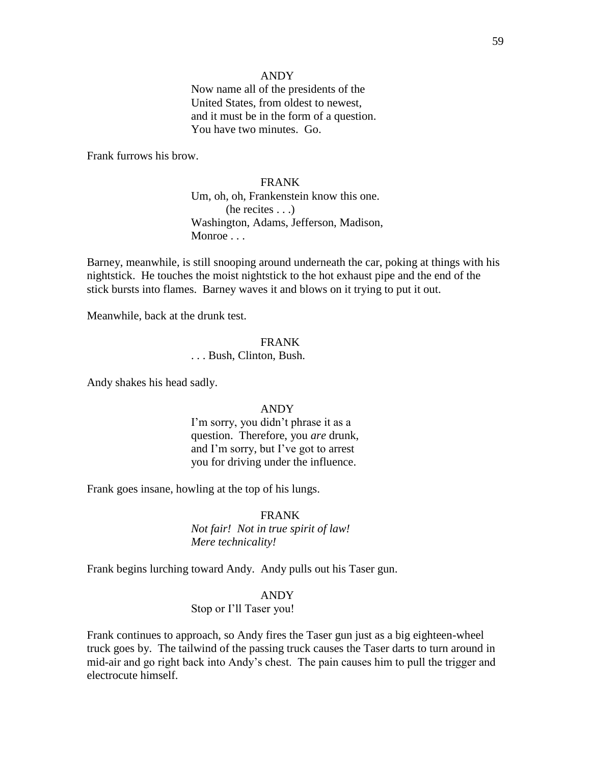### ANDY

Now name all of the presidents of the United States, from oldest to newest, and it must be in the form of a question. You have two minutes. Go.

Frank furrows his brow.

# FRANK

Um, oh, oh, Frankenstein know this one. (he recites . . .) Washington, Adams, Jefferson, Madison, Monroe . . .

Barney, meanwhile, is still snooping around underneath the car, poking at things with his nightstick. He touches the moist nightstick to the hot exhaust pipe and the end of the stick bursts into flames. Barney waves it and blows on it trying to put it out.

Meanwhile, back at the drunk test.

# FRANK

. . . Bush, Clinton, Bush.

Andy shakes his head sadly.

### ANDY

I'm sorry, you didn't phrase it as a question. Therefore, you *are* drunk, and I'm sorry, but I've got to arrest you for driving under the influence.

Frank goes insane, howling at the top of his lungs.

### FRANK

*Not fair! Not in true spirit of law! Mere technicality!*

Frank begins lurching toward Andy. Andy pulls out his Taser gun.

# ANDY

#### Stop or I'll Taser you!

Frank continues to approach, so Andy fires the Taser gun just as a big eighteen-wheel truck goes by. The tailwind of the passing truck causes the Taser darts to turn around in mid-air and go right back into Andy's chest. The pain causes him to pull the trigger and electrocute himself.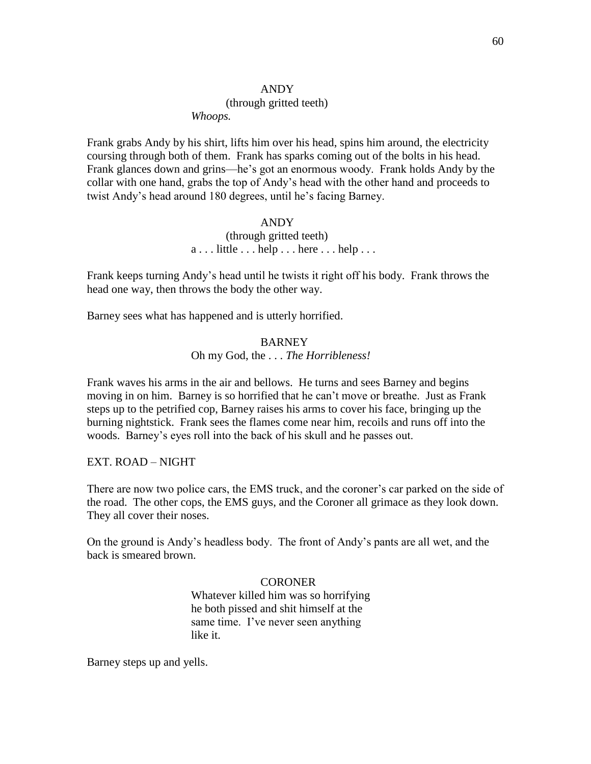#### (through gritted teeth)

*Whoops.*

Frank grabs Andy by his shirt, lifts him over his head, spins him around, the electricity coursing through both of them. Frank has sparks coming out of the bolts in his head. Frank glances down and grins—he's got an enormous woody. Frank holds Andy by the collar with one hand, grabs the top of Andy's head with the other hand and proceeds to twist Andy's head around 180 degrees, until he's facing Barney.

#### ANDY

# (through gritted teeth)  $a \ldots$  little  $\ldots$  help  $\ldots$  here  $\ldots$  help  $\ldots$

Frank keeps turning Andy's head until he twists it right off his body. Frank throws the head one way, then throws the body the other way.

Barney sees what has happened and is utterly horrified.

# **BARNEY**

Oh my God, the . . . *The Horribleness!*

Frank waves his arms in the air and bellows. He turns and sees Barney and begins moving in on him. Barney is so horrified that he can't move or breathe. Just as Frank steps up to the petrified cop, Barney raises his arms to cover his face, bringing up the burning nightstick. Frank sees the flames come near him, recoils and runs off into the woods. Barney's eyes roll into the back of his skull and he passes out.

EXT. ROAD – NIGHT

There are now two police cars, the EMS truck, and the coroner's car parked on the side of the road. The other cops, the EMS guys, and the Coroner all grimace as they look down. They all cover their noses.

On the ground is Andy's headless body. The front of Andy's pants are all wet, and the back is smeared brown.

> **CORONER** Whatever killed him was so horrifying he both pissed and shit himself at the same time. I've never seen anything like it.

Barney steps up and yells.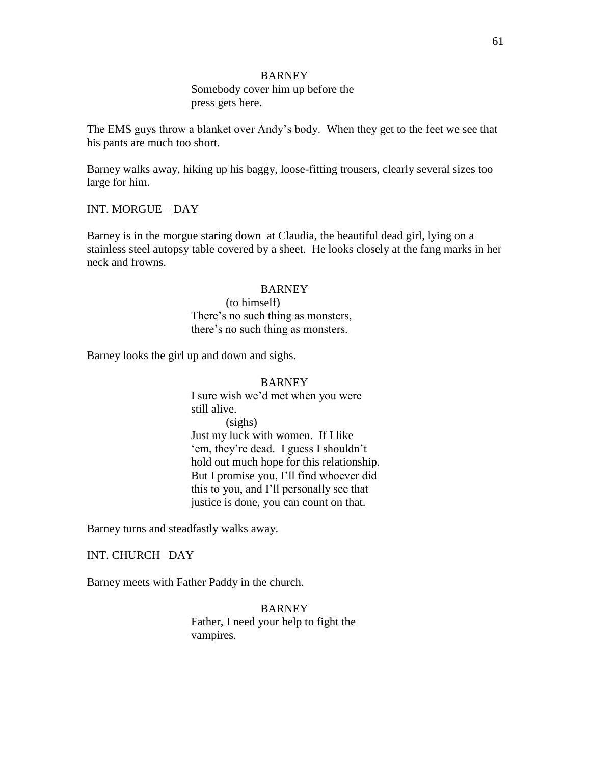# BARNEY

Somebody cover him up before the press gets here.

The EMS guys throw a blanket over Andy's body. When they get to the feet we see that his pants are much too short.

Barney walks away, hiking up his baggy, loose-fitting trousers, clearly several sizes too large for him.

### INT. MORGUE – DAY

Barney is in the morgue staring down at Claudia, the beautiful dead girl, lying on a stainless steel autopsy table covered by a sheet. He looks closely at the fang marks in her neck and frowns.

### BARNEY

(to himself) There's no such thing as monsters, there's no such thing as monsters.

Barney looks the girl up and down and sighs.

### BARNEY

I sure wish we'd met when you were still alive. (sighs) Just my luck with women. If I like 'em, they're dead. I guess I shouldn't hold out much hope for this relationship. But I promise you, I'll find whoever did this to you, and I'll personally see that justice is done, you can count on that.

Barney turns and steadfastly walks away.

#### INT. CHURCH –DAY

Barney meets with Father Paddy in the church.

BARNEY Father, I need your help to fight the vampires.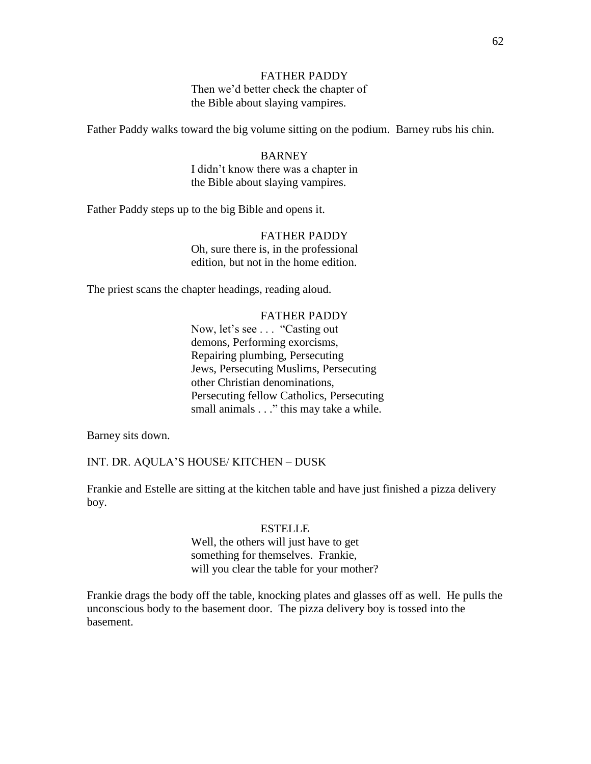# FATHER PADDY

Then we'd better check the chapter of the Bible about slaying vampires.

Father Paddy walks toward the big volume sitting on the podium. Barney rubs his chin.

# **BARNEY** I didn't know there was a chapter in the Bible about slaying vampires.

Father Paddy steps up to the big Bible and opens it.

# FATHER PADDY Oh, sure there is, in the professional edition, but not in the home edition.

The priest scans the chapter headings, reading aloud.

### FATHER PADDY

Now, let's see . . . "Casting out demons, Performing exorcisms, Repairing plumbing, Persecuting Jews, Persecuting Muslims, Persecuting other Christian denominations, Persecuting fellow Catholics, Persecuting small animals . . ." this may take a while.

Barney sits down.

INT. DR. AQULA'S HOUSE/ KITCHEN – DUSK

Frankie and Estelle are sitting at the kitchen table and have just finished a pizza delivery boy.

### ESTELLE

# Well, the others will just have to get something for themselves. Frankie, will you clear the table for your mother?

Frankie drags the body off the table, knocking plates and glasses off as well. He pulls the unconscious body to the basement door. The pizza delivery boy is tossed into the basement.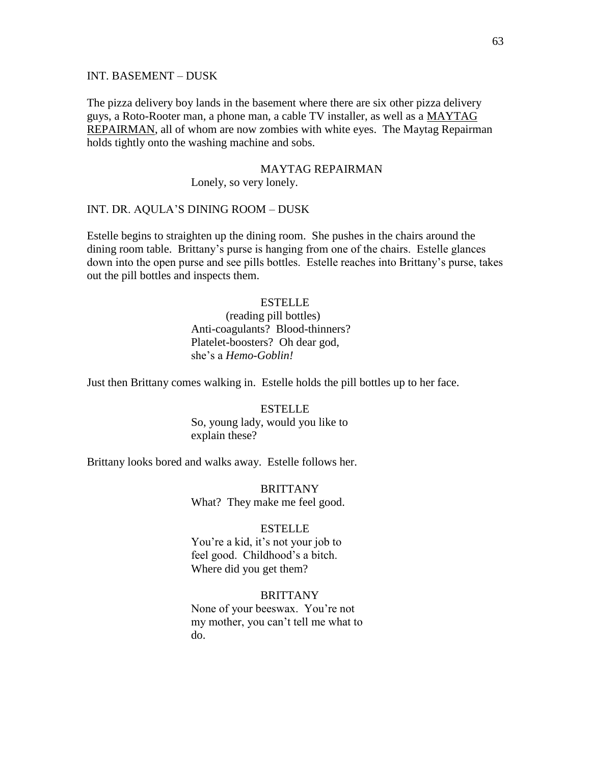#### INT. BASEMENT – DUSK

The pizza delivery boy lands in the basement where there are six other pizza delivery guys, a Roto-Rooter man, a phone man, a cable TV installer, as well as a MAYTAG REPAIRMAN, all of whom are now zombies with white eyes. The Maytag Repairman holds tightly onto the washing machine and sobs.

### MAYTAG REPAIRMAN

Lonely, so very lonely.

# INT. DR. AQULA'S DINING ROOM – DUSK

Estelle begins to straighten up the dining room. She pushes in the chairs around the dining room table. Brittany's purse is hanging from one of the chairs. Estelle glances down into the open purse and see pills bottles. Estelle reaches into Brittany's purse, takes out the pill bottles and inspects them.

# **ESTELLE**

# (reading pill bottles) Anti-coagulants? Blood-thinners? Platelet-boosters? Oh dear god, she's a *Hemo-Goblin!*

Just then Brittany comes walking in. Estelle holds the pill bottles up to her face.

# **ESTELLE** So, young lady, would you like to explain these?

Brittany looks bored and walks away. Estelle follows her.

**BRITTANY** What? They make me feel good.

### ESTELLE

You're a kid, it's not your job to feel good. Childhood's a bitch. Where did you get them?

# BRITTANY

None of your beeswax. You're not my mother, you can't tell me what to do.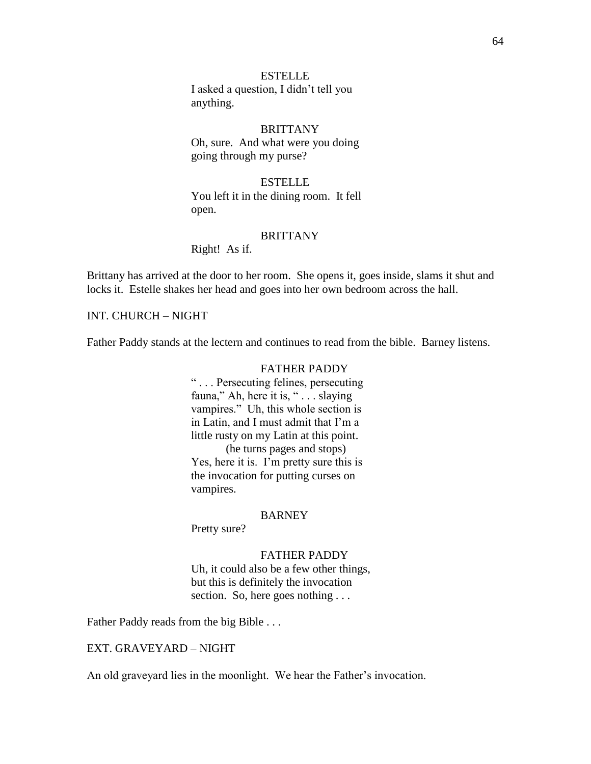# **ESTELLE** I asked a question, I didn't tell you anything.

# **BRITTANY** Oh, sure. And what were you doing going through my purse?

# **ESTELLE** You left it in the dining room. It fell open.

# **BRITTANY**

Right! As if.

Brittany has arrived at the door to her room. She opens it, goes inside, slams it shut and locks it. Estelle shakes her head and goes into her own bedroom across the hall.

# INT. CHURCH – NIGHT

Father Paddy stands at the lectern and continues to read from the bible. Barney listens.

# FATHER PADDY

― . . . Persecuting felines, persecuting fauna," Ah, here it is, " . . . slaying vampires." Uh, this whole section is in Latin, and I must admit that I'm a little rusty on my Latin at this point. (he turns pages and stops) Yes, here it is. I'm pretty sure this is the invocation for putting curses on vampires.

#### **BARNEY**

Pretty sure?

#### FATHER PADDY

Uh, it could also be a few other things, but this is definitely the invocation section. So, here goes nothing ...

Father Paddy reads from the big Bible . . .

# EXT. GRAVEYARD – NIGHT

An old graveyard lies in the moonlight. We hear the Father's invocation.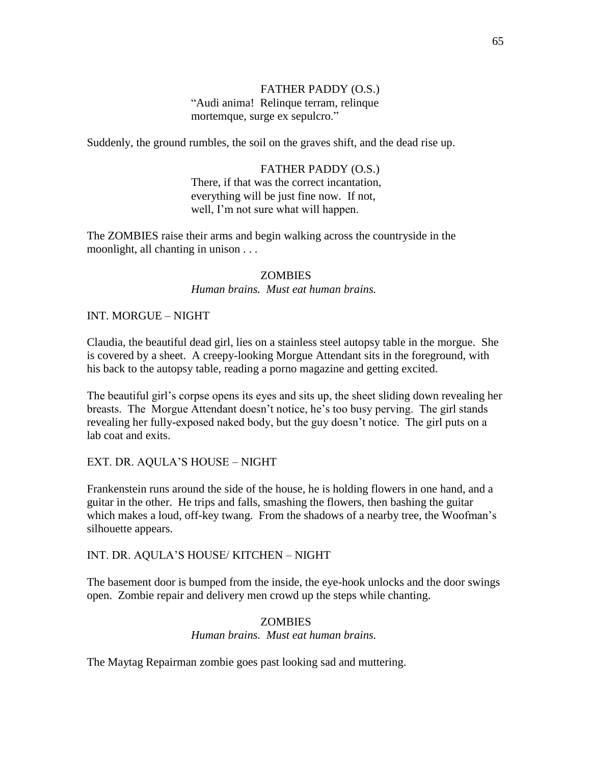# FATHER PADDY (O.S.) ―Audi anima! Relinque terram, relinque mortemque, surge ex sepulcro."

Suddenly, the ground rumbles, the soil on the graves shift, and the dead rise up.

# FATHER PADDY (O.S.)

There, if that was the correct incantation, everything will be just fine now. If not, well, I'm not sure what will happen.

The ZOMBIES raise their arms and begin walking across the countryside in the moonlight, all chanting in unison . . .

# **ZOMBIES**

*Human brains. Must eat human brains.*

# INT. MORGUE – NIGHT

Claudia, the beautiful dead girl, lies on a stainless steel autopsy table in the morgue. She is covered by a sheet. A creepy-looking Morgue Attendant sits in the foreground, with his back to the autopsy table, reading a porno magazine and getting excited.

The beautiful girl's corpse opens its eyes and sits up, the sheet sliding down revealing her breasts. The Morgue Attendant doesn't notice, he's too busy perving. The girl stands revealing her fully-exposed naked body, but the guy doesn't notice. The girl puts on a lab coat and exits.

# EXT. DR. AQULA'S HOUSE – NIGHT

Frankenstein runs around the side of the house, he is holding flowers in one hand, and a guitar in the other. He trips and falls, smashing the flowers, then bashing the guitar which makes a loud, off-key twang. From the shadows of a nearby tree, the Woofman's silhouette appears.

# INT. DR. AQULA'S HOUSE/ KITCHEN – NIGHT

The basement door is bumped from the inside, the eye-hook unlocks and the door swings open. Zombie repair and delivery men crowd up the steps while chanting.

# ZOMBIES

*Human brains. Must eat human brains.*

The Maytag Repairman zombie goes past looking sad and muttering.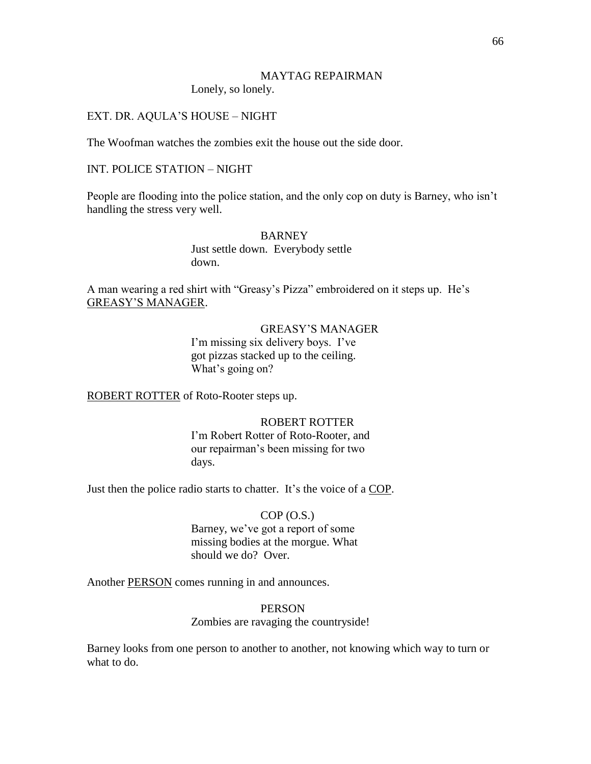# MAYTAG REPAIRMAN

Lonely, so lonely.

# EXT. DR. AQULA'S HOUSE – NIGHT

The Woofman watches the zombies exit the house out the side door.

# INT. POLICE STATION – NIGHT

People are flooding into the police station, and the only cop on duty is Barney, who isn't handling the stress very well.

### BARNEY

Just settle down. Everybody settle down.

A man wearing a red shirt with "Greasy's Pizza" embroidered on it steps up. He's GREASY'S MANAGER.

# GREASY'S MANAGER

I'm missing six delivery boys. I've got pizzas stacked up to the ceiling. What's going on?

ROBERT ROTTER of Roto-Rooter steps up.

# ROBERT ROTTER

I'm Robert Rotter of Roto-Rooter, and our repairman's been missing for two days.

Just then the police radio starts to chatter. It's the voice of a COP.

# $COP(0.S.)$ Barney, we've got a report of some missing bodies at the morgue. What should we do? Over.

Another PERSON comes running in and announces.

# PERSON

### Zombies are ravaging the countryside!

Barney looks from one person to another to another, not knowing which way to turn or what to do.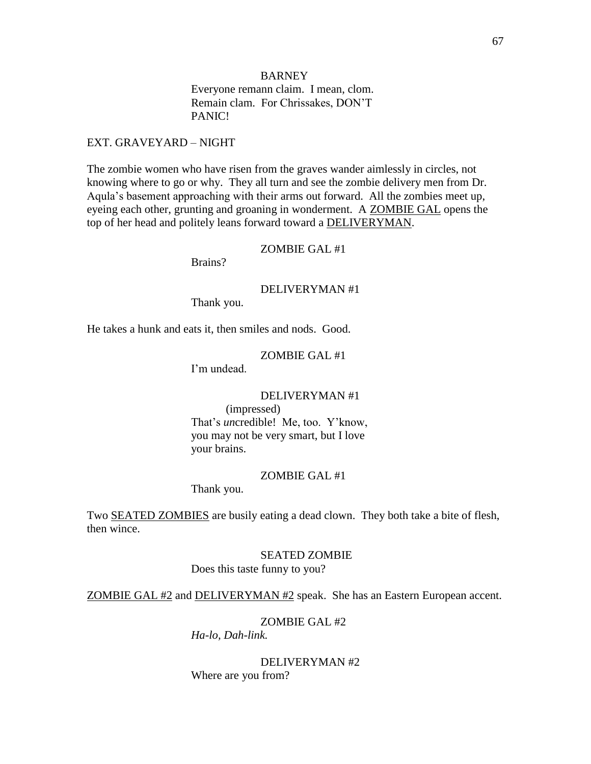# BARNEY

Everyone remann claim. I mean, clom. Remain clam. For Chrissakes, DON'T PANIC!

### EXT. GRAVEYARD – NIGHT

The zombie women who have risen from the graves wander aimlessly in circles, not knowing where to go or why. They all turn and see the zombie delivery men from Dr. Aqula's basement approaching with their arms out forward. All the zombies meet up, eyeing each other, grunting and groaning in wonderment. A ZOMBIE GAL opens the top of her head and politely leans forward toward a DELIVERYMAN.

# ZOMBIE GAL #1

Brains?

### DELIVERYMAN #1

Thank you.

He takes a hunk and eats it, then smiles and nods. Good.

# ZOMBIE GAL #1

I'm undead.

# DELIVERYMAN #1

(impressed)

That's *un*credible! Me, too. Y'know, you may not be very smart, but I love your brains.

#### ZOMBIE GAL #1

Thank you.

Two **SEATED ZOMBIES** are busily eating a dead clown. They both take a bite of flesh, then wince.

#### SEATED ZOMBIE

Does this taste funny to you?

ZOMBIE GAL #2 and DELIVERYMAN #2 speak. She has an Eastern European accent.

# ZOMBIE GAL #2

*Ha-lo, Dah-link.*

DELIVERYMAN #2 Where are you from?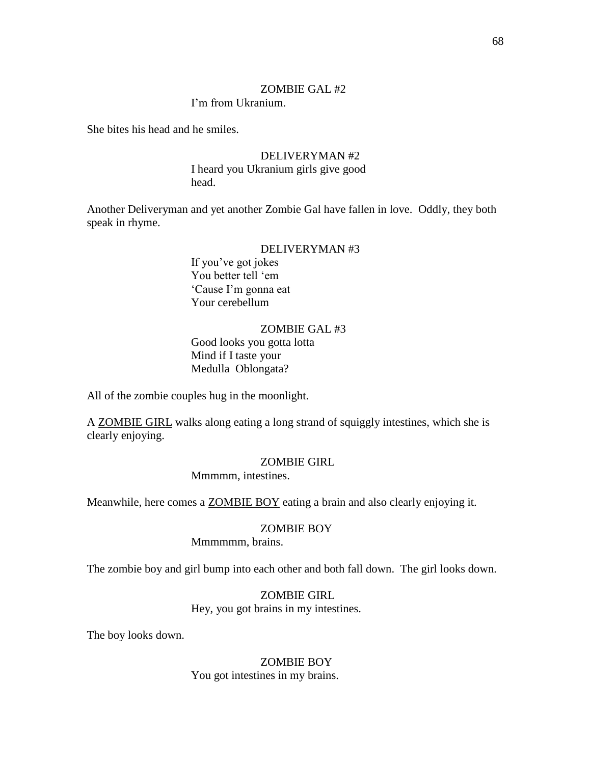### ZOMBIE GAL #2

# I'm from Ukranium.

She bites his head and he smiles.

# DELIVERYMAN #2

I heard you Ukranium girls give good head.

Another Deliveryman and yet another Zombie Gal have fallen in love. Oddly, they both speak in rhyme.

# DELIVERYMAN #3

If you've got jokes You better tell 'em ‗Cause I'm gonna eat Your cerebellum

# ZOMBIE GAL #3

Good looks you gotta lotta Mind if I taste your Medulla Oblongata?

All of the zombie couples hug in the moonlight.

A ZOMBIE GIRL walks along eating a long strand of squiggly intestines, which she is clearly enjoying.

# ZOMBIE GIRL

Mmmmm, intestines.

Meanwhile, here comes a ZOMBIE BOY eating a brain and also clearly enjoying it.

#### ZOMBIE BOY

Mmmmmm, brains.

The zombie boy and girl bump into each other and both fall down. The girl looks down.

# ZOMBIE GIRL

Hey, you got brains in my intestines.

The boy looks down.

# ZOMBIE BOY You got intestines in my brains.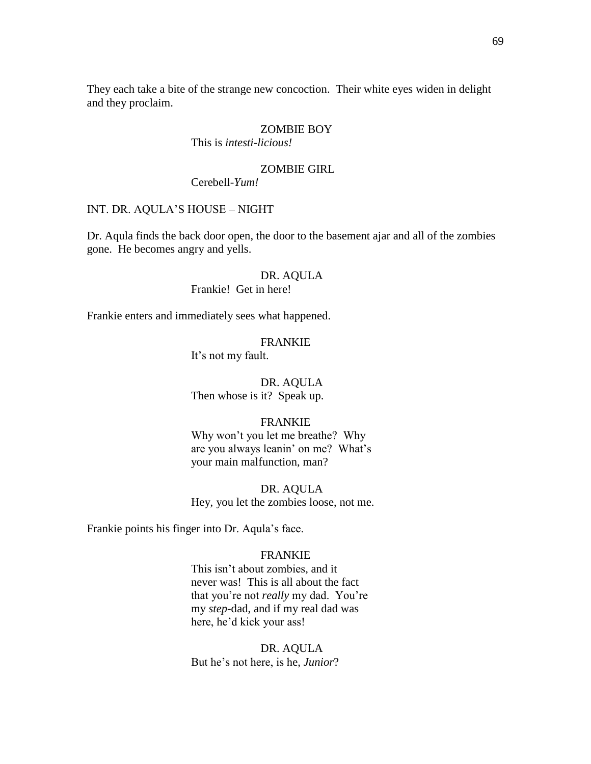They each take a bite of the strange new concoction. Their white eyes widen in delight and they proclaim.

# ZOMBIE BOY

This is *intesti-licious!*

# ZOMBIE GIRL

Cerebell*-Yum!*

# INT. DR. AQULA'S HOUSE – NIGHT

Dr. Aqula finds the back door open, the door to the basement ajar and all of the zombies gone. He becomes angry and yells.

### DR. AQULA

Frankie! Get in here!

Frankie enters and immediately sees what happened.

# FRANKIE

It's not my fault.

# DR. AQULA

Then whose is it? Speak up.

### FRANKIE

Why won't you let me breathe? Why are you always leanin' on me? What's your main malfunction, man?

DR. AQULA Hey, you let the zombies loose, not me.

Frankie points his finger into Dr. Aqula's face.

#### FRANKIE

This isn't about zombies, and it never was! This is all about the fact that you're not *really* my dad. You're my *step*-dad, and if my real dad was here, he'd kick your ass!

# DR. AQULA But he's not here, is he, *Junior*?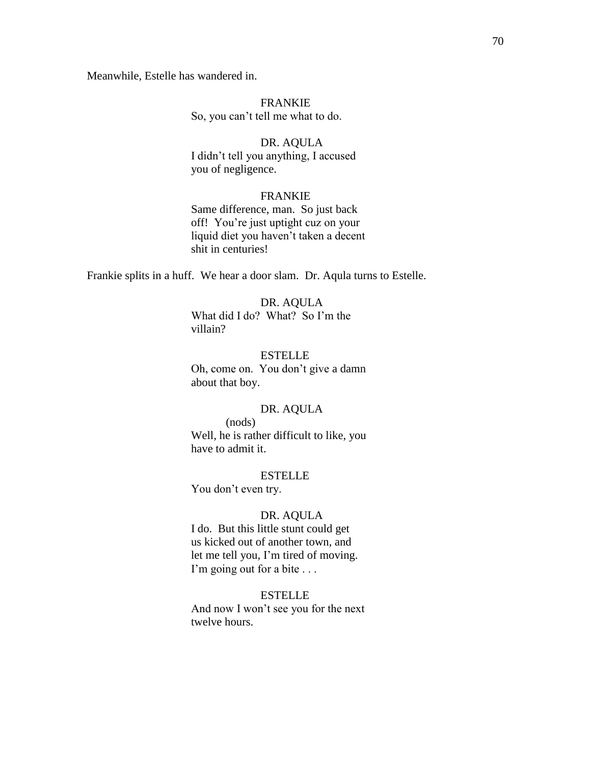Meanwhile, Estelle has wandered in.

# FRANKIE So, you can't tell me what to do.

# DR. AQULA

I didn't tell you anything, I accused you of negligence.

# FRANKIE

Same difference, man. So just back off! You're just uptight cuz on your liquid diet you haven't taken a decent shit in centuries!

Frankie splits in a huff. We hear a door slam. Dr. Aqula turns to Estelle.

# DR. AQULA What did I do? What? So I'm the villain?

ESTELLE Oh, come on. You don't give a damn about that boy.

# DR. AQULA

(nods) Well, he is rather difficult to like, you have to admit it.

#### **ESTELLE**

You don't even try.

#### DR. AQULA

I do. But this little stunt could get us kicked out of another town, and let me tell you, I'm tired of moving. I'm going out for a bite . . .

# ESTELLE

And now I won't see you for the next twelve hours.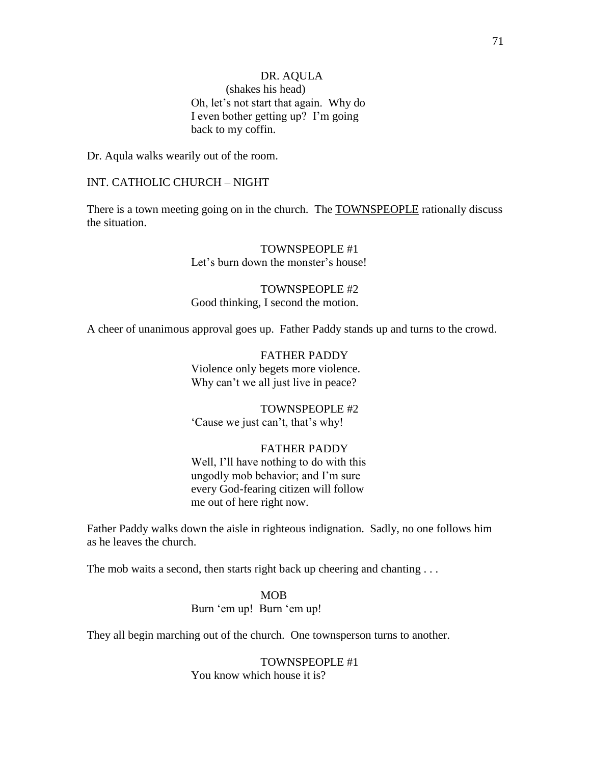# DR. AQULA (shakes his head) Oh, let's not start that again. Why do I even bother getting up? I'm going back to my coffin.

Dr. Aqula walks wearily out of the room.

# INT. CATHOLIC CHURCH – NIGHT

There is a town meeting going on in the church. The TOWNSPEOPLE rationally discuss the situation.

> TOWNSPEOPLE #1 Let's burn down the monster's house!

TOWNSPEOPLE #2 Good thinking, I second the motion.

A cheer of unanimous approval goes up. Father Paddy stands up and turns to the crowd.

FATHER PADDY Violence only begets more violence. Why can't we all just live in peace?

TOWNSPEOPLE #2 ‗Cause we just can't, that's why!

#### FATHER PADDY

Well, I'll have nothing to do with this ungodly mob behavior; and I'm sure every God-fearing citizen will follow me out of here right now.

Father Paddy walks down the aisle in righteous indignation. Sadly, no one follows him as he leaves the church.

The mob waits a second, then starts right back up cheering and chanting ...

MOB Burn 'em up! Burn 'em up!

They all begin marching out of the church. One townsperson turns to another.

TOWNSPEOPLE #1 You know which house it is?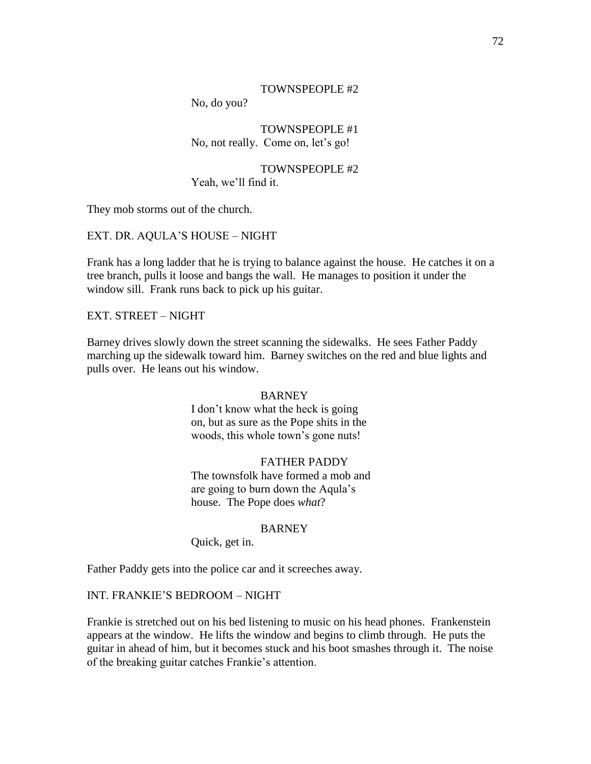### TOWNSPEOPLE #2

No, do you?

TOWNSPEOPLE #1 No, not really. Come on, let's go!

TOWNSPEOPLE #2 Yeah, we'll find it.

They mob storms out of the church.

EXT. DR. AQULA'S HOUSE – NIGHT

Frank has a long ladder that he is trying to balance against the house. He catches it on a tree branch, pulls it loose and bangs the wall. He manages to position it under the window sill. Frank runs back to pick up his guitar.

EXT. STREET – NIGHT

Barney drives slowly down the street scanning the sidewalks. He sees Father Paddy marching up the sidewalk toward him. Barney switches on the red and blue lights and pulls over. He leans out his window.

#### **BARNEY**

I don't know what the heck is going on, but as sure as the Pope shits in the woods, this whole town's gone nuts!

# FATHER PADDY

The townsfolk have formed a mob and are going to burn down the Aqula's house. The Pope does *what*?

#### BARNEY

Quick, get in.

Father Paddy gets into the police car and it screeches away.

# INT. FRANKIE'S BEDROOM – NIGHT

Frankie is stretched out on his bed listening to music on his head phones. Frankenstein appears at the window. He lifts the window and begins to climb through. He puts the guitar in ahead of him, but it becomes stuck and his boot smashes through it. The noise of the breaking guitar catches Frankie's attention.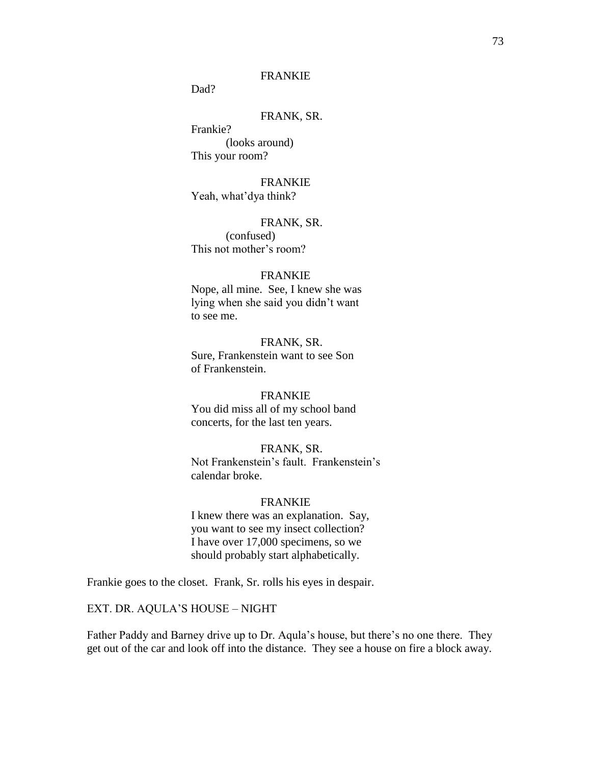## FRANKIE

Dad?

# FRANK, SR.

Frankie? (looks around) This your room?

FRANKIE Yeah, what'dya think?

## FRANK, SR.

(confused) This not mother's room?

## FRANKIE

Nope, all mine. See, I knew she was lying when she said you didn't want to see me.

# FRANK, SR.

Sure, Frankenstein want to see Son of Frankenstein.

#### FRANKIE

You did miss all of my school band concerts, for the last ten years.

FRANK, SR. Not Frankenstein's fault. Frankenstein's calendar broke.

#### FRANKIE

I knew there was an explanation. Say, you want to see my insect collection? I have over 17,000 specimens, so we should probably start alphabetically.

Frankie goes to the closet. Frank, Sr. rolls his eyes in despair.

#### EXT. DR. AQULA'S HOUSE – NIGHT

Father Paddy and Barney drive up to Dr. Aqula's house, but there's no one there. They get out of the car and look off into the distance. They see a house on fire a block away.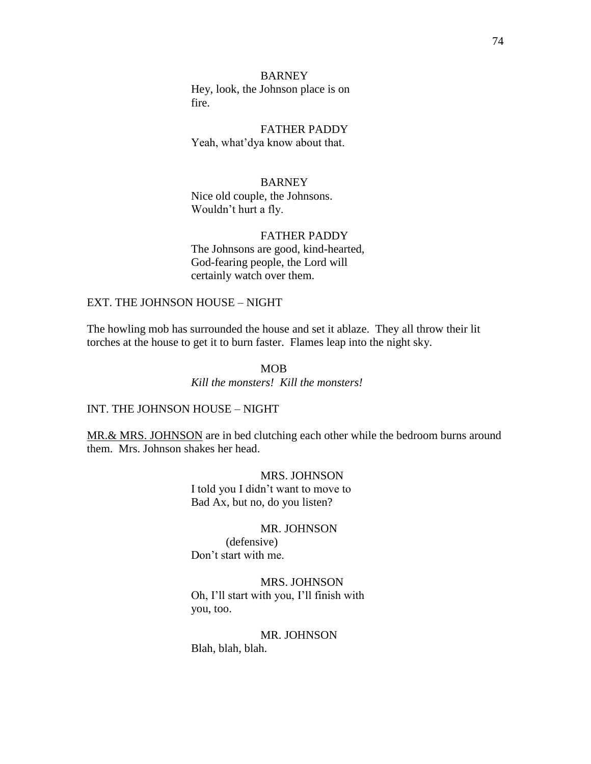BARNEY Hey, look, the Johnson place is on fire.

FATHER PADDY Yeah, what'dya know about that.

# **BARNEY**

Nice old couple, the Johnsons. Wouldn't hurt a fly.

## FATHER PADDY

The Johnsons are good, kind-hearted, God-fearing people, the Lord will certainly watch over them.

# EXT. THE JOHNSON HOUSE – NIGHT

The howling mob has surrounded the house and set it ablaze. They all throw their lit torches at the house to get it to burn faster. Flames leap into the night sky.

# MOB

*Kill the monsters! Kill the monsters!*

## INT. THE JOHNSON HOUSE – NIGHT

MR.& MRS. JOHNSON are in bed clutching each other while the bedroom burns around them. Mrs. Johnson shakes her head.

#### MRS. JOHNSON

I told you I didn't want to move to Bad Ax, but no, do you listen?

#### MR. JOHNSON

(defensive) Don't start with me.

# MRS. JOHNSON Oh, I'll start with you, I'll finish with you, too.

#### MR. JOHNSON

Blah, blah, blah.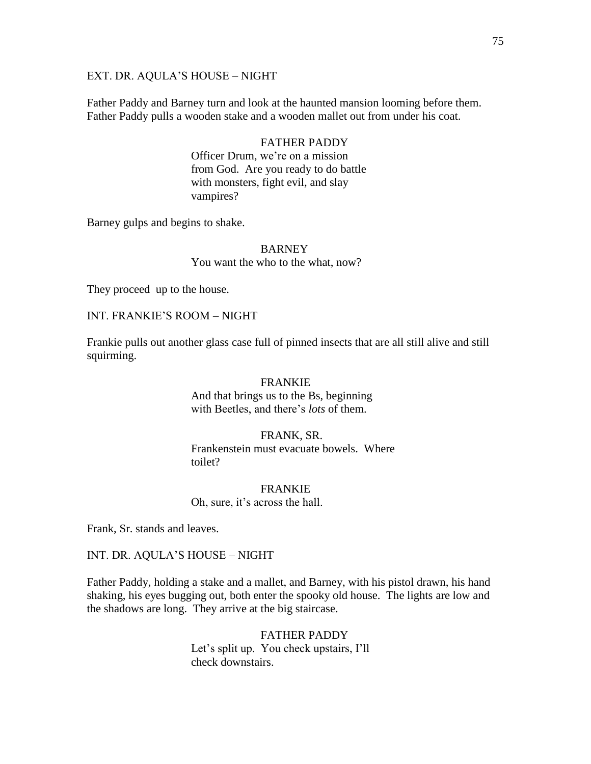### EXT. DR. AQULA'S HOUSE – NIGHT

Father Paddy and Barney turn and look at the haunted mansion looming before them. Father Paddy pulls a wooden stake and a wooden mallet out from under his coat.

## FATHER PADDY

Officer Drum, we're on a mission from God. Are you ready to do battle with monsters, fight evil, and slay vampires?

Barney gulps and begins to shake.

# BARNEY You want the who to the what, now?

They proceed up to the house.

#### INT. FRANKIE'S ROOM – NIGHT

Frankie pulls out another glass case full of pinned insects that are all still alive and still squirming.

#### FRANKIE

And that brings us to the Bs, beginning with Beetles, and there's *lots* of them.

# FRANK, SR. Frankenstein must evacuate bowels. Where toilet?

FRANKIE Oh, sure, it's across the hall.

Frank, Sr. stands and leaves.

INT. DR. AQULA'S HOUSE – NIGHT

Father Paddy, holding a stake and a mallet, and Barney, with his pistol drawn, his hand shaking, his eyes bugging out, both enter the spooky old house. The lights are low and the shadows are long. They arrive at the big staircase.

#### FATHER PADDY

Let's split up. You check upstairs, I'll check downstairs.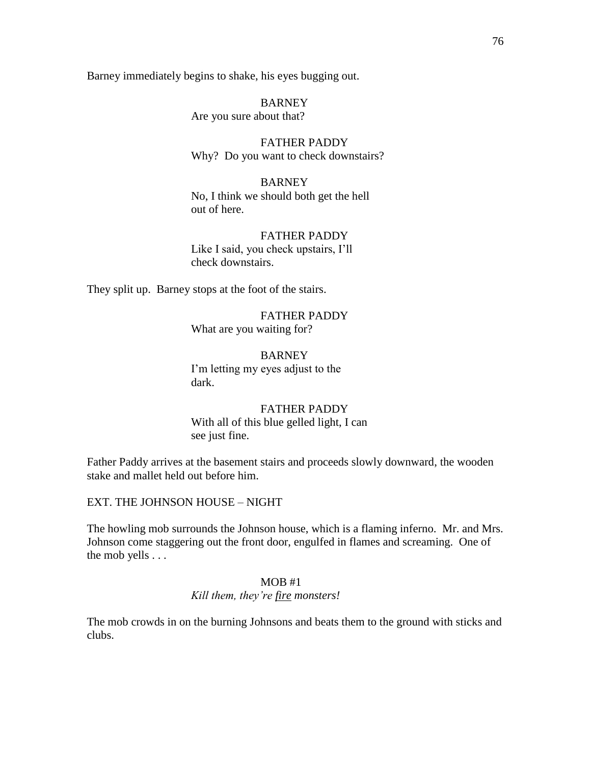Barney immediately begins to shake, his eyes bugging out.

**BARNEY** Are you sure about that?

FATHER PADDY Why? Do you want to check downstairs?

BARNEY No, I think we should both get the hell out of here.

## FATHER PADDY

Like I said, you check upstairs, I'll check downstairs.

They split up. Barney stops at the foot of the stairs.

FATHER PADDY What are you waiting for?

**BARNEY** I'm letting my eyes adjust to the dark.

FATHER PADDY With all of this blue gelled light, I can see just fine.

Father Paddy arrives at the basement stairs and proceeds slowly downward, the wooden stake and mallet held out before him.

EXT. THE JOHNSON HOUSE – NIGHT

The howling mob surrounds the Johnson house, which is a flaming inferno. Mr. and Mrs. Johnson come staggering out the front door, engulfed in flames and screaming. One of the mob yells . . .

#### MOB #1 *Kill them, they"re fire monsters!*

The mob crowds in on the burning Johnsons and beats them to the ground with sticks and clubs.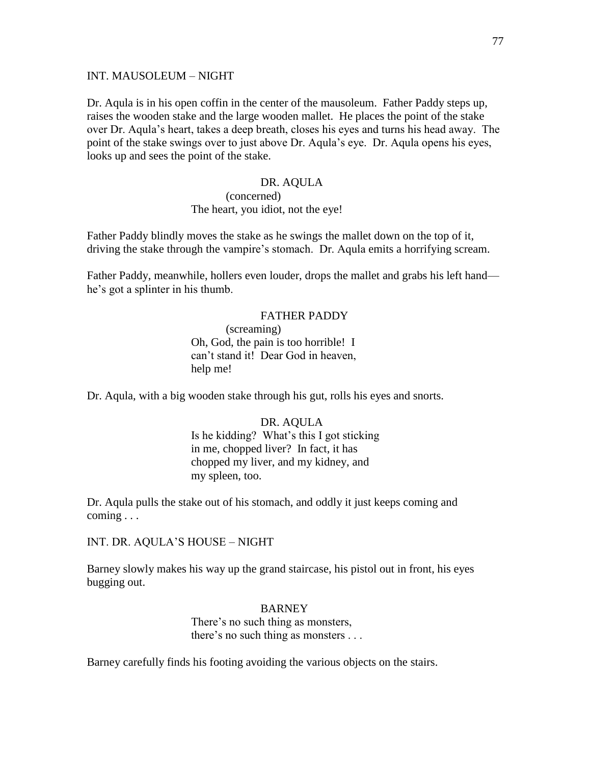#### INT. MAUSOLEUM – NIGHT

Dr. Aqula is in his open coffin in the center of the mausoleum. Father Paddy steps up, raises the wooden stake and the large wooden mallet. He places the point of the stake over Dr. Aqula's heart, takes a deep breath, closes his eyes and turns his head away. The point of the stake swings over to just above Dr. Aqula's eye. Dr. Aqula opens his eyes, looks up and sees the point of the stake.

## DR. AQULA (concerned) The heart, you idiot, not the eye!

Father Paddy blindly moves the stake as he swings the mallet down on the top of it, driving the stake through the vampire's stomach. Dr. Aqula emits a horrifying scream.

Father Paddy, meanwhile, hollers even louder, drops the mallet and grabs his left hand he's got a splinter in his thumb.

# FATHER PADDY (screaming) Oh, God, the pain is too horrible! I can't stand it! Dear God in heaven, help me!

Dr. Aqula, with a big wooden stake through his gut, rolls his eyes and snorts.

# DR. AQULA Is he kidding? What's this I got sticking in me, chopped liver? In fact, it has chopped my liver, and my kidney, and my spleen, too.

Dr. Aqula pulls the stake out of his stomach, and oddly it just keeps coming and coming . . .

INT. DR. AQULA'S HOUSE – NIGHT

Barney slowly makes his way up the grand staircase, his pistol out in front, his eyes bugging out.

## BARNEY

There's no such thing as monsters, there's no such thing as monsters . . .

Barney carefully finds his footing avoiding the various objects on the stairs.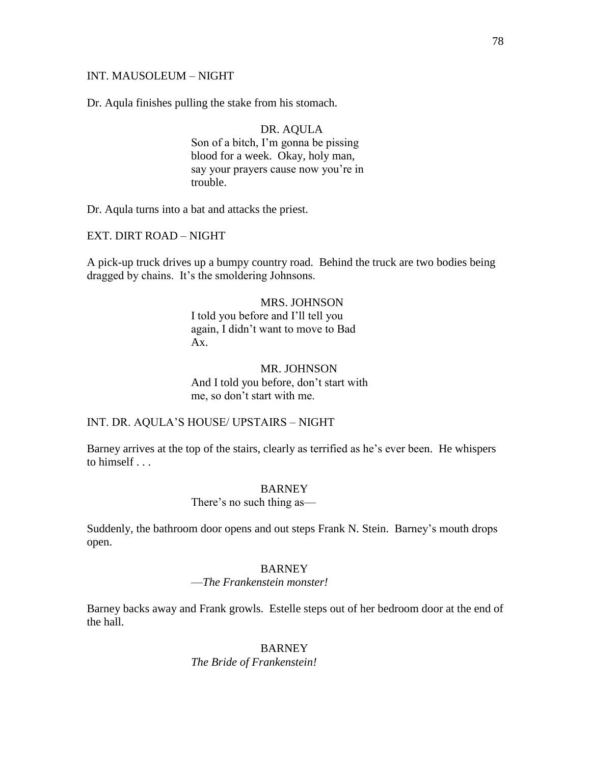### INT. MAUSOLEUM – NIGHT

Dr. Aqula finishes pulling the stake from his stomach.

DR. AQULA Son of a bitch, I'm gonna be pissing blood for a week. Okay, holy man, say your prayers cause now you're in trouble.

Dr. Aqula turns into a bat and attacks the priest.

EXT. DIRT ROAD – NIGHT

A pick-up truck drives up a bumpy country road. Behind the truck are two bodies being dragged by chains. It's the smoldering Johnsons.

## MRS. JOHNSON

I told you before and I'll tell you again, I didn't want to move to Bad  $Ax$ 

## MR. JOHNSON And I told you before, don't start with me, so don't start with me.

## INT. DR. AQULA'S HOUSE/ UPSTAIRS – NIGHT

Barney arrives at the top of the stairs, clearly as terrified as he's ever been. He whispers to himself . . .

#### BARNEY

There's no such thing as—

Suddenly, the bathroom door opens and out steps Frank N. Stein. Barney's mouth drops open.

#### **BARNEY**

#### —*The Frankenstein monster!*

Barney backs away and Frank growls. Estelle steps out of her bedroom door at the end of the hall.

> BARNEY *The Bride of Frankenstein!*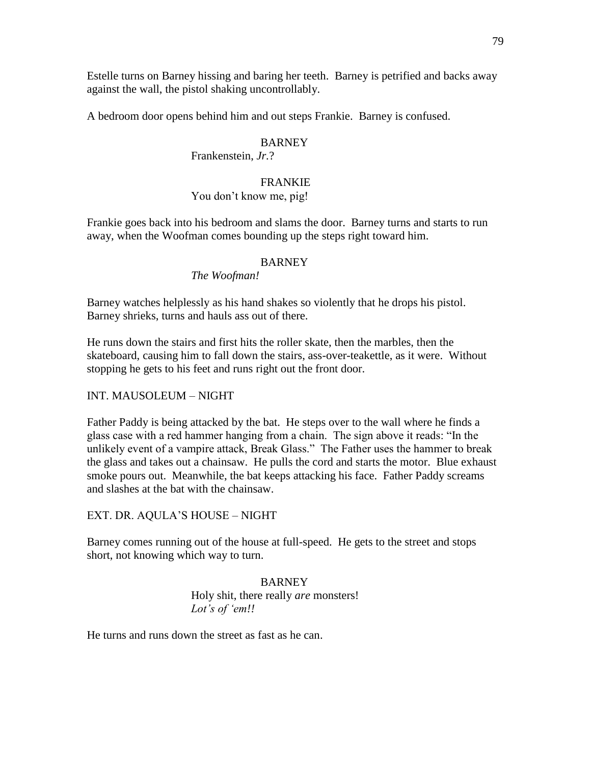Estelle turns on Barney hissing and baring her teeth. Barney is petrified and backs away against the wall, the pistol shaking uncontrollably.

A bedroom door opens behind him and out steps Frankie. Barney is confused.

## BARNEY

## Frankenstein, *Jr.*?

# FRANKIE

# You don't know me, pig!

Frankie goes back into his bedroom and slams the door. Barney turns and starts to run away, when the Woofman comes bounding up the steps right toward him.

## **BARNEY**

## *The Woofman!*

Barney watches helplessly as his hand shakes so violently that he drops his pistol. Barney shrieks, turns and hauls ass out of there.

He runs down the stairs and first hits the roller skate, then the marbles, then the skateboard, causing him to fall down the stairs, ass-over-teakettle, as it were. Without stopping he gets to his feet and runs right out the front door.

# INT. MAUSOLEUM – NIGHT

Father Paddy is being attacked by the bat. He steps over to the wall where he finds a glass case with a red hammer hanging from a chain. The sign above it reads: "In the unlikely event of a vampire attack, Break Glass." The Father uses the hammer to break the glass and takes out a chainsaw. He pulls the cord and starts the motor. Blue exhaust smoke pours out. Meanwhile, the bat keeps attacking his face. Father Paddy screams and slashes at the bat with the chainsaw.

# EXT. DR. AQULA'S HOUSE – NIGHT

Barney comes running out of the house at full-speed. He gets to the street and stops short, not knowing which way to turn.

# BARNEY Holy shit, there really *are* monsters! *Lot"s of "em!!*

He turns and runs down the street as fast as he can.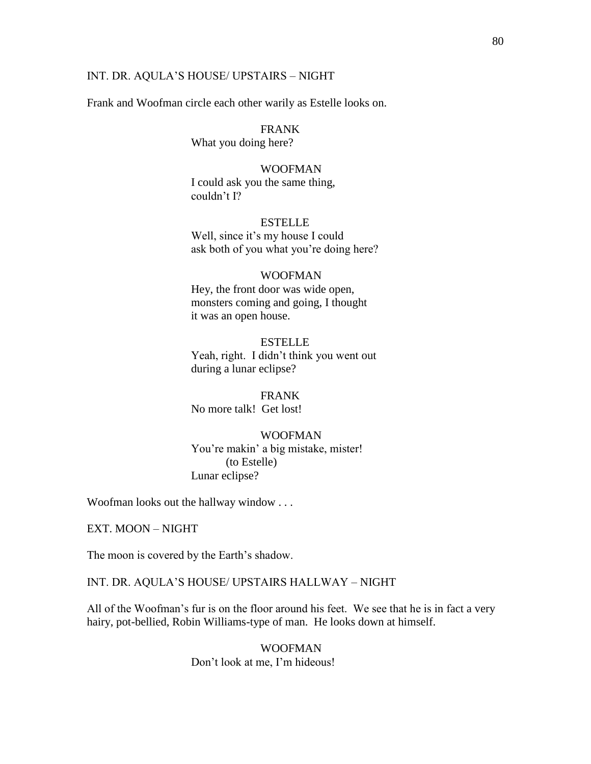#### INT. DR. AQULA'S HOUSE/ UPSTAIRS – NIGHT

Frank and Woofman circle each other warily as Estelle looks on.

#### FRANK

What you doing here?

#### WOOFMAN

I could ask you the same thing, couldn't I?

## ESTELLE

Well, since it's my house I could ask both of you what you're doing here?

#### WOOFMAN

Hey, the front door was wide open, monsters coming and going, I thought it was an open house.

**ESTELLE** Yeah, right. I didn't think you went out during a lunar eclipse?

FRANK No more talk! Get lost!

# WOOFMAN

You're makin' a big mistake, mister! (to Estelle) Lunar eclipse?

Woofman looks out the hallway window . . .

EXT. MOON – NIGHT

The moon is covered by the Earth's shadow.

INT. DR. AQULA'S HOUSE/ UPSTAIRS HALLWAY – NIGHT

All of the Woofman's fur is on the floor around his feet. We see that he is in fact a very hairy, pot-bellied, Robin Williams-type of man. He looks down at himself.

> WOOFMAN Don't look at me, I'm hideous!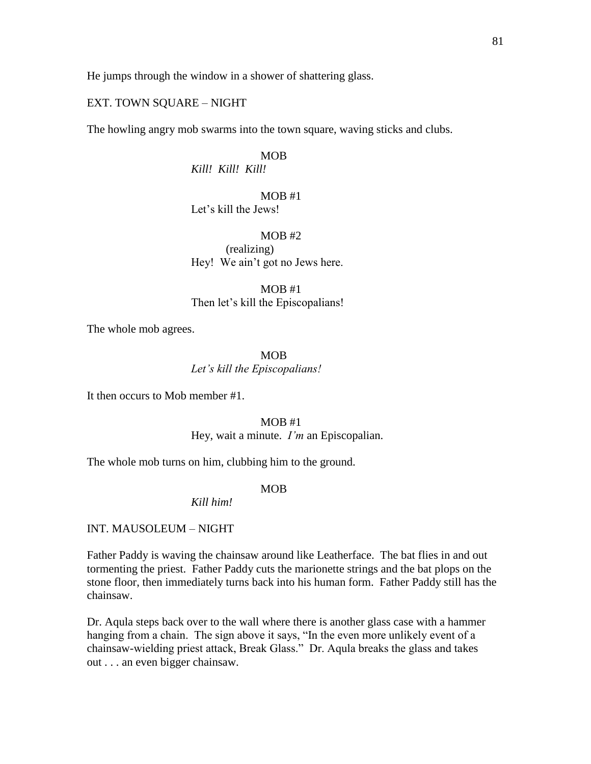He jumps through the window in a shower of shattering glass.

### EXT. TOWN SQUARE – NIGHT

The howling angry mob swarms into the town square, waving sticks and clubs.

MOB

*Kill! Kill! Kill!*

MOB #1 Let's kill the Jews!

 $MOR$ #2 (realizing) Hey! We ain't got no Jews here.

MOB #1 Then let's kill the Episcopalians!

The whole mob agrees.

MOB *Let"s kill the Episcopalians!*

It then occurs to Mob member #1.

MOB #1 Hey, wait a minute. *I"m* an Episcopalian.

The whole mob turns on him, clubbing him to the ground.

MOB

*Kill him!*

INT. MAUSOLEUM – NIGHT

Father Paddy is waving the chainsaw around like Leatherface. The bat flies in and out tormenting the priest. Father Paddy cuts the marionette strings and the bat plops on the stone floor, then immediately turns back into his human form. Father Paddy still has the chainsaw.

Dr. Aqula steps back over to the wall where there is another glass case with a hammer hanging from a chain. The sign above it says, "In the even more unlikely event of a chainsaw-wielding priest attack, Break Glass." Dr. Aqula breaks the glass and takes out . . . an even bigger chainsaw.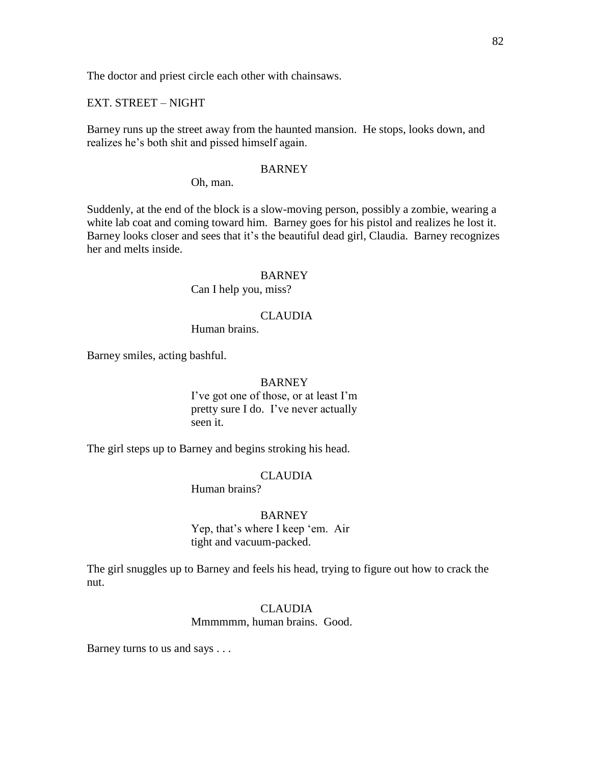The doctor and priest circle each other with chainsaws.

EXT. STREET – NIGHT

Barney runs up the street away from the haunted mansion. He stops, looks down, and realizes he's both shit and pissed himself again.

#### **BARNEY**

Oh, man.

Suddenly, at the end of the block is a slow-moving person, possibly a zombie, wearing a white lab coat and coming toward him. Barney goes for his pistol and realizes he lost it. Barney looks closer and sees that it's the beautiful dead girl, Claudia. Barney recognizes her and melts inside.

#### BARNEY

Can I help you, miss?

#### CLAUDIA

Human brains.

Barney smiles, acting bashful.

#### BARNEY

I've got one of those, or at least I'm pretty sure I do. I've never actually seen it.

The girl steps up to Barney and begins stroking his head.

#### CLAUDIA

Human brains?

## BARNEY

Yep, that's where I keep 'em. Air tight and vacuum-packed.

The girl snuggles up to Barney and feels his head, trying to figure out how to crack the nut.

#### CLAUDIA

Mmmmmm, human brains. Good.

Barney turns to us and says . . .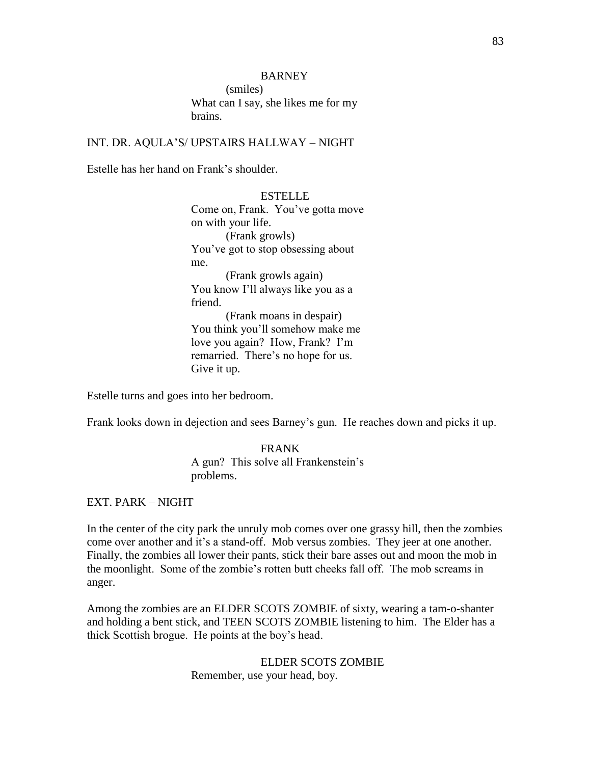## **BARNEY**

(smiles) What can I say, she likes me for my brains.

INT. DR. AQULA'S/ UPSTAIRS HALLWAY – NIGHT

Estelle has her hand on Frank's shoulder.

ESTELLE Come on, Frank. You've gotta move on with your life. (Frank growls) You've got to stop obsessing about me. (Frank growls again) You know I'll always like you as a friend. (Frank moans in despair) You think you'll somehow make me love you again? How, Frank? I'm remarried. There's no hope for us. Give it up.

Estelle turns and goes into her bedroom.

Frank looks down in dejection and sees Barney's gun. He reaches down and picks it up.

FRANK A gun? This solve all Frankenstein's problems.

EXT. PARK – NIGHT

In the center of the city park the unruly mob comes over one grassy hill, then the zombies come over another and it's a stand-off. Mob versus zombies. They jeer at one another. Finally, the zombies all lower their pants, stick their bare asses out and moon the mob in the moonlight. Some of the zombie's rotten butt cheeks fall off. The mob screams in anger.

Among the zombies are an **ELDER SCOTS ZOMBIE** of sixty, wearing a tam-o-shanter and holding a bent stick, and TEEN SCOTS ZOMBIE listening to him. The Elder has a thick Scottish brogue. He points at the boy's head.

> ELDER SCOTS ZOMBIE Remember, use your head, boy.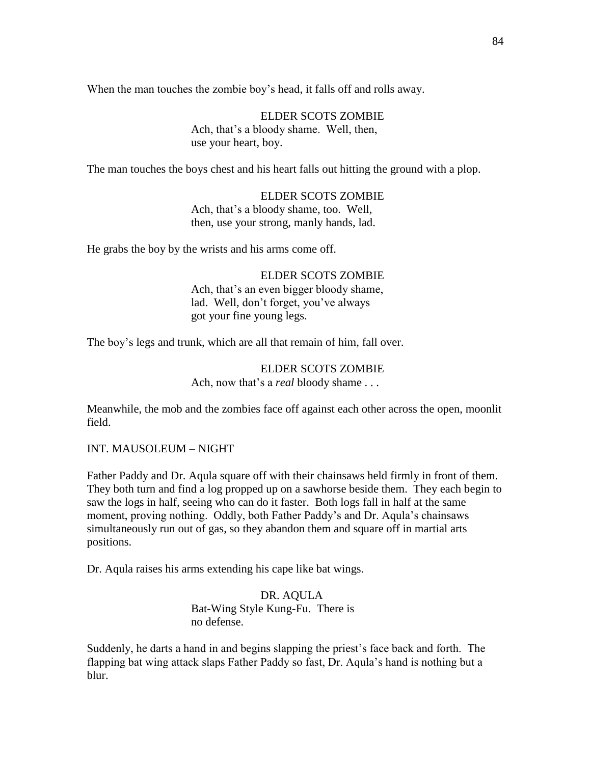When the man touches the zombie boy's head, it falls off and rolls away.

ELDER SCOTS ZOMBIE Ach, that's a bloody shame. Well, then, use your heart, boy.

The man touches the boys chest and his heart falls out hitting the ground with a plop.

ELDER SCOTS ZOMBIE Ach, that's a bloody shame, too. Well, then, use your strong, manly hands, lad.

He grabs the boy by the wrists and his arms come off.

ELDER SCOTS ZOMBIE Ach, that's an even bigger bloody shame, lad. Well, don't forget, you've always got your fine young legs.

The boy's legs and trunk, which are all that remain of him, fall over.

# ELDER SCOTS ZOMBIE Ach, now that's a *real* bloody shame . . .

Meanwhile, the mob and the zombies face off against each other across the open, moonlit field.

INT. MAUSOLEUM – NIGHT

Father Paddy and Dr. Aqula square off with their chainsaws held firmly in front of them. They both turn and find a log propped up on a sawhorse beside them. They each begin to saw the logs in half, seeing who can do it faster. Both logs fall in half at the same moment, proving nothing. Oddly, both Father Paddy's and Dr. Aqula's chainsaws simultaneously run out of gas, so they abandon them and square off in martial arts positions.

Dr. Aqula raises his arms extending his cape like bat wings.

DR. AQULA Bat-Wing Style Kung-Fu. There is no defense.

Suddenly, he darts a hand in and begins slapping the priest's face back and forth. The flapping bat wing attack slaps Father Paddy so fast, Dr. Aqula's hand is nothing but a blur.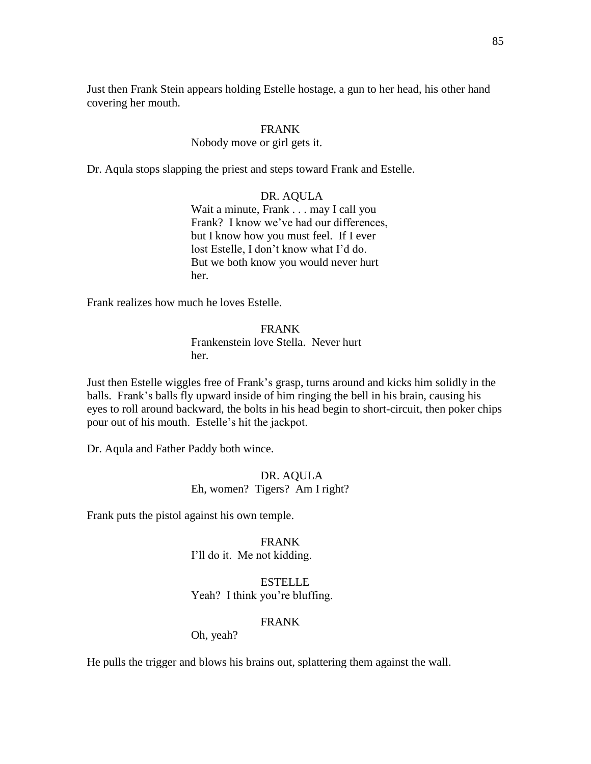Just then Frank Stein appears holding Estelle hostage, a gun to her head, his other hand covering her mouth.

# FRANK

## Nobody move or girl gets it.

Dr. Aqula stops slapping the priest and steps toward Frank and Estelle.

DR. AQULA Wait a minute, Frank . . . may I call you Frank? I know we've had our differences, but I know how you must feel. If I ever lost Estelle, I don't know what I'd do. But we both know you would never hurt her.

Frank realizes how much he loves Estelle.

FRANK Frankenstein love Stella. Never hurt her.

Just then Estelle wiggles free of Frank's grasp, turns around and kicks him solidly in the balls. Frank's balls fly upward inside of him ringing the bell in his brain, causing his eyes to roll around backward, the bolts in his head begin to short-circuit, then poker chips pour out of his mouth. Estelle's hit the jackpot.

Dr. Aqula and Father Paddy both wince.

# DR. AQULA Eh, women? Tigers? Am I right?

Frank puts the pistol against his own temple.

FRANK I'll do it. Me not kidding.

ESTELLE Yeah? I think you're bluffing.

## FRANK

Oh, yeah?

He pulls the trigger and blows his brains out, splattering them against the wall.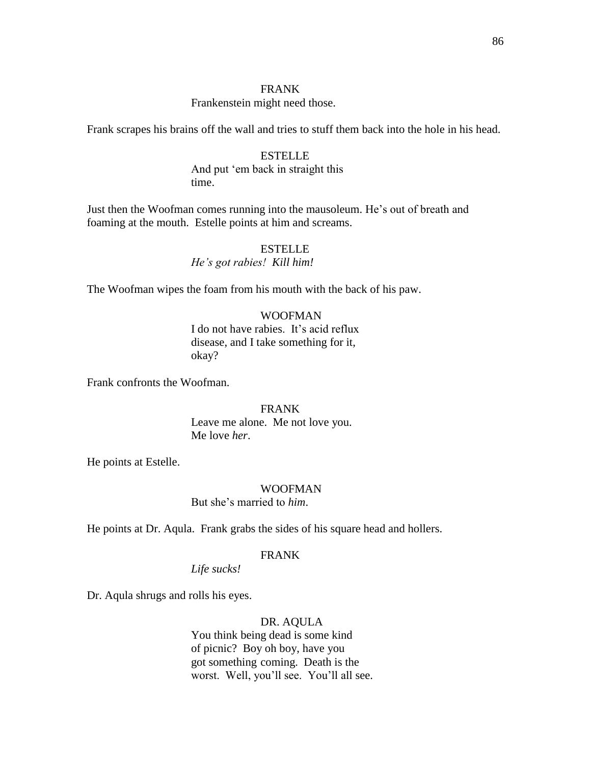## FRANK

#### Frankenstein might need those.

Frank scrapes his brains off the wall and tries to stuff them back into the hole in his head.

# ESTELLE And put 'em back in straight this time.

Just then the Woofman comes running into the mausoleum. He's out of breath and foaming at the mouth. Estelle points at him and screams.

## ESTELLE *He"s got rabies! Kill him!*

The Woofman wipes the foam from his mouth with the back of his paw.

#### WOOFMAN

I do not have rabies. It's acid reflux disease, and I take something for it, okay?

Frank confronts the Woofman.

# FRANK Leave me alone. Me not love you. Me love *her*.

He points at Estelle.

## WOOFMAN

But she's married to *him*.

He points at Dr. Aqula. Frank grabs the sides of his square head and hollers.

#### FRANK

*Life sucks!*

Dr. Aqula shrugs and rolls his eyes.

## DR. AQULA

You think being dead is some kind of picnic? Boy oh boy, have you got something coming. Death is the worst. Well, you'll see. You'll all see.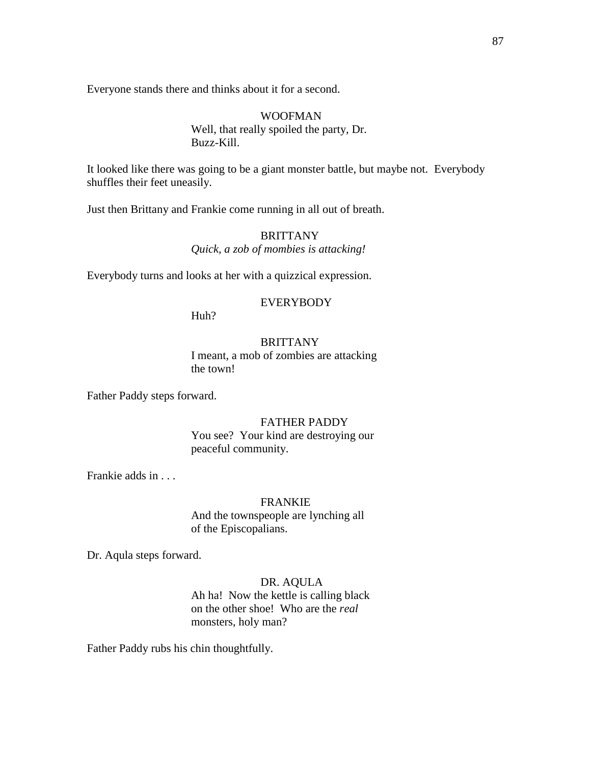Everyone stands there and thinks about it for a second.

## WOOFMAN Well, that really spoiled the party, Dr. Buzz-Kill.

It looked like there was going to be a giant monster battle, but maybe not. Everybody shuffles their feet uneasily.

Just then Brittany and Frankie come running in all out of breath.

# BRITTANY *Quick, a zob of mombies is attacking!*

Everybody turns and looks at her with a quizzical expression.

# EVERYBODY

Huh?

## **BRITTANY**

I meant, a mob of zombies are attacking the town!

Father Paddy steps forward.

#### FATHER PADDY

You see? Your kind are destroying our peaceful community.

Frankie adds in . . .

#### FRANKIE

And the townspeople are lynching all of the Episcopalians.

Dr. Aqula steps forward.

#### DR. AQULA

Ah ha! Now the kettle is calling black on the other shoe! Who are the *real* monsters, holy man?

Father Paddy rubs his chin thoughtfully.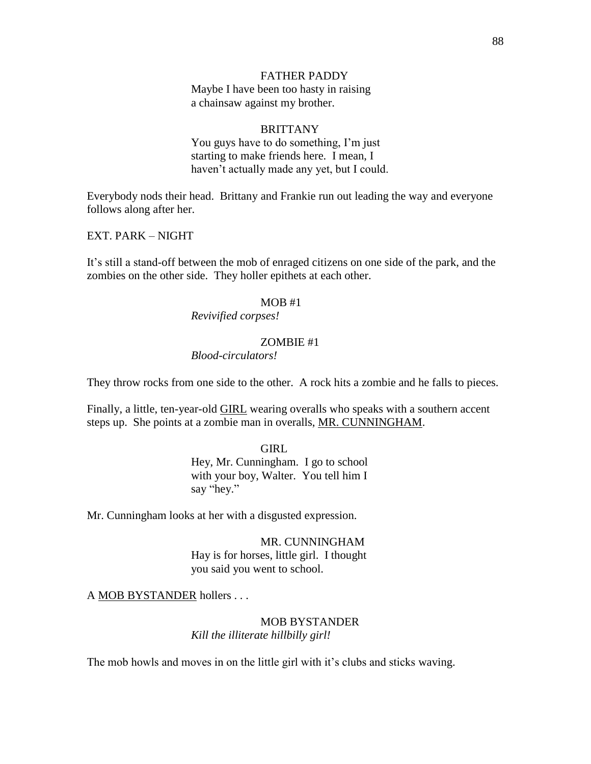## FATHER PADDY

Maybe I have been too hasty in raising a chainsaw against my brother.

# BRITTANY

You guys have to do something, I'm just starting to make friends here. I mean, I haven't actually made any yet, but I could.

Everybody nods their head. Brittany and Frankie run out leading the way and everyone follows along after her.

EXT. PARK – NIGHT

It's still a stand-off between the mob of enraged citizens on one side of the park, and the zombies on the other side. They holler epithets at each other.

#### MOB #1

*Revivified corpses!*

## ZOMBIE #1

*Blood-circulators!*

They throw rocks from one side to the other. A rock hits a zombie and he falls to pieces.

Finally, a little, ten-year-old GIRL wearing overalls who speaks with a southern accent steps up. She points at a zombie man in overalls, MR. CUNNINGHAM.

GIRL

Hey, Mr. Cunningham. I go to school with your boy, Walter. You tell him I say "hey."

Mr. Cunningham looks at her with a disgusted expression.

MR. CUNNINGHAM Hay is for horses, little girl. I thought you said you went to school.

A MOB BYSTANDER hollers . . .

## MOB BYSTANDER *Kill the illiterate hillbilly girl!*

The mob howls and moves in on the little girl with it's clubs and sticks waving.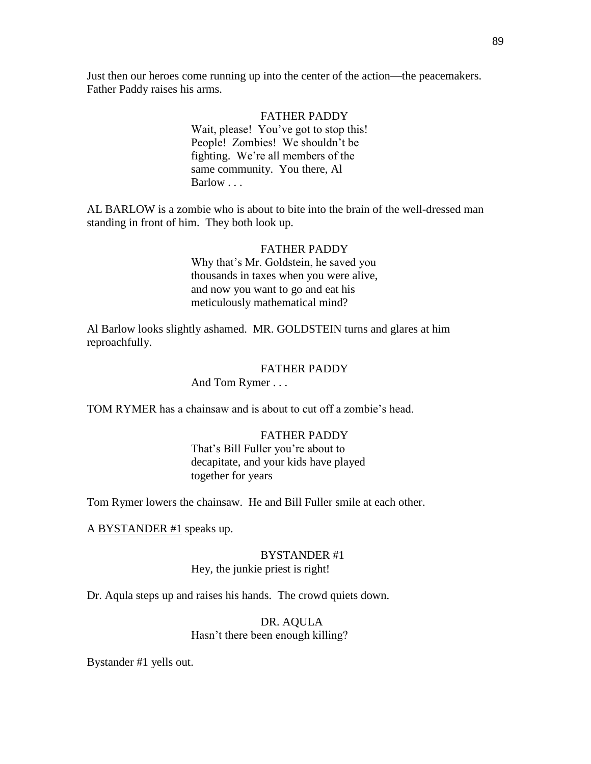Just then our heroes come running up into the center of the action—the peacemakers. Father Paddy raises his arms.

> FATHER PADDY Wait, please! You've got to stop this! People! Zombies! We shouldn't be fighting. We're all members of the same community. You there, Al Barlow . . .

AL BARLOW is a zombie who is about to bite into the brain of the well-dressed man standing in front of him. They both look up.

# FATHER PADDY

Why that's Mr. Goldstein, he saved you thousands in taxes when you were alive, and now you want to go and eat his meticulously mathematical mind?

Al Barlow looks slightly ashamed. MR. GOLDSTEIN turns and glares at him reproachfully.

#### FATHER PADDY

And Tom Rymer . . .

TOM RYMER has a chainsaw and is about to cut off a zombie's head.

## FATHER PADDY

That's Bill Fuller you're about to decapitate, and your kids have played together for years

Tom Rymer lowers the chainsaw. He and Bill Fuller smile at each other.

A BYSTANDER #1 speaks up.

# BYSTANDER #1

Hey, the junkie priest is right!

Dr. Aqula steps up and raises his hands. The crowd quiets down.

# DR. AQULA Hasn't there been enough killing?

Bystander #1 yells out.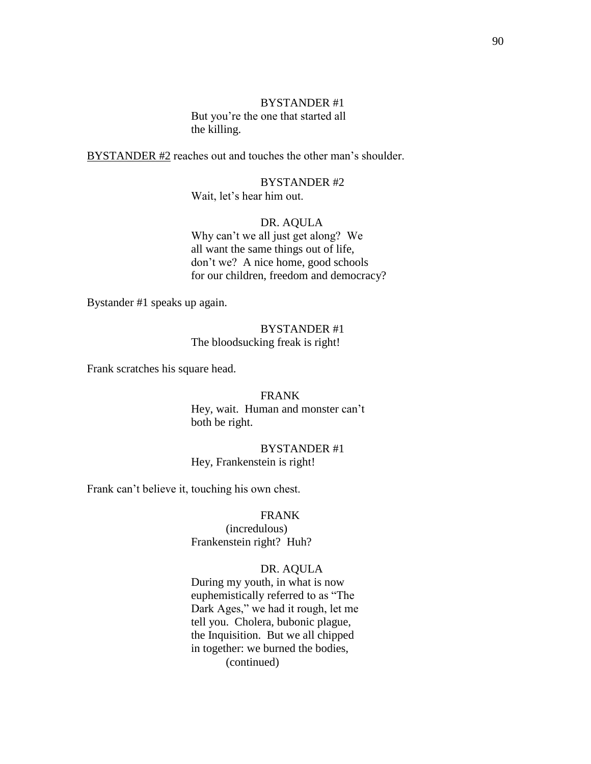# BYSTANDER #1 But you're the one that started all the killing.

BYSTANDER #2 reaches out and touches the other man's shoulder.

BYSTANDER #2 Wait, let's hear him out.

# DR. AQULA

Why can't we all just get along? We all want the same things out of life, don't we? A nice home, good schools for our children, freedom and democracy?

Bystander #1 speaks up again.

## BYSTANDER #1 The bloodsucking freak is right!

Frank scratches his square head.

FRANK Hey, wait. Human and monster can't both be right.

BYSTANDER #1 Hey, Frankenstein is right!

Frank can't believe it, touching his own chest.

## FRANK

(incredulous) Frankenstein right? Huh?

## DR. AQULA

During my youth, in what is now euphemistically referred to as "The Dark Ages," we had it rough, let me tell you. Cholera, bubonic plague, the Inquisition. But we all chipped in together: we burned the bodies, (continued)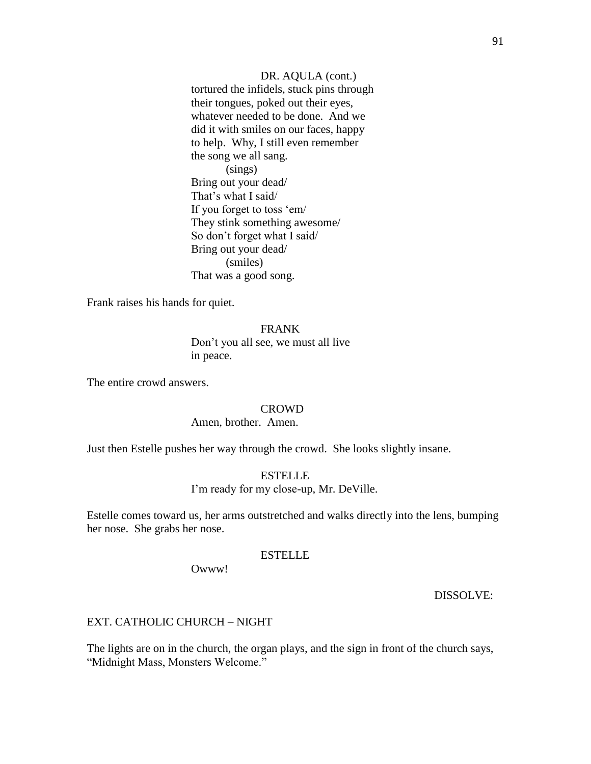DR. AQULA (cont.) tortured the infidels, stuck pins through their tongues, poked out their eyes, whatever needed to be done. And we did it with smiles on our faces, happy to help. Why, I still even remember the song we all sang. (sings) Bring out your dead/ That's what I said/ If you forget to toss 'em/ They stink something awesome/ So don't forget what I said/ Bring out your dead/ (smiles) That was a good song.

Frank raises his hands for quiet.

#### FRANK

Don't you all see, we must all live in peace.

The entire crowd answers.

## **CROWD**

#### Amen, brother. Amen.

Just then Estelle pushes her way through the crowd. She looks slightly insane.

#### **ESTELLE**

I'm ready for my close-up, Mr. DeVille.

Estelle comes toward us, her arms outstretched and walks directly into the lens, bumping her nose. She grabs her nose.

#### ESTELLE

Owww!

## DISSOLVE:

#### EXT. CATHOLIC CHURCH – NIGHT

The lights are on in the church, the organ plays, and the sign in front of the church says, "Midnight Mass, Monsters Welcome."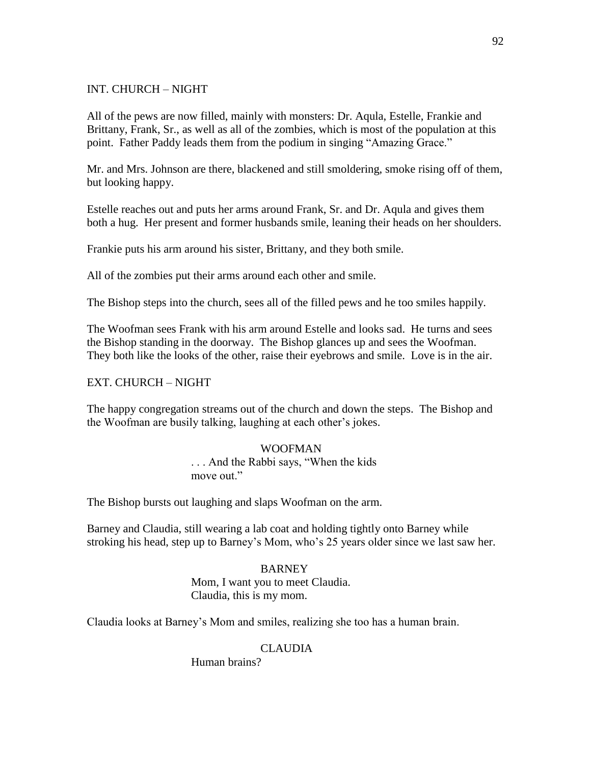# INT. CHURCH – NIGHT

All of the pews are now filled, mainly with monsters: Dr. Aqula, Estelle, Frankie and Brittany, Frank, Sr., as well as all of the zombies, which is most of the population at this point. Father Paddy leads them from the podium in singing "Amazing Grace."

Mr. and Mrs. Johnson are there, blackened and still smoldering, smoke rising off of them, but looking happy.

Estelle reaches out and puts her arms around Frank, Sr. and Dr. Aqula and gives them both a hug. Her present and former husbands smile, leaning their heads on her shoulders.

Frankie puts his arm around his sister, Brittany, and they both smile.

All of the zombies put their arms around each other and smile.

The Bishop steps into the church, sees all of the filled pews and he too smiles happily.

The Woofman sees Frank with his arm around Estelle and looks sad. He turns and sees the Bishop standing in the doorway. The Bishop glances up and sees the Woofman. They both like the looks of the other, raise their eyebrows and smile. Love is in the air.

## EXT. CHURCH – NIGHT

The happy congregation streams out of the church and down the steps. The Bishop and the Woofman are busily talking, laughing at each other's jokes.

## WOOFMAN

... And the Rabbi says, "When the kids" move out."

The Bishop bursts out laughing and slaps Woofman on the arm.

Barney and Claudia, still wearing a lab coat and holding tightly onto Barney while stroking his head, step up to Barney's Mom, who's 25 years older since we last saw her.

#### **BARNEY**

Mom, I want you to meet Claudia. Claudia, this is my mom.

Claudia looks at Barney's Mom and smiles, realizing she too has a human brain.

## CLAUDIA

Human brains?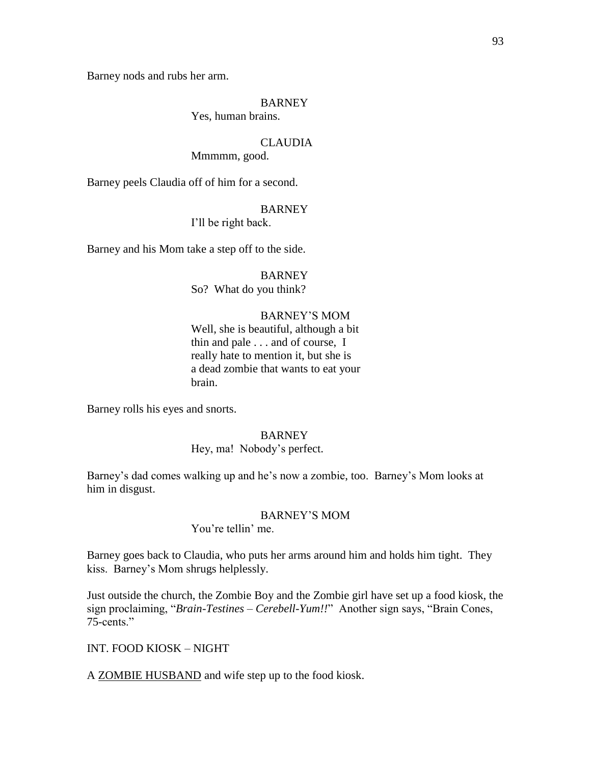Barney nods and rubs her arm.

## **BARNEY**

Yes, human brains.

## CLAUDIA

Mmmmm, good.

Barney peels Claudia off of him for a second.

## **BARNEY**

I'll be right back.

Barney and his Mom take a step off to the side.

# BARNEY

So? What do you think?

## BARNEY'S MOM

Well, she is beautiful, although a bit thin and pale . . . and of course, I really hate to mention it, but she is a dead zombie that wants to eat your brain.

Barney rolls his eyes and snorts.

#### BARNEY

#### Hey, ma! Nobody's perfect.

Barney's dad comes walking up and he's now a zombie, too. Barney's Mom looks at him in disgust.

# BARNEY'S MOM

You're tellin' me.

Barney goes back to Claudia, who puts her arms around him and holds him tight. They kiss. Barney's Mom shrugs helplessly.

Just outside the church, the Zombie Boy and the Zombie girl have set up a food kiosk, the sign proclaiming, "Brain-Testines - Cerebell-Yum!!" Another sign says, "Brain Cones, 75-cents."

INT. FOOD KIOSK – NIGHT

A ZOMBIE HUSBAND and wife step up to the food kiosk.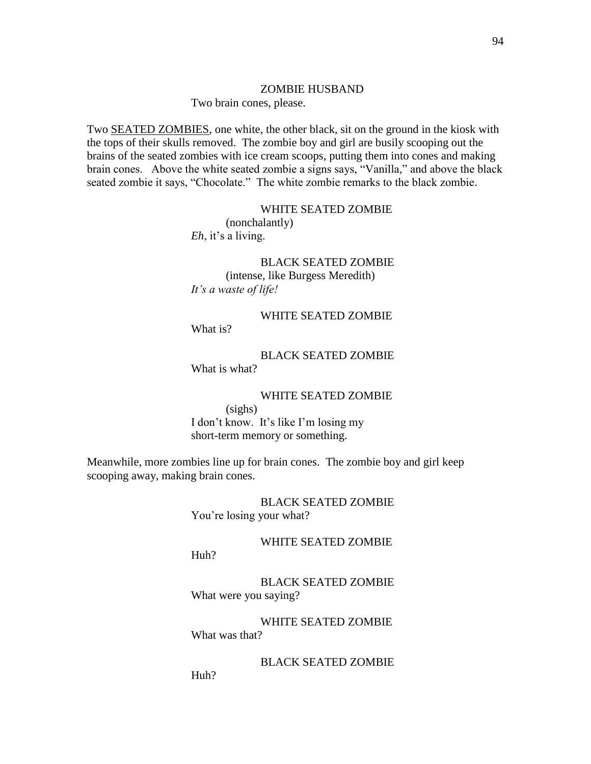#### ZOMBIE HUSBAND

Two brain cones, please.

Two **SEATED ZOMBIES**, one white, the other black, sit on the ground in the kiosk with the tops of their skulls removed. The zombie boy and girl are busily scooping out the brains of the seated zombies with ice cream scoops, putting them into cones and making brain cones. Above the white seated zombie a signs says, "Vanilla," and above the black seated zombie it says, "Chocolate." The white zombie remarks to the black zombie.

## WHITE SEATED ZOMBIE

(nonchalantly) *Eh*, it's a living.

BLACK SEATED ZOMBIE (intense, like Burgess Meredith) *It"s a waste of life!*

## WHITE SEATED ZOMBIE

What is?

BLACK SEATED ZOMBIE What is what?

WHITE SEATED ZOMBIE

(sighs) I don't know. It's like I'm losing my short-term memory or something.

Meanwhile, more zombies line up for brain cones. The zombie boy and girl keep scooping away, making brain cones.

> BLACK SEATED ZOMBIE You're losing your what?

> > WHITE SEATED ZOMBIE

Huh?

Huh?

BLACK SEATED ZOMBIE What were you saying?

WHITE SEATED ZOMBIE What was that?

BLACK SEATED ZOMBIE